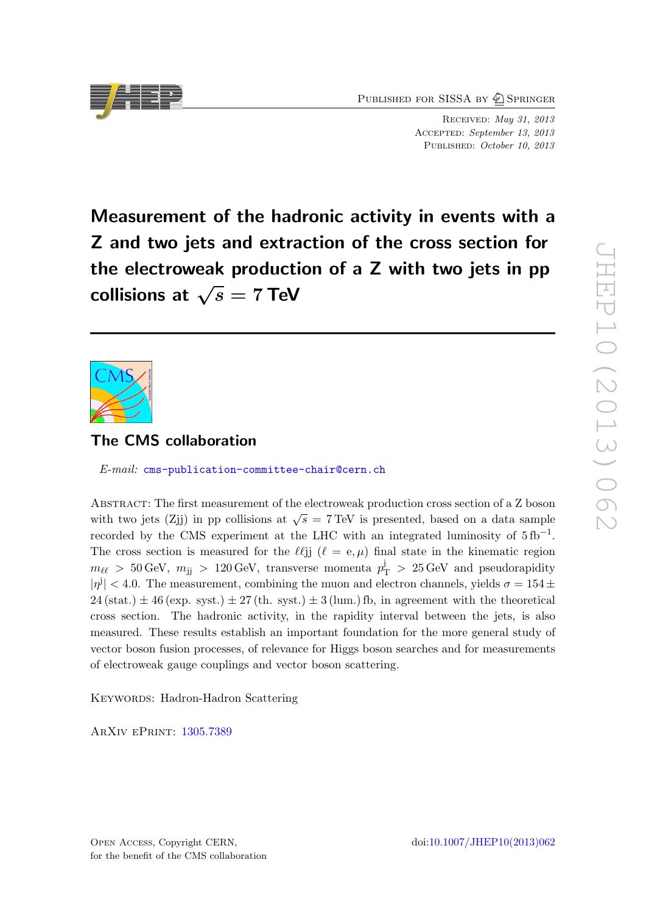PUBLISHED FOR SISSA BY 2 SPRINGER

Received: May 31, 2013 ACCEPTED: September 13, 2013 PUBLISHED: October 10, 2013

Measurement of the hadronic activity in events with a Z and two jets and extraction of the cross section for the electroweak production of a Z with two jets in pp collisions at  $\sqrt{s} = 7$  TeV



# The CMS collaboration

E-mail: [cms-publication-committee-chair@cern.ch](mailto:cms-publication-committee-chair@cern.ch)

Abstract: The first measurement of the electroweak production cross section of a Z boson with two jets (Zjj) in pp collisions at  $\sqrt{s} = 7$  TeV is presented, based on a data sample recorded by the CMS experiment at the LHC with an integrated luminosity of  $5 \text{ fb}^{-1}$ . The cross section is measured for the  $\ell\ell$ j ( $\ell = e, \mu$ ) final state in the kinematic region  $m_{\ell\ell}$  > 50 GeV,  $m_{\rm jj}$  > 120 GeV, transverse momenta  $p_{\rm T}^{\rm j}$  > 25 GeV and pseudorapidity  $|\eta^j|$  < 4.0. The measurement, combining the muon and electron channels, yields  $\sigma = 154 \pm$  $24 \text{(stat.)} \pm 46 \text{(exp. syst.)} \pm 27 \text{(th. syst.)} \pm 3 \text{(lum.)}$  fb, in agreement with the theoretical cross section. The hadronic activity, in the rapidity interval between the jets, is also measured. These results establish an important foundation for the more general study of vector boson fusion processes, of relevance for Higgs boson searches and for measurements of electroweak gauge couplings and vector boson scattering.

KEYWORDS: Hadron-Hadron Scattering

ArXiv ePrint: [1305.7389](http://arxiv.org/abs/1305.7389)

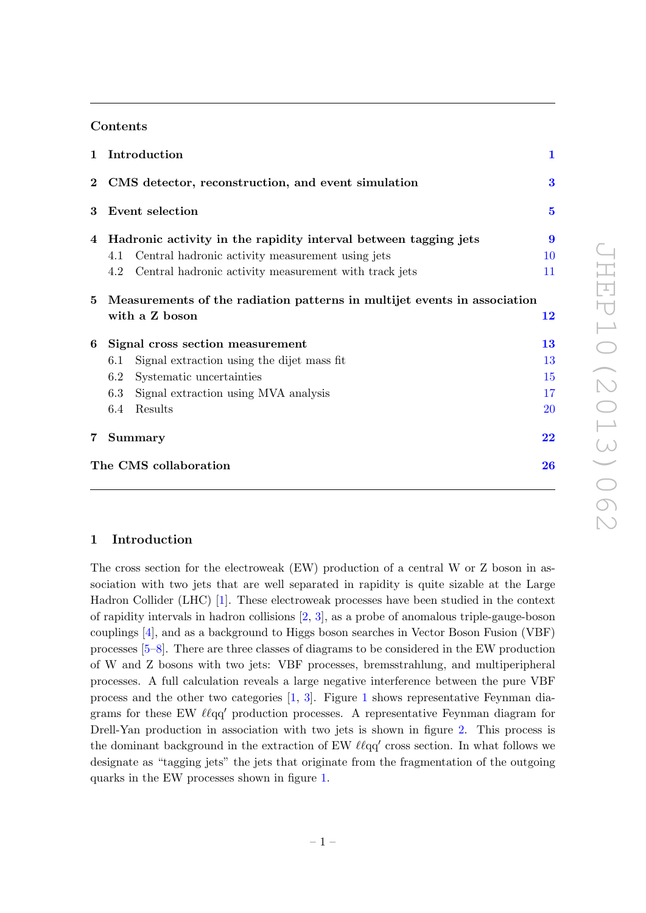# Contents

|                 | 1 Introduction                                                           | $\mathbf{1}$            |
|-----------------|--------------------------------------------------------------------------|-------------------------|
|                 | 2 CMS detector, reconstruction, and event simulation                     | 3                       |
| $\bf{3}$        | Event selection                                                          | $\overline{\mathbf{5}}$ |
| 4               | Hadronic activity in the rapidity interval between tagging jets          | 9                       |
|                 | Central hadronic activity measurement using jets<br>4.1                  | 10                      |
|                 | Central hadronic activity measurement with track jets<br>4.2             | 11                      |
| $5\overline{)}$ | Measurements of the radiation patterns in multijet events in association |                         |
|                 | with a Z boson                                                           | 12                      |
|                 | 6 Signal cross section measurement                                       | 13                      |
|                 | Signal extraction using the dijet mass fit<br>6.1                        | 13                      |
|                 | Systematic uncertainties<br>6.2                                          | 15                      |
|                 | 6.3<br>Signal extraction using MVA analysis                              | 17                      |
|                 | Results<br>6.4                                                           | 20                      |
| $\overline{7}$  | Summary                                                                  | 22                      |
|                 | The CMS collaboration                                                    | 26                      |
|                 |                                                                          |                         |

# <span id="page-1-0"></span>1 Introduction

The cross section for the electroweak (EW) production of a central W or Z boson in association with two jets that are well separated in rapidity is quite sizable at the Large Hadron Collider (LHC) [\[1\]](#page-23-0). These electroweak processes have been studied in the context of rapidity intervals in hadron collisions [\[2,](#page-23-1) [3\]](#page-23-2), as a probe of anomalous triple-gauge-boson couplings [\[4\]](#page-23-3), and as a background to Higgs boson searches in Vector Boson Fusion (VBF) processes [\[5](#page-23-4)[–8\]](#page-23-5). There are three classes of diagrams to be considered in the EW production of W and Z bosons with two jets: VBF processes, bremsstrahlung, and multiperipheral processes. A full calculation reveals a large negative interference between the pure VBF process and the other two categories [\[1,](#page-23-0) [3\]](#page-23-2). Figure [1](#page-2-0) shows representative Feynman diagrams for these EW  $\ell \ell q q'$  production processes. A representative Feynman diagram for Drell-Yan production in association with two jets is shown in figure [2.](#page-2-1) This process is the dominant background in the extraction of EW  $\ell \ell \neq q'$  cross section. In what follows we designate as "tagging jets" the jets that originate from the fragmentation of the outgoing quarks in the EW processes shown in figure [1.](#page-2-0)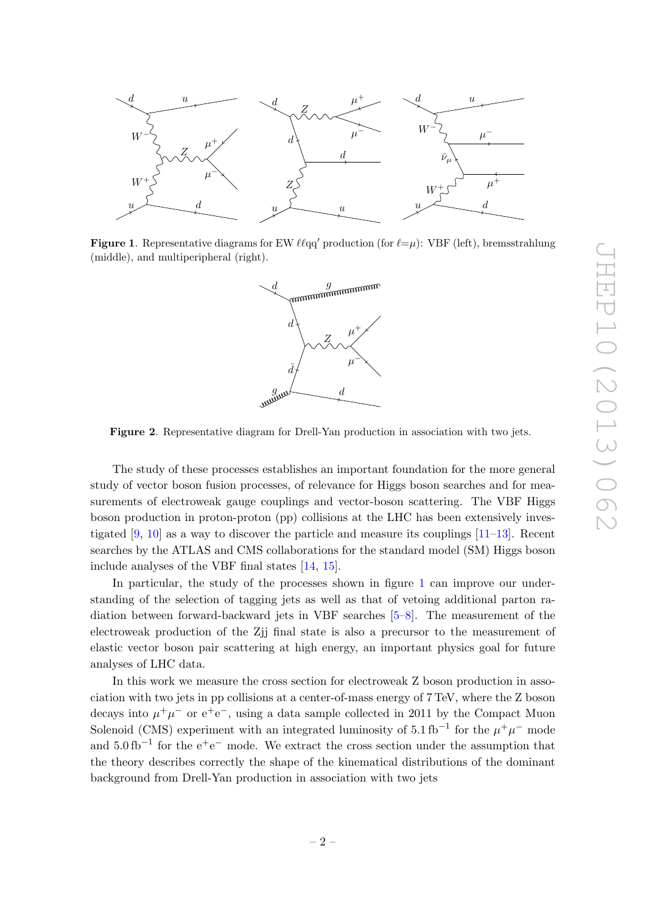

<span id="page-2-0"></span>**Figure 1.** Representative diagrams for EW  $\ell \ell q q'$  production (for  $\ell = \mu$ ): VBF (left), bremsstrahlung (middle), and multiperipheral (right).



<span id="page-2-1"></span>Figure 2. Representative diagram for Drell-Yan production in association with two jets.

The study of these processes establishes an important foundation for the more general study of vector boson fusion processes, of relevance for Higgs boson searches and for measurements of electroweak gauge couplings and vector-boson scattering. The VBF Higgs boson production in proton-proton (pp) collisions at the LHC has been extensively investigated  $[9, 10]$  $[9, 10]$  $[9, 10]$  as a way to discover the particle and measure its couplings  $[11-13]$  $[11-13]$ . Recent searches by the ATLAS and CMS collaborations for the standard model (SM) Higgs boson include analyses of the VBF final states [\[14,](#page-24-0) [15\]](#page-24-1).

In particular, the study of the processes shown in figure [1](#page-2-0) can improve our understanding of the selection of tagging jets as well as that of vetoing additional parton radiation between forward-backward jets in VBF searches [\[5–](#page-23-4)[8\]](#page-23-5). The measurement of the electroweak production of the Zjj final state is also a precursor to the measurement of elastic vector boson pair scattering at high energy, an important physics goal for future analyses of LHC data.

In this work we measure the cross section for electroweak Z boson production in association with two jets in pp collisions at a center-of-mass energy of 7 TeV, where the Z boson decays into  $\mu^+\mu^-$  or  $e^+e^-$ , using a data sample collected in 2011 by the Compact Muon Solenoid (CMS) experiment with an integrated luminosity of 5.1 fb<sup>-1</sup> for the  $\mu^+\mu^-$  mode and  $5.0\,\text{fb}^{-1}$  for the e<sup>+</sup>e<sup>-</sup> mode. We extract the cross section under the assumption that the theory describes correctly the shape of the kinematical distributions of the dominant background from Drell-Yan production in association with two jets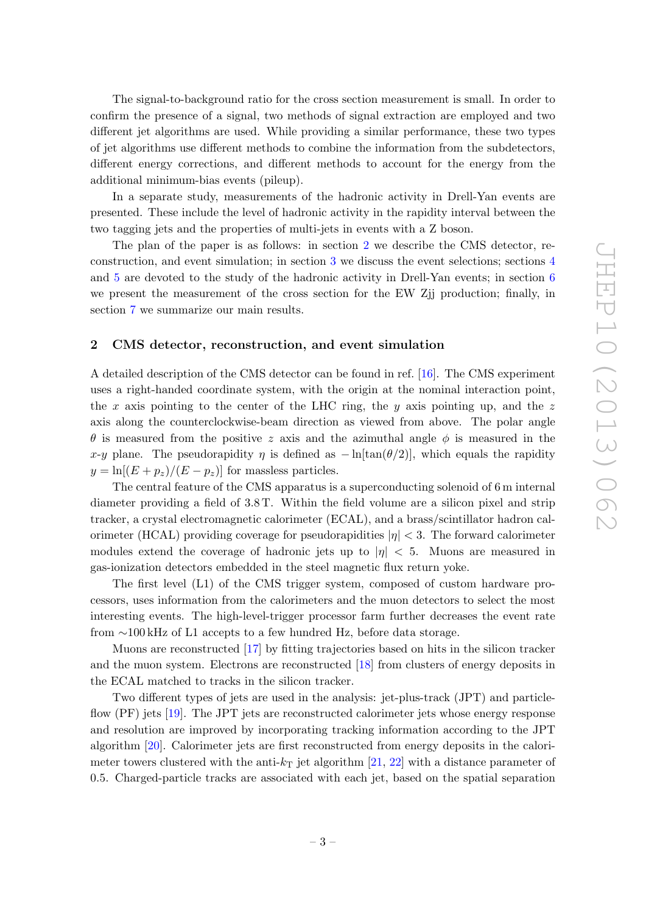The signal-to-background ratio for the cross section measurement is small. In order to confirm the presence of a signal, two methods of signal extraction are employed and two different jet algorithms are used. While providing a similar performance, these two types of jet algorithms use different methods to combine the information from the subdetectors, different energy corrections, and different methods to account for the energy from the additional minimum-bias events (pileup).

In a separate study, measurements of the hadronic activity in Drell-Yan events are presented. These include the level of hadronic activity in the rapidity interval between the two tagging jets and the properties of multi-jets in events with a Z boson.

The plan of the paper is as follows: in section [2](#page-3-0) we describe the CMS detector, reconstruction, and event simulation; in section [3](#page-5-0) we discuss the event selections; sections [4](#page-9-0) and [5](#page-12-0) are devoted to the study of the hadronic activity in Drell-Yan events; in section [6](#page-13-0) we present the measurement of the cross section for the EW Zjj production; finally, in section [7](#page-22-0) we summarize our main results.

### <span id="page-3-0"></span>2 CMS detector, reconstruction, and event simulation

A detailed description of the CMS detector can be found in ref. [\[16\]](#page-24-2). The CMS experiment uses a right-handed coordinate system, with the origin at the nominal interaction point, the x axis pointing to the center of the LHC ring, the y axis pointing up, and the z axis along the counterclockwise-beam direction as viewed from above. The polar angle θ is measured from the positive z axis and the azimuthal angle φ is measured in the x-y plane. The pseudorapidity  $\eta$  is defined as  $-\ln[\tan(\theta/2)]$ , which equals the rapidity  $y = \ln[(E + p_z)/(E - p_z)]$  for massless particles.

The central feature of the CMS apparatus is a superconducting solenoid of 6 m internal diameter providing a field of 3.8 T. Within the field volume are a silicon pixel and strip tracker, a crystal electromagnetic calorimeter (ECAL), and a brass/scintillator hadron calorimeter (HCAL) providing coverage for pseudorapidities  $|\eta| < 3$ . The forward calorimeter modules extend the coverage of hadronic jets up to  $|\eta| < 5$ . Muons are measured in gas-ionization detectors embedded in the steel magnetic flux return yoke.

The first level (L1) of the CMS trigger system, composed of custom hardware processors, uses information from the calorimeters and the muon detectors to select the most interesting events. The high-level-trigger processor farm further decreases the event rate from ∼100 kHz of L1 accepts to a few hundred Hz, before data storage.

Muons are reconstructed [\[17\]](#page-24-3) by fitting trajectories based on hits in the silicon tracker and the muon system. Electrons are reconstructed [\[18\]](#page-24-4) from clusters of energy deposits in the ECAL matched to tracks in the silicon tracker.

Two different types of jets are used in the analysis: jet-plus-track (JPT) and particle-flow (PF) jets [\[19\]](#page-24-5). The JPT jets are reconstructed calorimeter jets whose energy response and resolution are improved by incorporating tracking information according to the JPT algorithm [\[20\]](#page-24-6). Calorimeter jets are first reconstructed from energy deposits in the calorimeter towers clustered with the anti- $k_T$  jet algorithm [\[21,](#page-24-7) [22\]](#page-24-8) with a distance parameter of 0.5. Charged-particle tracks are associated with each jet, based on the spatial separation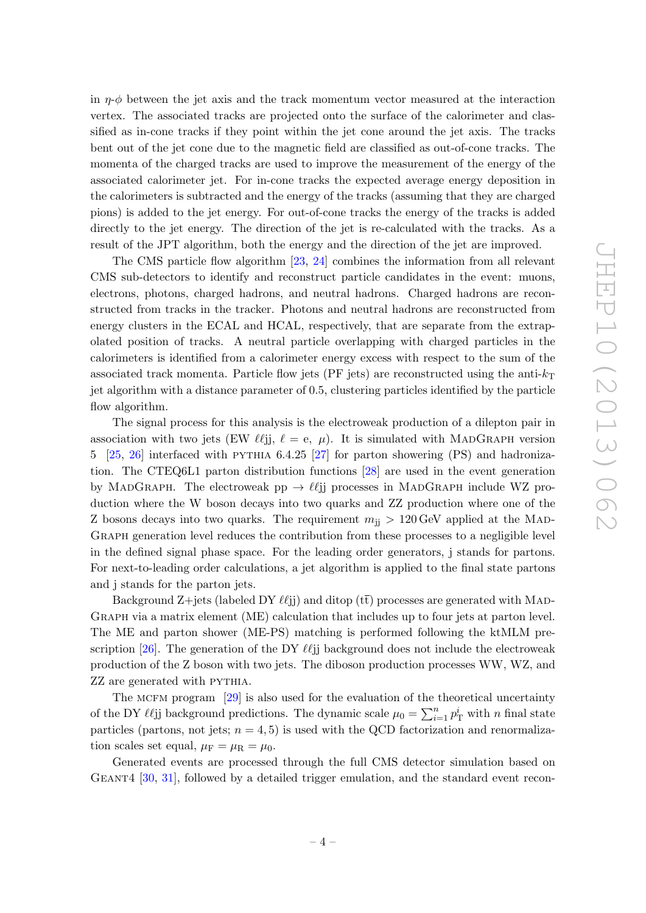in  $\eta$ - $\phi$  between the jet axis and the track momentum vector measured at the interaction vertex. The associated tracks are projected onto the surface of the calorimeter and classified as in-cone tracks if they point within the jet cone around the jet axis. The tracks bent out of the jet cone due to the magnetic field are classified as out-of-cone tracks. The momenta of the charged tracks are used to improve the measurement of the energy of the associated calorimeter jet. For in-cone tracks the expected average energy deposition in the calorimeters is subtracted and the energy of the tracks (assuming that they are charged pions) is added to the jet energy. For out-of-cone tracks the energy of the tracks is added directly to the jet energy. The direction of the jet is re-calculated with the tracks. As a result of the JPT algorithm, both the energy and the direction of the jet are improved.

The CMS particle flow algorithm [\[23,](#page-24-9) [24\]](#page-24-10) combines the information from all relevant CMS sub-detectors to identify and reconstruct particle candidates in the event: muons, electrons, photons, charged hadrons, and neutral hadrons. Charged hadrons are reconstructed from tracks in the tracker. Photons and neutral hadrons are reconstructed from energy clusters in the ECAL and HCAL, respectively, that are separate from the extrapolated position of tracks. A neutral particle overlapping with charged particles in the calorimeters is identified from a calorimeter energy excess with respect to the sum of the associated track momenta. Particle flow jets (PF jets) are reconstructed using the anti- $k_T$ jet algorithm with a distance parameter of 0.5, clustering particles identified by the particle flow algorithm.

The signal process for this analysis is the electroweak production of a dilepton pair in association with two jets (EW  $\ell(jj), \ell = e, \mu$ ). It is simulated with MADGRAPH version 5 [\[25,](#page-24-11) [26\]](#page-24-12) interfaced with pythia 6.4.25 [\[27\]](#page-24-13) for parton showering (PS) and hadronization. The CTEQ6L1 parton distribution functions [\[28\]](#page-24-14) are used in the event generation by MADGRAPH. The electroweak pp  $\rightarrow \ell \ell j j$  processes in MADGRAPH include WZ production where the W boson decays into two quarks and ZZ production where one of the Z bosons decays into two quarks. The requirement  $m_{jj} > 120 \,\text{GeV}$  applied at the MAD-Graph generation level reduces the contribution from these processes to a negligible level in the defined signal phase space. For the leading order generators, j stands for partons. For next-to-leading order calculations, a jet algorithm is applied to the final state partons and j stands for the parton jets.

Background Z+jets (labeled DY  $\ell\ell$ j) and ditop (tt) processes are generated with MaD-Graph via a matrix element (ME) calculation that includes up to four jets at parton level. The ME and parton shower (ME-PS) matching is performed following the ktMLM prescription  $[26]$ . The generation of the DY  $\ell\ell$  ij background does not include the electroweak production of the Z boson with two jets. The diboson production processes WW, WZ, and ZZ are generated with pythia.

The MCFM program  $[29]$  is also used for the evaluation of the theoretical uncertainty of the DY  $\ell\ell$ jj background predictions. The dynamic scale  $\mu_0 = \sum_{i=1}^n p_{\rm T}^i$  with n final state particles (partons, not jets;  $n = 4, 5$ ) is used with the QCD factorization and renormalization scales set equal,  $\mu_F = \mu_R = \mu_0$ .

Generated events are processed through the full CMS detector simulation based on Geant4 [\[30,](#page-24-16) [31\]](#page-24-17), followed by a detailed trigger emulation, and the standard event recon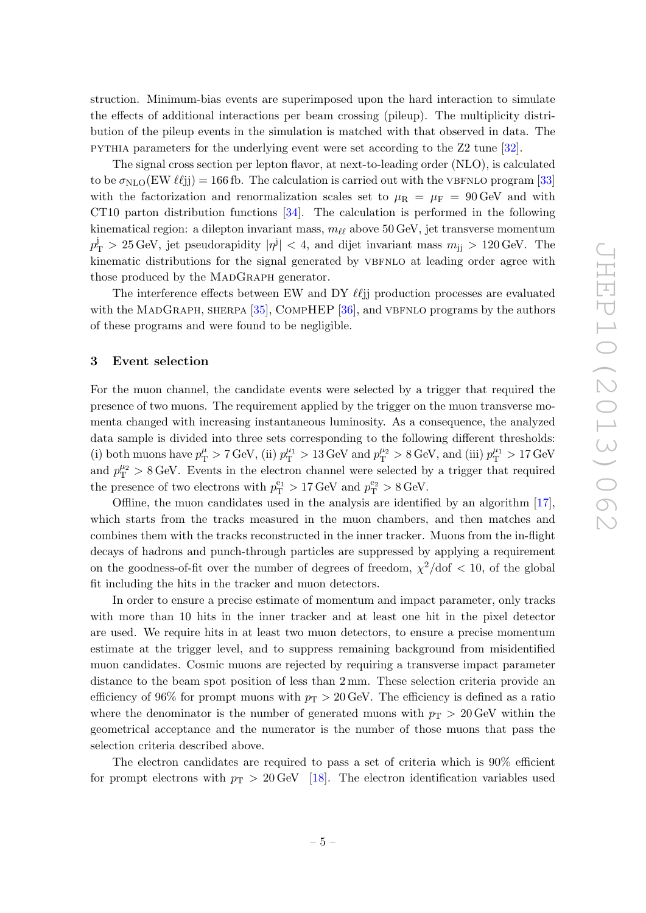struction. Minimum-bias events are superimposed upon the hard interaction to simulate the effects of additional interactions per beam crossing (pileup). The multiplicity distribution of the pileup events in the simulation is matched with that observed in data. The pythia parameters for the underlying event were set according to the Z2 tune [\[32\]](#page-24-18).

The signal cross section per lepton flavor, at next-to-leading order (NLO), is calculated to be  $\sigma_{\text{NLO}}(EW \ell(j)) = 166 \text{ fb}$ . The calculation is carried out with the VBFNLO program [\[33\]](#page-24-19) with the factorization and renormalization scales set to  $\mu_R = \mu_F = 90 \,\text{GeV}$  and with CT10 parton distribution functions [\[34\]](#page-25-0). The calculation is performed in the following kinematical region: a dilepton invariant mass,  $m_{\ell\ell}$  above 50 GeV, jet transverse momentum  $p_{\rm T}^{\rm j} > 25 \,\text{GeV}$ , jet pseudorapidity  $|\eta^{\rm j}| < 4$ , and dijet invariant mass  $m_{\rm jj} > 120 \,\text{GeV}$ . The kinematic distributions for the signal generated by VBFNLO at leading order agree with those produced by the MADGRAPH generator.

The interference effects between EW and DY  $\ell\ell$  production processes are evaluated with the MADGRAPH, SHERPA  $[35]$ , COMPHEP  $[36]$ , and VBFNLO programs by the authors of these programs and were found to be negligible.

### <span id="page-5-0"></span>3 Event selection

For the muon channel, the candidate events were selected by a trigger that required the presence of two muons. The requirement applied by the trigger on the muon transverse momenta changed with increasing instantaneous luminosity. As a consequence, the analyzed data sample is divided into three sets corresponding to the following different thresholds: (i) both muons have  $p_T^{\mu} > 7$  GeV, (ii)  $p_T^{\mu_1} > 13$  GeV and  $p_T^{\mu_2} > 8$  GeV, and (iii)  $p_T^{\mu_1} > 17$  GeV and  $p_{\rm T}^{\mu_2} > 8 \,\text{GeV}$ . Events in the electron channel were selected by a trigger that required the presence of two electrons with  $p_T^{\rm e_1} > 17 \,\text{GeV}$  and  $p_T^{\rm e_2} > 8 \,\text{GeV}$ .

Offline, the muon candidates used in the analysis are identified by an algorithm [\[17\]](#page-24-3), which starts from the tracks measured in the muon chambers, and then matches and combines them with the tracks reconstructed in the inner tracker. Muons from the in-flight decays of hadrons and punch-through particles are suppressed by applying a requirement on the goodness-of-fit over the number of degrees of freedom,  $\chi^2/\text{dof} < 10$ , of the global fit including the hits in the tracker and muon detectors.

In order to ensure a precise estimate of momentum and impact parameter, only tracks with more than 10 hits in the inner tracker and at least one hit in the pixel detector are used. We require hits in at least two muon detectors, to ensure a precise momentum estimate at the trigger level, and to suppress remaining background from misidentified muon candidates. Cosmic muons are rejected by requiring a transverse impact parameter distance to the beam spot position of less than 2 mm. These selection criteria provide an efficiency of 96% for prompt muons with  $p_T > 20$  GeV. The efficiency is defined as a ratio where the denominator is the number of generated muons with  $p_T > 20$  GeV within the geometrical acceptance and the numerator is the number of those muons that pass the selection criteria described above.

The electron candidates are required to pass a set of criteria which is 90% efficient for prompt electrons with  $p_T > 20 \,\text{GeV}$  [\[18\]](#page-24-4). The electron identification variables used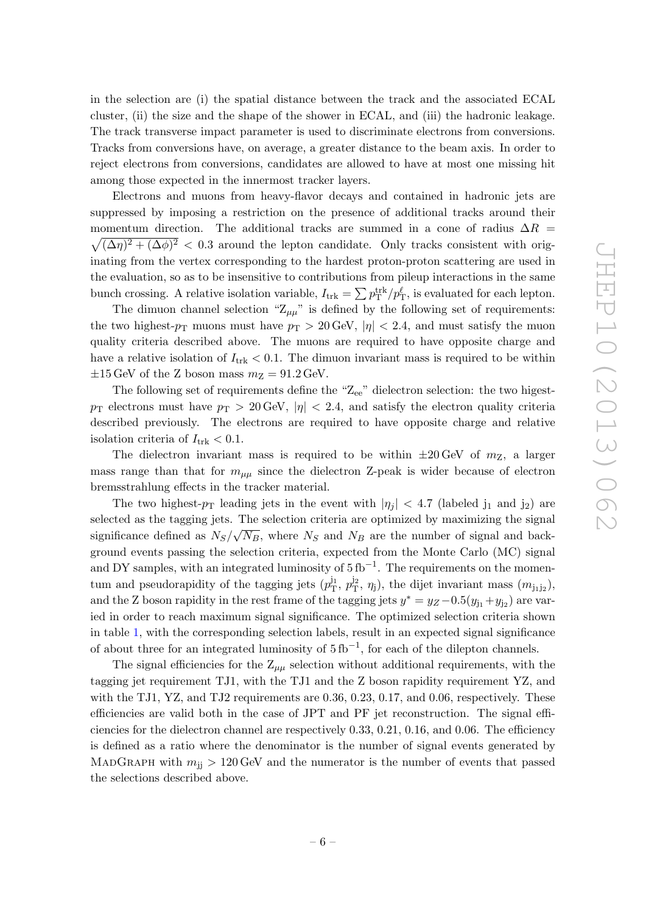in the selection are (i) the spatial distance between the track and the associated ECAL cluster, (ii) the size and the shape of the shower in ECAL, and (iii) the hadronic leakage. The track transverse impact parameter is used to discriminate electrons from conversions. Tracks from conversions have, on average, a greater distance to the beam axis. In order to reject electrons from conversions, candidates are allowed to have at most one missing hit among those expected in the innermost tracker layers.

Electrons and muons from heavy-flavor decays and contained in hadronic jets are suppressed by imposing a restriction on the presence of additional tracks around their momentum direction. The additional tracks are summed in a cone of radius  $\Delta R$  =  $\sqrt{(\Delta \eta)^2 + (\Delta \phi)^2}$  < 0.3 around the lepton candidate. Only tracks consistent with originating from the vertex corresponding to the hardest proton-proton scattering are used in the evaluation, so as to be insensitive to contributions from pileup interactions in the same bunch crossing. A relative isolation variable,  $I_{\text{trk}} = \sum p_T^{\text{trk}}/p_T^{\ell}$ , is evaluated for each lepton.

The dimuon channel selection " $Z_{\mu\mu}$ " is defined by the following set of requirements: the two highest- $p_T$  muons must have  $p_T > 20$  GeV,  $|\eta| < 2.4$ , and must satisfy the muon quality criteria described above. The muons are required to have opposite charge and have a relative isolation of  $I_{trk} < 0.1$ . The dimuon invariant mass is required to be within  $\pm 15$  GeV of the Z boson mass  $m_Z = 91.2$  GeV.

The following set of requirements define the "Zee" dielectron selection: the two higest $p_{\rm T}$  electrons must have  $p_{\rm T} > 20$  GeV,  $|\eta| < 2.4$ , and satisfy the electron quality criteria described previously. The electrons are required to have opposite charge and relative isolation criteria of  $I_{\text{trk}} < 0.1$ .

The dielectron invariant mass is required to be within  $\pm 20 \,\text{GeV}$  of  $m_Z$ , a larger mass range than that for  $m_{\mu\mu}$  since the dielectron Z-peak is wider because of electron bremsstrahlung effects in the tracker material.

The two highest- $p_T$  leading jets in the event with  $|\eta_j| < 4.7$  (labeled j<sub>1</sub> and j<sub>2</sub>) are selected as the tagging jets. The selection criteria are optimized by maximizing the signal<br>∴  $\frac{1}{2}$   $\frac{1}{2}$   $\frac{1}{2}$   $\frac{1}{2}$   $\frac{1}{2}$   $\frac{1}{2}$   $\frac{1}{2}$   $\frac{1}{2}$   $\frac{1}{2}$   $\frac{1}{2}$   $\frac{1}{2}$   $\frac{1}{2}$   $\frac{1}{2$ significance defined as  $N_S/\sqrt{N_B}$ , where  $N_S$  and  $N_B$  are the number of signal and background events passing the selection criteria, expected from the Monte Carlo (MC) signal and DY samples, with an integrated luminosity of  $5 \text{ fb}^{-1}$ . The requirements on the momentum and pseudorapidity of the tagging jets  $(p_T^{\rm j_1})$  $j_1$ ,  $p_{\rm T}^{\rm j_2}$  $\mathcal{L}_{\text{T}}^{J2}$ ,  $\eta_{\text{j}}$ ), the dijet invariant mass  $(m_{\text{j}_1 \text{j}_2})$ , and the Z boson rapidity in the rest frame of the tagging jets  $y^* = y_Z - 0.5(y_{j_1} + y_{j_2})$  are varied in order to reach maximum signal significance. The optimized selection criteria shown in table [1,](#page-7-0) with the corresponding selection labels, result in an expected signal significance of about three for an integrated luminosity of  $5 \text{ fb}^{-1}$ , for each of the dilepton channels.

The signal efficiencies for the  $Z_{\mu\mu}$  selection without additional requirements, with the tagging jet requirement TJ1, with the TJ1 and the Z boson rapidity requirement YZ, and with the TJ1, YZ, and TJ2 requirements are 0.36, 0.23, 0.17, and 0.06, respectively. These efficiencies are valid both in the case of JPT and PF jet reconstruction. The signal efficiencies for the dielectron channel are respectively  $0.33, 0.21, 0.16$ , and  $0.06$ . The efficiency is defined as a ratio where the denominator is the number of signal events generated by MADGRAPH with  $m_{ii} > 120 \,\text{GeV}$  and the numerator is the number of events that passed the selections described above.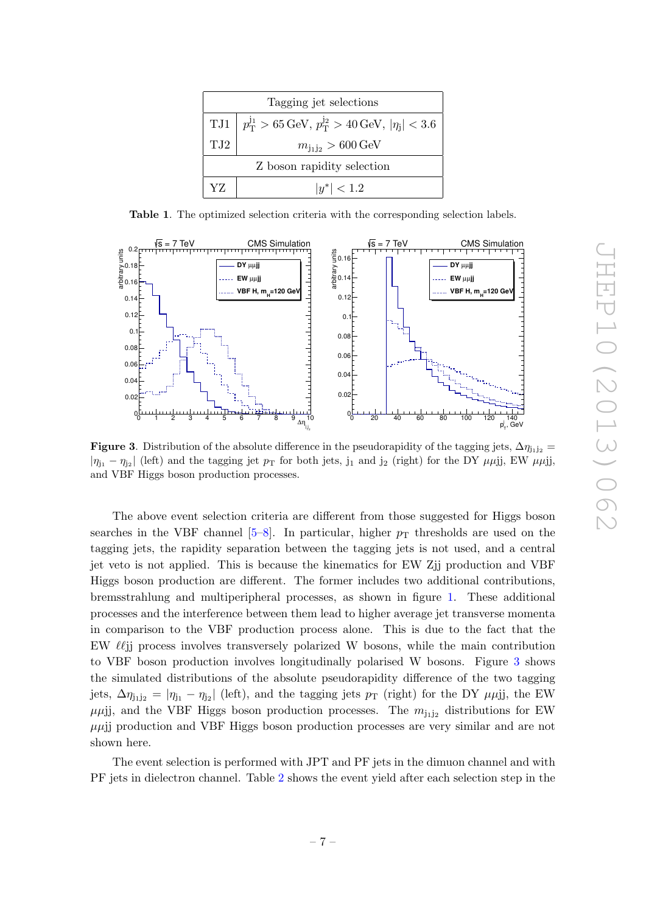| Tagging jet selections     |                                                                                                   |  |  |  |  |
|----------------------------|---------------------------------------------------------------------------------------------------|--|--|--|--|
|                            | TJ1 $ p_{\rm T}^{j_1} > 65 \,\text{GeV}, p_{\rm T}^{j_2} > 40 \,\text{GeV},  \eta_{\rm i}  < 3.6$ |  |  |  |  |
| TJ2                        | $m_{\text{j}_1\text{j}_2} > 600\,\text{GeV}$                                                      |  |  |  |  |
| Z boson rapidity selection |                                                                                                   |  |  |  |  |
| Y7.                        | $ y^*  < 1.2$                                                                                     |  |  |  |  |

<span id="page-7-0"></span>Table 1. The optimized selection criteria with the corresponding selection labels.



<span id="page-7-1"></span>**Figure 3.** Distribution of the absolute difference in the pseudorapidity of the tagging jets,  $\Delta \eta_{j_1j_2} =$  $|\eta_{j1} - \eta_{j2}|$  (left) and the tagging jet  $p_T$  for both jets,  $j_1$  and  $j_2$  (right) for the DY  $\mu\mu$ jj, EW  $\mu\mu$ jj, and VBF Higgs boson production processes.

The above event selection criteria are different from those suggested for Higgs boson searches in the VBF channel [\[5](#page-23-4)[–8\]](#page-23-5). In particular, higher  $p<sub>T</sub>$  thresholds are used on the tagging jets, the rapidity separation between the tagging jets is not used, and a central jet veto is not applied. This is because the kinematics for EW Zjj production and VBF Higgs boson production are different. The former includes two additional contributions, bremsstrahlung and multiperipheral processes, as shown in figure [1.](#page-2-0) These additional processes and the interference between them lead to higher average jet transverse momenta in comparison to the VBF production process alone. This is due to the fact that the EW  $\ell(j)$  process involves transversely polarized W bosons, while the main contribution to VBF boson production involves longitudinally polarised W bosons. Figure [3](#page-7-1) shows the simulated distributions of the absolute pseudorapidity difference of the two tagging jets,  $\Delta \eta_{j_1 j_2} = |\eta_{j_1} - \eta_{j_2}|$  (left), and the tagging jets  $p_T$  (right) for the DY  $\mu \mu$ jj, the EW  $\mu\mu$ j, and the VBF Higgs boson production processes. The  $m_{j_1j_2}$  distributions for EW  $\mu\mu$ j production and VBF Higgs boson production processes are very similar and are not shown here.

The event selection is performed with JPT and PF jets in the dimuon channel and with PF jets in dielectron channel. Table [2](#page-8-0) shows the event yield after each selection step in the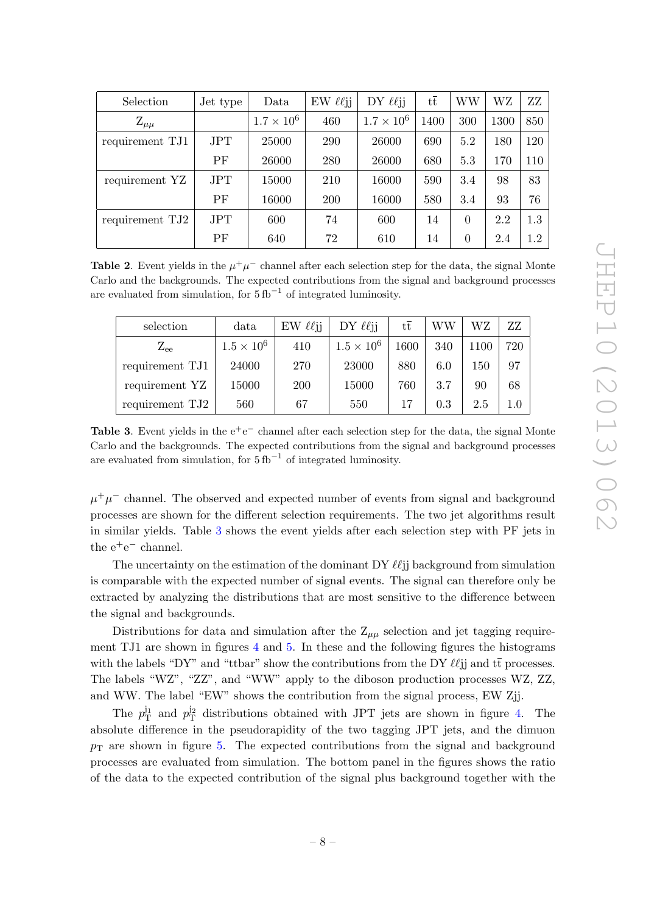| Selection        | Jet type   | Data              | $EW \ell\ell$ jj | DY $\ell\ell$ ii    | tt   | WW       | WZ   | ZZ  |
|------------------|------------|-------------------|------------------|---------------------|------|----------|------|-----|
| $\rm Z_{\mu\mu}$ |            | $1.7 \times 10^6$ | 460              | $1.7 \times 10^{6}$ | 1400 | 300      | 1300 | 850 |
| requirement TJ1  | <b>JPT</b> | 25000             | 290              | 26000               | 690  | 5.2      | 180  | 120 |
|                  | PF         | 26000             | 280              | 26000               | 680  | 5.3      | 170  | 110 |
| requirement YZ   | <b>JPT</b> | 15000             | 210              | 16000               | 590  | 3.4      | 98   | 83  |
|                  | PF         | 16000             | 200              | 16000               | 580  | 3.4      | 93   | 76  |
| requirement TJ2  | JPT        | 600               | 74               | 600                 | 14   | $\theta$ | 2.2  | 1.3 |
|                  | PF         | 640               | 72               | 610                 | 14   | 0        | 2.4  | 1.2 |

<span id="page-8-0"></span>**Table 2**. Event yields in the  $\mu^+\mu^-$  channel after each selection step for the data, the signal Monte Carlo and the backgrounds. The expected contributions from the signal and background processes are evaluated from simulation, for  $5$  fb<sup>-1</sup> of integrated luminosity.

| selection       | data              | $EW \ell \ell$ ji | DY $\ell\ell$ ii  | tt   | WW  | WZ   | 77. |
|-----------------|-------------------|-------------------|-------------------|------|-----|------|-----|
| $\rm Z_{ee}$    | $1.5 \times 10^6$ | 410               | $1.5 \times 10^6$ | 1600 | 340 | 1100 | 720 |
| requirement TJ1 | 24000             | 270               | 23000             | 880  | 6.0 | 150  | 97  |
| requirement YZ  | 15000             | 200               | 15000             | 760  | 3.7 | 90   | 68  |
| requirement TJ2 | 560               | 67                | 550               | 17   | 0.3 | 2.5  |     |

<span id="page-8-1"></span>Table 3. Event yields in the  $e^+e^-$  channel after each selection step for the data, the signal Monte Carlo and the backgrounds. The expected contributions from the signal and background processes are evaluated from simulation, for  $5$  fb<sup>-1</sup> of integrated luminosity.

 $\mu^+\mu^-$  channel. The observed and expected number of events from signal and background processes are shown for the different selection requirements. The two jet algorithms result in similar yields. Table [3](#page-8-1) shows the event yields after each selection step with PF jets in the  $e^+e^-$  channel.

The uncertainty on the estimation of the dominant DY  $\ell\ell$  background from simulation is comparable with the expected number of signal events. The signal can therefore only be extracted by analyzing the distributions that are most sensitive to the difference between the signal and backgrounds.

Distributions for data and simulation after the  $Z_{\mu\mu}$  selection and jet tagging requirement TJ1 are shown in figures [4](#page-9-1) and [5.](#page-10-1) In these and the following figures the histograms with the labels "DY" and "ttbar" show the contributions from the DY  $\ell\ell$  jij and tt processes. The labels "WZ", "ZZ", and "WW" apply to the diboson production processes WZ, ZZ, and WW. The label "EW" shows the contribution from the signal process, EW Zjj.

The  $p_T^{\mathrm{j}_1}$  $j_1$  and  $p_T^{j_2}$  $T<sub>T</sub><sup>12</sup>$  distributions obtained with JPT jets are shown in figure [4.](#page-9-1) The absolute difference in the pseudorapidity of the two tagging JPT jets, and the dimuon  $p<sub>T</sub>$  are shown in figure [5.](#page-10-1) The expected contributions from the signal and background processes are evaluated from simulation. The bottom panel in the figures shows the ratio of the data to the expected contribution of the signal plus background together with the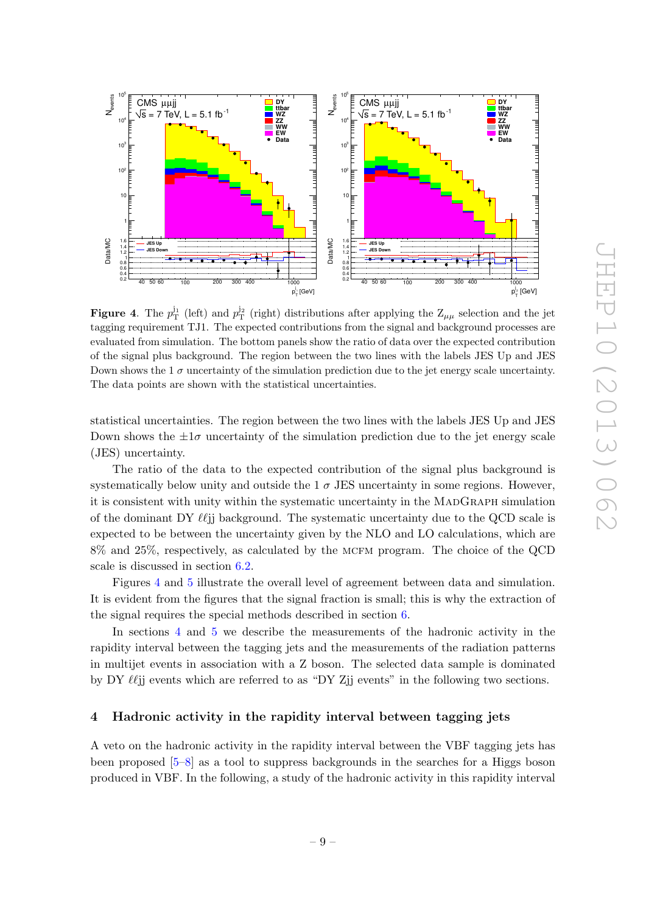

<span id="page-9-1"></span>**Figure 4.** The  $p_T^{j_1}$  (left) and  $p_T^{j_2}$  (right) distributions after applying the  $Z_{\mu\mu}$  selection and the jet tagging requirement TJ1. The expected contributions from the signal and background processes are evaluated from simulation. The bottom panels show the ratio of data over the expected contribution of the signal plus background. The region between the two lines with the labels JES Up and JES Down shows the 1  $\sigma$  uncertainty of the simulation prediction due to the jet energy scale uncertainty. The data points are shown with the statistical uncertainties.

statistical uncertainties. The region between the two lines with the labels JES Up and JES Down shows the  $\pm 1\sigma$  uncertainty of the simulation prediction due to the jet energy scale (JES) uncertainty.

The ratio of the data to the expected contribution of the signal plus background is systematically below unity and outside the  $1 \sigma$  JES uncertainty in some regions. However, it is consistent with unity within the systematic uncertainty in the MADGRAPH simulation of the dominant DY  $\ell\ell$ jj background. The systematic uncertainty due to the QCD scale is expected to be between the uncertainty given by the NLO and LO calculations, which are 8% and 25%, respectively, as calculated by the mcfm program. The choice of the QCD scale is discussed in section [6.2.](#page-15-0)

Figures [4](#page-9-1) and [5](#page-10-1) illustrate the overall level of agreement between data and simulation. It is evident from the figures that the signal fraction is small; this is why the extraction of the signal requires the special methods described in section [6.](#page-13-0)

In sections [4](#page-9-0) and [5](#page-12-0) we describe the measurements of the hadronic activity in the rapidity interval between the tagging jets and the measurements of the radiation patterns in multijet events in association with a Z boson. The selected data sample is dominated by DY  $\ell\ell$ jj events which are referred to as "DY Zjj events" in the following two sections.

# <span id="page-9-0"></span>4 Hadronic activity in the rapidity interval between tagging jets

A veto on the hadronic activity in the rapidity interval between the VBF tagging jets has been proposed [\[5–](#page-23-4)[8\]](#page-23-5) as a tool to suppress backgrounds in the searches for a Higgs boson produced in VBF. In the following, a study of the hadronic activity in this rapidity interval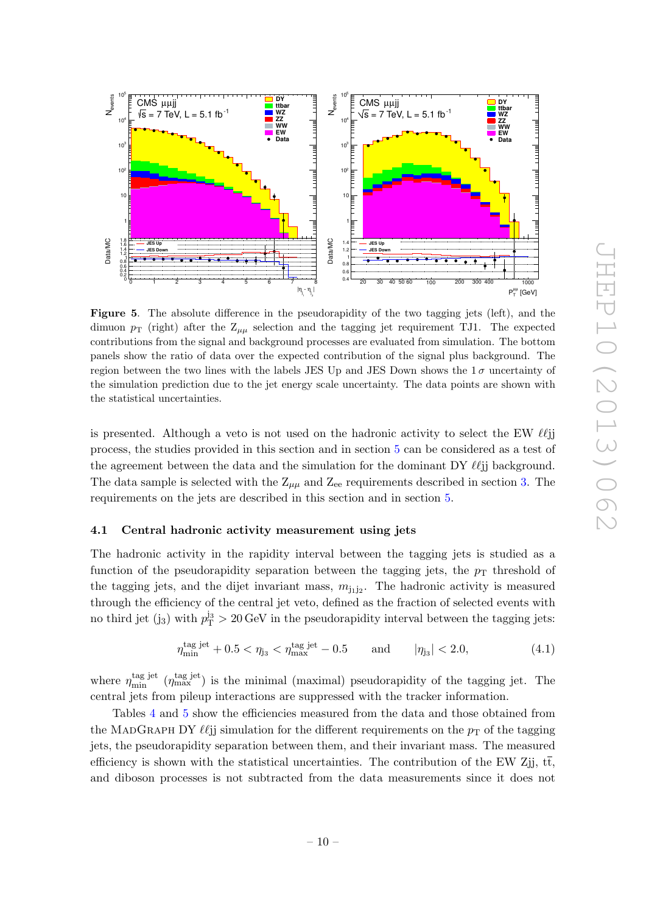

<span id="page-10-1"></span>Figure 5. The absolute difference in the pseudorapidity of the two tagging jets (left), and the dimuon  $p_T$  (right) after the  $Z_{\mu\mu}$  selection and the tagging jet requirement TJ1. The expected contributions from the signal and background processes are evaluated from simulation. The bottom panels show the ratio of data over the expected contribution of the signal plus background. The region between the two lines with the labels JES Up and JES Down shows the  $1\sigma$  uncertainty of the simulation prediction due to the jet energy scale uncertainty. The data points are shown with the statistical uncertainties.

is presented. Although a veto is not used on the hadronic activity to select the EW  $\ell \ell j j$ process, the studies provided in this section and in section [5](#page-12-0) can be considered as a test of the agreement between the data and the simulation for the dominant DY  $\ell_{ij}$  background. The data sample is selected with the  $Z_{\mu\mu}$  and  $Z_{ee}$  requirements described in section [3.](#page-5-0) The requirements on the jets are described in this section and in section [5.](#page-12-0)

### <span id="page-10-0"></span>4.1 Central hadronic activity measurement using jets

The hadronic activity in the rapidity interval between the tagging jets is studied as a function of the pseudorapidity separation between the tagging jets, the  $p_T$  threshold of the tagging jets, and the dijet invariant mass,  $m_{j_1j_2}$ . The hadronic activity is measured through the efficiency of the central jet veto, defined as the fraction of selected events with no third jet (j<sub>3</sub>) with  $p_{\rm T}^{\rm j3} > 20 \,\text{GeV}$  in the pseudorapidity interval between the tagging jets:

$$
\eta_{\min}^{\text{tag jet}} + 0.5 < \eta_{\text{ja}} < \eta_{\text{max}}^{\text{tag jet}} - 0.5 \quad \text{and} \quad |\eta_{\text{ja}}| < 2.0,\tag{4.1}
$$

where  $\eta_{\min}^{\text{tag jet}}$  ( $\eta_{\max}^{\text{tag jet}}$ ) is the minimal (maximal) pseudorapidity of the tagging jet. The central jets from pileup interactions are suppressed with the tracker information.

Tables [4](#page-11-1) and [5](#page-11-2) show the efficiencies measured from the data and those obtained from the MADGRAPH DY  $\ell\ell$  is simulation for the different requirements on the  $p_T$  of the tagging jets, the pseudorapidity separation between them, and their invariant mass. The measured efficiency is shown with the statistical uncertainties. The contribution of the EW  $Z_{ij}$ ,  $t\bar{t}$ , and diboson processes is not subtracted from the data measurements since it does not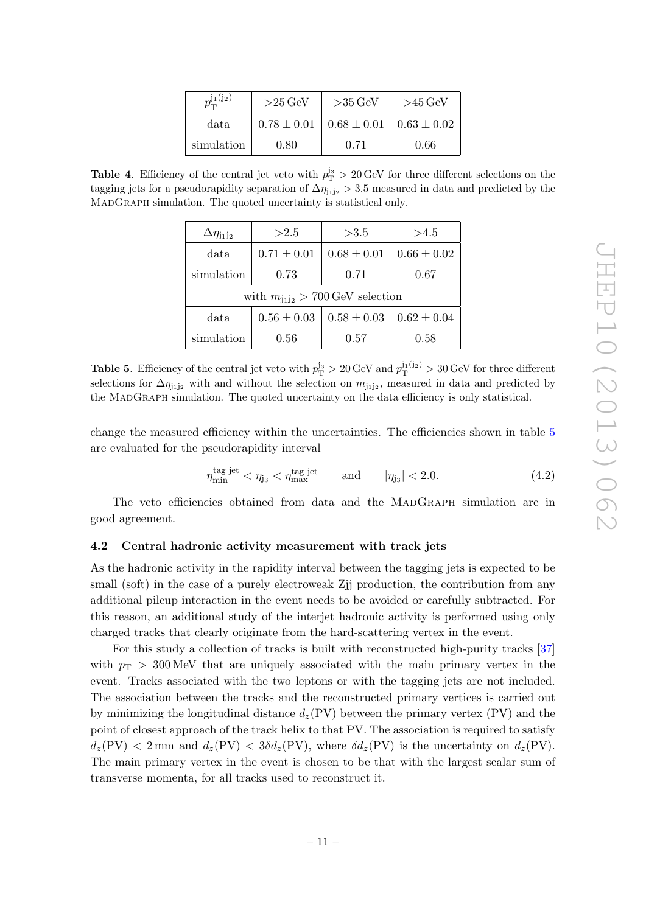| $p_{\rm T}^{\rm j_1(j_2)}$ | $>25$ GeV | $>35$ GeV                                           | $>45$ GeV |
|----------------------------|-----------|-----------------------------------------------------|-----------|
| data                       |           | $0.78 \pm 0.01$   $0.68 \pm 0.01$   $0.63 \pm 0.02$ |           |
| simulation                 | 0.80      | 0.71                                                | 0.66      |

<span id="page-11-1"></span>**Table 4.** Efficiency of the central jet veto with  $p_T^{j_3} > 20 \,\text{GeV}$  for three different selections on the tagging jets for a pseudorapidity separation of  $\Delta \eta_{j_1j_2} > 3.5$  measured in data and predicted by the MadGraph simulation. The quoted uncertainty is statistical only.

| $\Delta\eta_{\rm ii12}$                        | >2.5            | >3.5            | >4.5            |  |  |  |
|------------------------------------------------|-----------------|-----------------|-----------------|--|--|--|
| data                                           | $0.71 \pm 0.01$ | $0.68 \pm 0.01$ | $0.66 \pm 0.02$ |  |  |  |
| simulation                                     | 0.73            | 0.71            | 0.67            |  |  |  |
| with $m_{j_1j_2} > 700 \,\text{GeV}$ selection |                 |                 |                 |  |  |  |
| data                                           | $0.56 \pm 0.03$ | $0.58 \pm 0.03$ | $0.62 \pm 0.04$ |  |  |  |
| simulation                                     | 0.56            | 0.57            | 0.58            |  |  |  |

<span id="page-11-2"></span>**Table 5**. Efficiency of the central jet veto with  $p_T^{j_3} > 20 \text{ GeV}$  and  $p_T^{j_1(j_2)} > 30 \text{ GeV}$  for three different selections for  $\Delta \eta_{j_1 j_2}$  with and without the selection on  $m_{j_1 j_2}$ , measured in data and predicted by the MadGraph simulation. The quoted uncertainty on the data efficiency is only statistical.

change the measured efficiency within the uncertainties. The efficiencies shown in table [5](#page-11-2) are evaluated for the pseudorapidity interval

$$
\eta_{\min}^{\text{tag jet}} < \eta_{\text{is}} < \eta_{\max}^{\text{tag jet}} \qquad \text{and} \qquad |\eta_{\text{js}}| < 2.0. \tag{4.2}
$$

The veto efficiencies obtained from data and the MADGRAPH simulation are in good agreement.

# <span id="page-11-0"></span>4.2 Central hadronic activity measurement with track jets

As the hadronic activity in the rapidity interval between the tagging jets is expected to be small (soft) in the case of a purely electroweak Zjj production, the contribution from any additional pileup interaction in the event needs to be avoided or carefully subtracted. For this reason, an additional study of the interjet hadronic activity is performed using only charged tracks that clearly originate from the hard-scattering vertex in the event.

For this study a collection of tracks is built with reconstructed high-purity tracks [\[37\]](#page-25-3) with  $p_T > 300$  MeV that are uniquely associated with the main primary vertex in the event. Tracks associated with the two leptons or with the tagging jets are not included. The association between the tracks and the reconstructed primary vertices is carried out by minimizing the longitudinal distance  $d_z(PV)$  between the primary vertex (PV) and the point of closest approach of the track helix to that PV. The association is required to satisfy  $d_z(PV) < 2 \text{ mm and } d_z(PV) < 3\delta d_z(PV)$ , where  $\delta d_z(PV)$  is the uncertainty on  $d_z(PV)$ . The main primary vertex in the event is chosen to be that with the largest scalar sum of transverse momenta, for all tracks used to reconstruct it.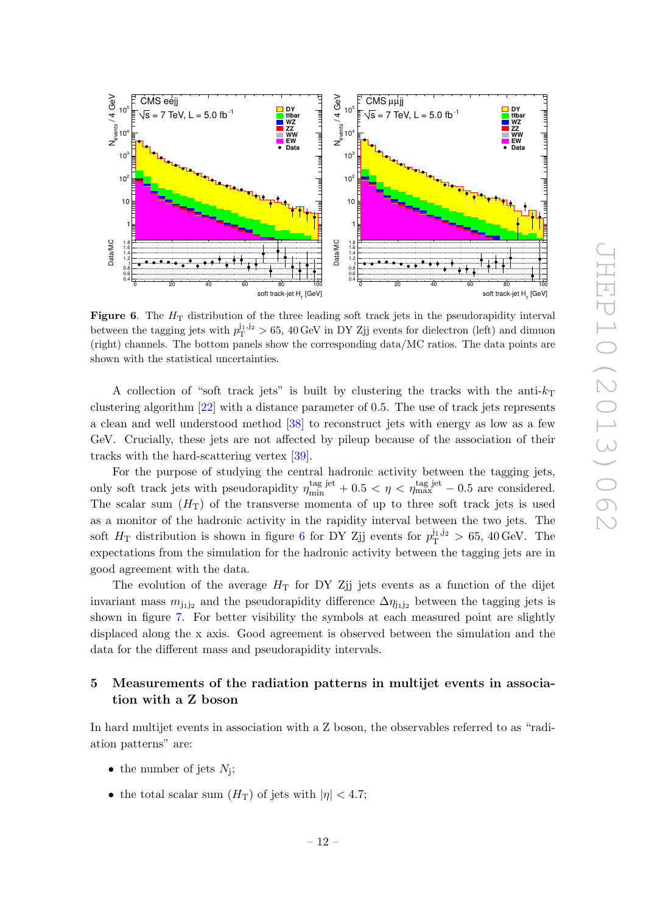

<span id="page-12-1"></span>Figure 6. The  $H_T$  distribution of the three leading soft track jets in the pseudorapidity interval between the tagging jets with  $p_{\text{T}}^{j_1,j_2} > 65$ , 40 GeV in DY Zjj events for dielectron (left) and dimuon (right) channels. The bottom panels show the corresponding data/MC ratios. The data points are shown with the statistical uncertainties.

A collection of "soft track jets" is built by clustering the tracks with the anti- $k_T$ clustering algorithm [\[22\]](#page-24-8) with a distance parameter of 0.5. The use of track jets represents a clean and well understood method [\[38\]](#page-25-4) to reconstruct jets with energy as low as a few GeV. Crucially, these jets are not affected by pileup because of the association of their tracks with the hard-scattering vertex [\[39\]](#page-25-5).

For the purpose of studying the central hadronic activity between the tagging jets, only soft track jets with pseudorapidity  $\eta_{\min}^{\text{tag jet}} + 0.5 < \eta < \eta_{\max}^{\text{tag jet}} - 0.5$  are considered. The scalar sum  $(H_T)$  of the transverse momenta of up to three soft track jets is used as a monitor of the hadronic activity in the rapidity interval between the two jets. The soft  $H_{\rm T}$  distribution is shown in figure [6](#page-12-1) for DY Zjj events for  $p_{\rm T}^{\rm j_1,j_2} > 65$ , 40 GeV. The expectations from the simulation for the hadronic activity between the tagging jets are in good agreement with the data.

The evolution of the average  $H_T$  for DY Zjj jets events as a function of the dijet invariant mass  $m_{j_1j_2}$  and the pseudorapidity difference  $\Delta \eta_{j_1j_2}$  between the tagging jets is shown in figure [7.](#page-13-2) For better visibility the symbols at each measured point are slightly displaced along the x axis. Good agreement is observed between the simulation and the data for the different mass and pseudorapidity intervals.

# <span id="page-12-0"></span>5 Measurements of the radiation patterns in multijet events in association with a Z boson

In hard multijet events in association with a Z boson, the observables referred to as "radiation patterns" are:

- the number of jets  $N_j$ ;
- the total scalar sum  $(H_T)$  of jets with  $|\eta| < 4.7$ ;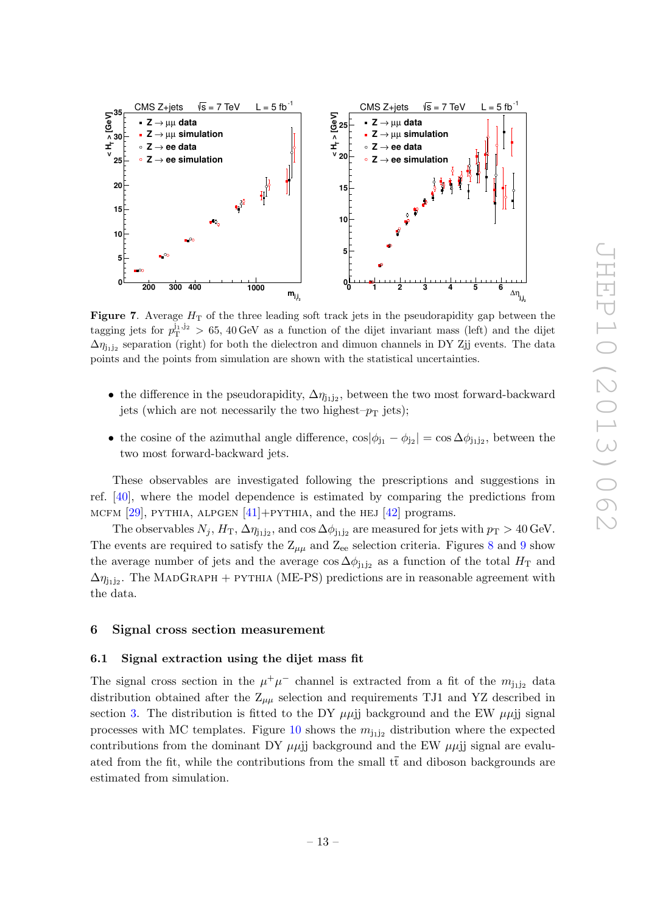

<span id="page-13-2"></span>**Figure 7.** Average  $H_T$  of the three leading soft track jets in the pseudorapidity gap between the tagging jets for  $p_T^{j_1,j_2} > 65$ , 40 GeV as a function of the dijet invariant mass (left) and the dijet  $\Delta \eta_{j_1 j_2}$  separation (right) for both the dielectron and dimuon channels in DY Zjj events. The data points and the points from simulation are shown with the statistical uncertainties.

- the difference in the pseudorapidity,  $\Delta \eta_{j_1 j_2}$ , between the two most forward-backward jets (which are not necessarily the two highest– $p_T$  jets);
- the cosine of the azimuthal angle difference,  $\cos|\phi_{j_1} \phi_{j_2}| = \cos \Delta \phi_{j_1 j_2}$ , between the two most forward-backward jets.

These observables are investigated following the prescriptions and suggestions in ref. [\[40\]](#page-25-6), where the model dependence is estimated by comparing the predictions from MCFM  $[29]$ , PYTHIA, ALPGEN  $[41]$ +PYTHIA, and the HEJ  $[42]$  programs.

The observables  $N_j, H_T, \Delta \eta_{\text{j1j2}},$  and  $\cos \Delta \phi_{\text{j1j2}}$  are measured for jets with  $p_T > 40\,\text{GeV}$ . The events are required to satisfy the  $Z_{\mu\mu}$  and  $Z_{ee}$  selection criteria. Figures [8](#page-14-0) and [9](#page-14-1) show the average number of jets and the average  $\cos \Delta \phi_{j_1 j_2}$  as a function of the total  $H_T$  and  $\Delta \eta_{j_1 j_2}$ . The MADGRAPH + PYTHIA (ME-PS) predictions are in reasonable agreement with the data.

# <span id="page-13-0"></span>6 Signal cross section measurement

### <span id="page-13-1"></span>6.1 Signal extraction using the dijet mass fit

The signal cross section in the  $\mu^+\mu^-$  channel is extracted from a fit of the  $m_{j_1j_2}$  data distribution obtained after the  $Z_{\mu\mu}$  selection and requirements TJ1 and YZ described in section [3.](#page-5-0) The distribution is fitted to the DY  $\mu\mu$ j background and the EW  $\mu\mu$ j signal processes with MC templates. Figure [10](#page-15-1) shows the  $m_{1,12}$  distribution where the expected contributions from the dominant DY  $\mu\mu$  is background and the EW  $\mu\mu$  is signal are evaluated from the fit, while the contributions from the small  $t\bar{t}$  and diboson backgrounds are estimated from simulation.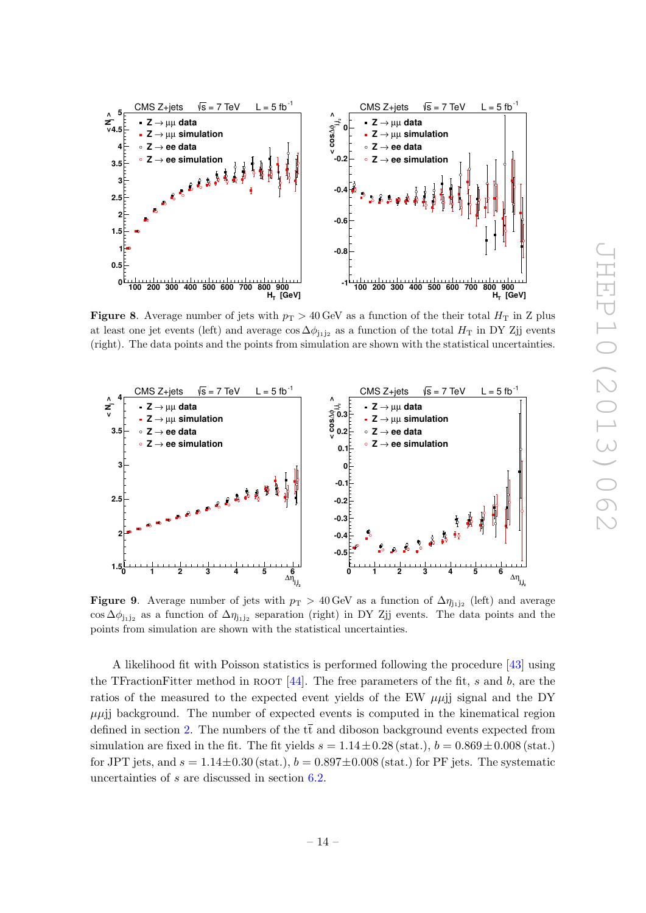

<span id="page-14-0"></span>**Figure 8.** Average number of jets with  $p_T > 40$  GeV as a function of the their total  $H_T$  in Z plus at least one jet events (left) and average  $\cos \Delta \phi_{j_1j_2}$  as a function of the total  $H_T$  in DY Zjj events (right). The data points and the points from simulation are shown with the statistical uncertainties.



<span id="page-14-1"></span>**Figure 9.** Average number of jets with  $p_T > 40 \,\text{GeV}$  as a function of  $\Delta \eta_{\text{j}_1 \text{j}_2}$  (left) and average  $\cos \Delta \phi_{j_1 j_2}$  as a function of  $\Delta \eta_{j_1 j_2}$  separation (right) in DY Zjj events. The data points and the points from simulation are shown with the statistical uncertainties.

A likelihood fit with Poisson statistics is performed following the procedure [\[43\]](#page-25-9) using the TFractionFitter method in ROOT  $[44]$ . The free parameters of the fit, s and b, are the ratios of the measured to the expected event yields of the EW  $\mu\mu$ j signal and the DY  $\mu\mu$ j background. The number of expected events is computed in the kinematical region defined in section [2.](#page-3-0) The numbers of the  $t\bar{t}$  and diboson background events expected from simulation are fixed in the fit. The fit yields  $s = 1.14 \pm 0.28$  (stat.),  $b = 0.869 \pm 0.008$  (stat.) for JPT jets, and  $s = 1.14 \pm 0.30$  (stat.),  $b = 0.897 \pm 0.008$  (stat.) for PF jets. The systematic uncertainties of s are discussed in section [6.2.](#page-15-0)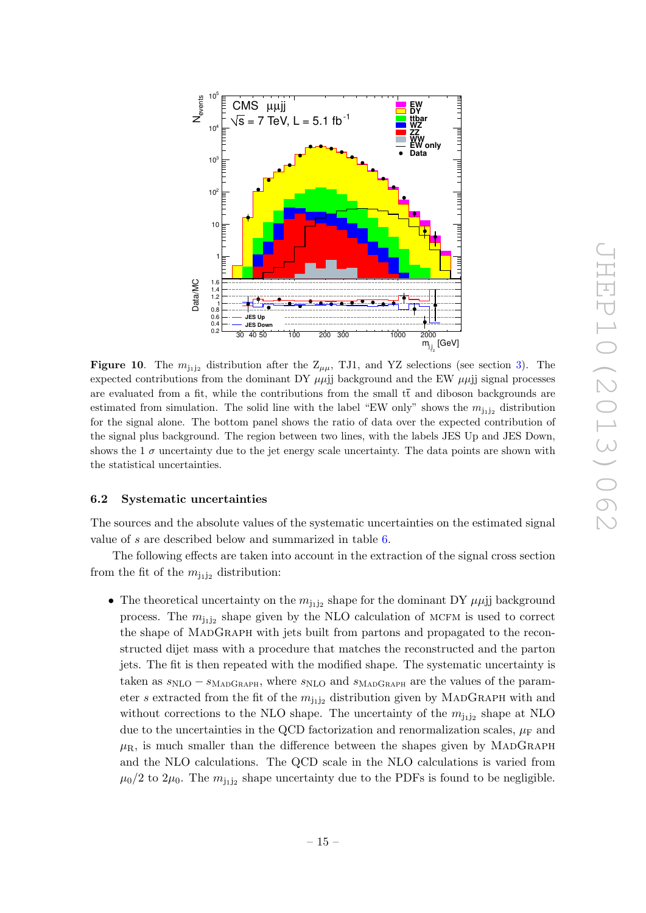

<span id="page-15-1"></span>**Figure 10.** The  $m_{j_1j_2}$  distribution after the  $Z_{\mu\mu}$ , TJ1, and YZ selections (see section [3\)](#page-5-0). The expected contributions from the dominant DY  $\mu\mu$ jj background and the EW  $\mu\mu$ jj signal processes are evaluated from a fit, while the contributions from the small  $t\bar{t}$  and diboson backgrounds are estimated from simulation. The solid line with the label "EW only" shows the  $m_{j_1j_2}$  distribution for the signal alone. The bottom panel shows the ratio of data over the expected contribution of the signal plus background. The region between two lines, with the labels JES Up and JES Down, shows the  $1\sigma$  uncertainty due to the jet energy scale uncertainty. The data points are shown with the statistical uncertainties.

#### <span id="page-15-0"></span>6.2 Systematic uncertainties

The sources and the absolute values of the systematic uncertainties on the estimated signal value of s are described below and summarized in table [6.](#page-16-0)

The following effects are taken into account in the extraction of the signal cross section from the fit of the  $m_{i_1i_2}$  distribution:

• The theoretical uncertainty on the  $m_{j_1 j_2}$  shape for the dominant DY  $\mu \mu$ jj background process. The  $m_{j_1j_2}$  shape given by the NLO calculation of MCFM is used to correct the shape of MADGRAPH with jets built from partons and propagated to the reconstructed dijet mass with a procedure that matches the reconstructed and the parton jets. The fit is then repeated with the modified shape. The systematic uncertainty is taken as  $s_{\rm NLO} - s_{\rm MADGRAPH}$ , where  $s_{\rm NLO}$  and  $s_{\rm MADGRAPH}$  are the values of the parameter s extracted from the fit of the  $m_{j_1j_2}$  distribution given by MADGRAPH with and without corrections to the NLO shape. The uncertainty of the  $m_{j_1j_2}$  shape at NLO due to the uncertainties in the QCD factorization and renormalization scales,  $\mu_F$  and  $\mu_{\rm R}$ , is much smaller than the difference between the shapes given by MADGRAPH and the NLO calculations. The QCD scale in the NLO calculations is varied from  $\mu_0/2$  to  $2\mu_0$ . The  $m_{j_1j_2}$  shape uncertainty due to the PDFs is found to be negligible.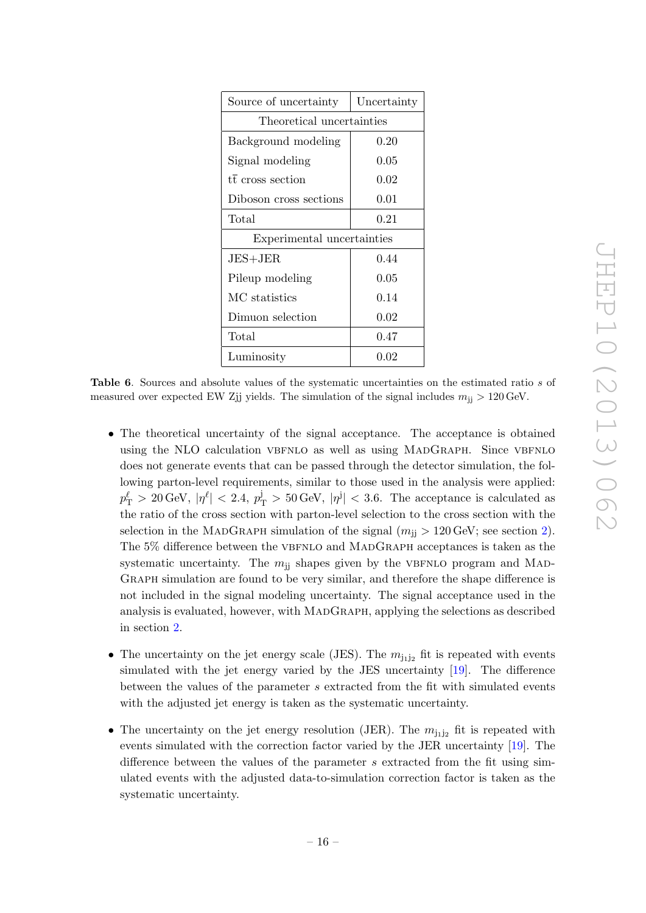| Source of uncertainty      | Uncertainty |  |  |  |
|----------------------------|-------------|--|--|--|
| Theoretical uncertainties  |             |  |  |  |
| Background modeling        | 0.20        |  |  |  |
| Signal modeling            | $0.05\,$    |  |  |  |
| $t\bar{t}$ cross section   | 0.02        |  |  |  |
| Diboson cross sections     | 0.01        |  |  |  |
| Total                      | 0.21        |  |  |  |
| Experimental uncertainties |             |  |  |  |
| $JES+JER$                  | 0.44        |  |  |  |
| Pileup modeling            | 0.05        |  |  |  |
| MC statistics              | 0.14        |  |  |  |
| Dimuon selection           | $0.02\,$    |  |  |  |
| Total                      | 0.47        |  |  |  |
| Luminosity                 | $0.02\,$    |  |  |  |

<span id="page-16-0"></span>Table 6. Sources and absolute values of the systematic uncertainties on the estimated ratio s of measured over expected EW Zjj yields. The simulation of the signal includes  $m_{ii} > 120 \,\text{GeV}$ .

- The theoretical uncertainty of the signal acceptance. The acceptance is obtained using the NLO calculation VBFNLO as well as using MADGRAPH. Since VBFNLO does not generate events that can be passed through the detector simulation, the following parton-level requirements, similar to those used in the analysis were applied:  $p_{\rm T}^{\ell} > 20 \,\text{GeV}, |\eta^{\ell}| < 2.4, p_{\rm T}^{\rm j} > 50 \,\text{GeV}, |\eta^{\rm j}| < 3.6$ . The acceptance is calculated as the ratio of the cross section with parton-level selection to the cross section with the selection in the MADGRAPH simulation of the signal  $(m_{ii} > 120 \,\text{GeV})$ ; see section [2\)](#page-3-0). The 5% difference between the VBFNLO and MADGRAPH acceptances is taken as the systematic uncertainty. The  $m_{ii}$  shapes given by the VBFNLO program and MAD-Graph simulation are found to be very similar, and therefore the shape difference is not included in the signal modeling uncertainty. The signal acceptance used in the analysis is evaluated, however, with MadGraph, applying the selections as described in section [2.](#page-3-0)
- The uncertainty on the jet energy scale (JES). The  $m_{j_1j_2}$  fit is repeated with events simulated with the jet energy varied by the JES uncertainty [\[19\]](#page-24-5). The difference between the values of the parameter s extracted from the fit with simulated events with the adjusted jet energy is taken as the systematic uncertainty.
- The uncertainty on the jet energy resolution (JER). The  $m_{1,12}$  fit is repeated with events simulated with the correction factor varied by the JER uncertainty [\[19\]](#page-24-5). The difference between the values of the parameter s extracted from the fit using simulated events with the adjusted data-to-simulation correction factor is taken as the systematic uncertainty.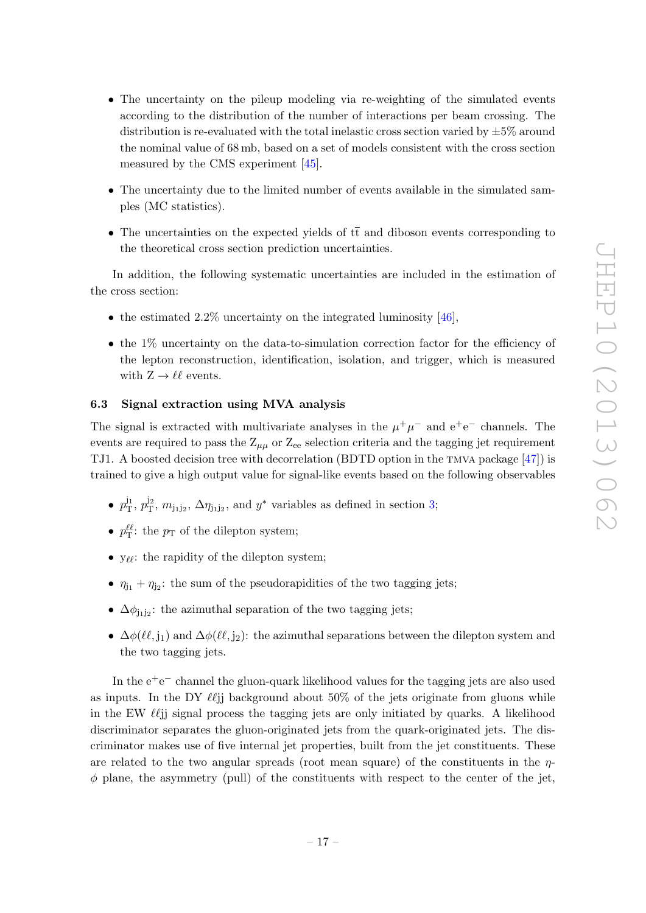- The uncertainty on the pileup modeling via re-weighting of the simulated events according to the distribution of the number of interactions per beam crossing. The distribution is re-evaluated with the total inelastic cross section varied by  $\pm 5\%$  around the nominal value of 68 mb, based on a set of models consistent with the cross section measured by the CMS experiment [\[45\]](#page-25-11).
- The uncertainty due to the limited number of events available in the simulated samples (MC statistics).
- The uncertainties on the expected yields of  $t\bar{t}$  and diboson events corresponding to the theoretical cross section prediction uncertainties.

In addition, the following systematic uncertainties are included in the estimation of the cross section:

- the estimated 2.2% uncertainty on the integrated luminosity  $[46]$ ,
- the 1% uncertainty on the data-to-simulation correction factor for the efficiency of the lepton reconstruction, identification, isolation, and trigger, which is measured with  $Z \rightarrow \ell \ell$  events.

#### <span id="page-17-0"></span>6.3 Signal extraction using MVA analysis

The signal is extracted with multivariate analyses in the  $\mu^+\mu^-$  and  $e^+e^-$  channels. The events are required to pass the  $Z_{\mu\mu}$  or  $Z_{ee}$  selection criteria and the tagging jet requirement TJ1. A boosted decision tree with decorrelation (BDTD option in the tmva package [\[47\]](#page-25-13)) is trained to give a high output value for signal-like events based on the following observables

- $\bullet~~p_{\textrm{T}}^{\textrm{j}_1}$  $j_1$ ,  $p_{\rm T}^{\rm j_2}$  $j_1^j$ ,  $m_{j_1j_2}$ ,  $\Delta \eta_{j_1j_2}$ , and  $y^*$  variables as defined in section [3;](#page-5-0)
- $p_{\mathrm{T}}^{\ell\ell}$ : the  $p_{\mathrm{T}}$  of the dilepton system;
- $y_{\ell\ell}$ : the rapidity of the dilepton system;
- $\eta_{j_1} + \eta_{j_2}$ : the sum of the pseudorapidities of the two tagging jets;
- $\Delta \phi_{j_1 j_2}$ : the azimuthal separation of the two tagging jets;
- $\Delta\phi(\ell\ell, j_1)$  and  $\Delta\phi(\ell\ell, j_2)$ : the azimuthal separations between the dilepton system and the two tagging jets.

In the  $e^+e^-$  channel the gluon-quark likelihood values for the tagging jets are also used as inputs. In the DY  $\ell\ell j$  background about 50% of the jets originate from gluons while in the EW  $\ell_{ij}$  signal process the tagging jets are only initiated by quarks. A likelihood discriminator separates the gluon-originated jets from the quark-originated jets. The discriminator makes use of five internal jet properties, built from the jet constituents. These are related to the two angular spreads (root mean square) of the constituents in the  $\eta$ - $\phi$  plane, the asymmetry (pull) of the constituents with respect to the center of the jet.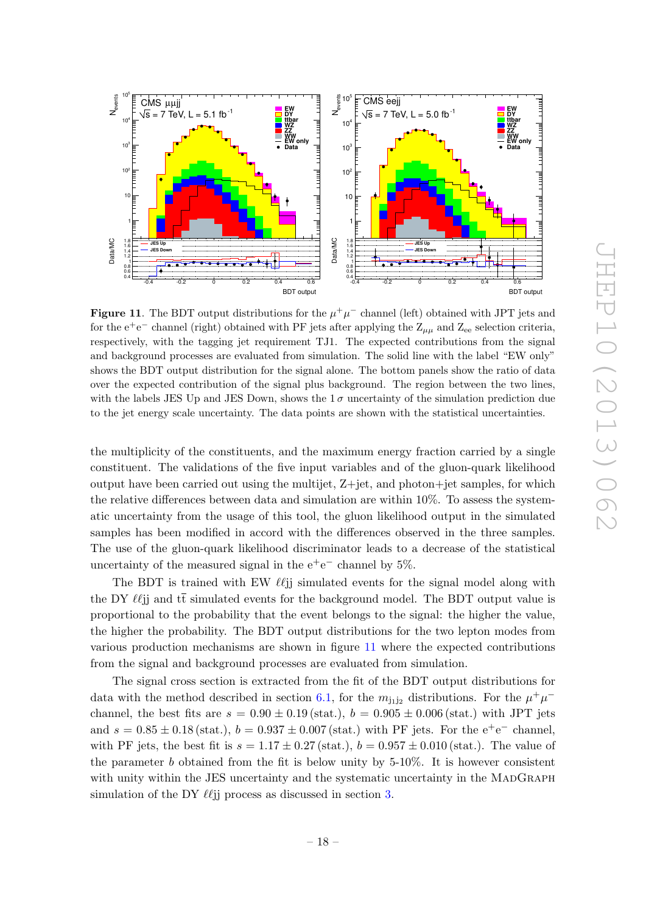

<span id="page-18-0"></span>**Figure 11**. The BDT output distributions for the  $\mu^+\mu^-$  channel (left) obtained with JPT jets and for the  $e^+e^-$  channel (right) obtained with PF jets after applying the  $Z_{\mu\mu}$  and  $Z_{ee}$  selection criteria, respectively, with the tagging jet requirement TJ1. The expected contributions from the signal and background processes are evaluated from simulation. The solid line with the label "EW only" shows the BDT output distribution for the signal alone. The bottom panels show the ratio of data over the expected contribution of the signal plus background. The region between the two lines, with the labels JES Up and JES Down, shows the  $1\sigma$  uncertainty of the simulation prediction due to the jet energy scale uncertainty. The data points are shown with the statistical uncertainties.

the multiplicity of the constituents, and the maximum energy fraction carried by a single constituent. The validations of the five input variables and of the gluon-quark likelihood output have been carried out using the multijet,  $Z+jet$ , and photon+jet samples, for which the relative differences between data and simulation are within 10%. To assess the systematic uncertainty from the usage of this tool, the gluon likelihood output in the simulated samples has been modified in accord with the differences observed in the three samples. The use of the gluon-quark likelihood discriminator leads to a decrease of the statistical uncertainty of the measured signal in the  $e^+e^-$  channel by 5%.

The BDT is trained with EW  $\ell\ell$  is simulated events for the signal model along with the DY  $\ell\ell$  ij and  $t\bar{t}$  simulated events for the background model. The BDT output value is proportional to the probability that the event belongs to the signal: the higher the value, the higher the probability. The BDT output distributions for the two lepton modes from various production mechanisms are shown in figure [11](#page-18-0) where the expected contributions from the signal and background processes are evaluated from simulation.

The signal cross section is extracted from the fit of the BDT output distributions for data with the method described in section [6.1,](#page-13-1) for the  $m_{j_1j_2}$  distributions. For the  $\mu^+\mu^$ channel, the best fits are  $s = 0.90 \pm 0.19$  (stat.),  $b = 0.905 \pm 0.006$  (stat.) with JPT jets and  $s = 0.85 \pm 0.18$  (stat.),  $b = 0.937 \pm 0.007$  (stat.) with PF jets. For the  $e^+e^-$  channel, with PF jets, the best fit is  $s = 1.17 \pm 0.27$  (stat.),  $b = 0.957 \pm 0.010$  (stat.). The value of the parameter b obtained from the fit is below unity by  $5-10\%$ . It is however consistent with unity within the JES uncertainty and the systematic uncertainty in the MADGRAPH simulation of the DY  $\ell\ell$  process as discussed in section [3.](#page-5-0)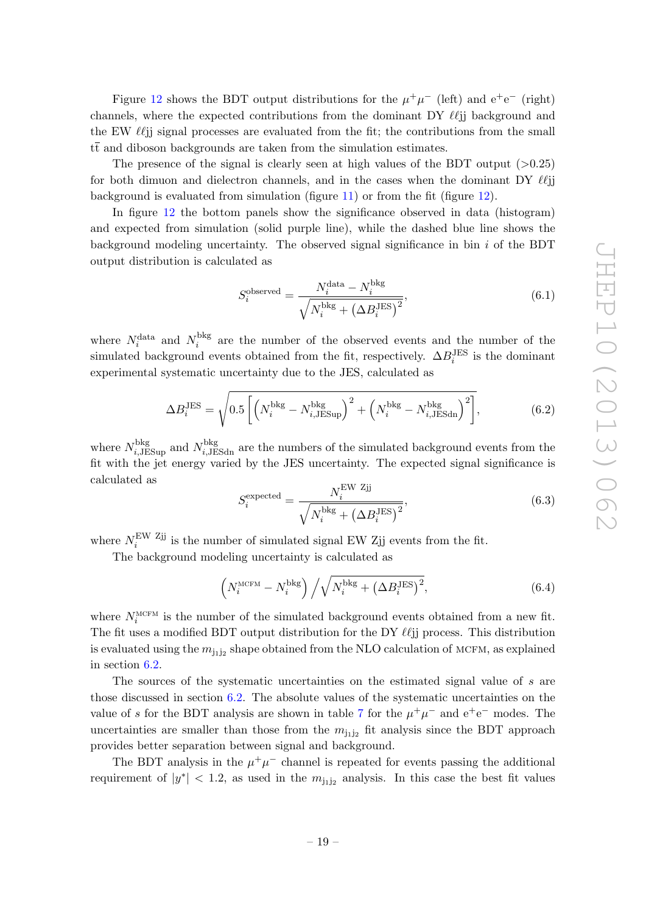Figure [12](#page-20-1) shows the BDT output distributions for the  $\mu^+\mu^-$  (left) and  $e^+e^-$  (right) channels, where the expected contributions from the dominant DY  $\ell\ell$  ij background and the EW  $\ell_{ij}$  signal processes are evaluated from the fit; the contributions from the small  $t\bar{t}$  and diboson backgrounds are taken from the simulation estimates.

The presence of the signal is clearly seen at high values of the BDT output  $(>0.25)$ for both dimuon and dielectron channels, and in the cases when the dominant DY  $\ell \ell j j$ background is evaluated from simulation (figure [11\)](#page-18-0) or from the fit (figure [12\)](#page-20-1).

In figure [12](#page-20-1) the bottom panels show the significance observed in data (histogram) and expected from simulation (solid purple line), while the dashed blue line shows the background modeling uncertainty. The observed signal significance in bin  $i$  of the BDT output distribution is calculated as

$$
S_i^{\text{observed}} = \frac{N_i^{\text{data}} - N_i^{\text{bkg}}}{\sqrt{N_i^{\text{bkg}} + (\Delta B_i^{\text{JES}})^2}},\tag{6.1}
$$

where  $N_i^{\text{data}}$  and  $N_i^{\text{bkg}}$ <sup>bkg</sup> are the number of the observed events and the number of the simulated background events obtained from the fit, respectively.  $\Delta B_i^{\text{JES}}$  is the dominant experimental systematic uncertainty due to the JES, calculated as

$$
\Delta B_i^{\text{JES}} = \sqrt{0.5 \left[ \left( N_i^{\text{bkg}} - N_{i,\text{JESup}}^{\text{bkg}} \right)^2 + \left( N_i^{\text{bkg}} - N_{i,\text{JESdn}}^{\text{bkg}} \right)^2 \right]},\tag{6.2}
$$

where  $N_{i,\text{JESup}}^{\text{bkg}}$  and  $N_{i,\text{JESdn}}^{\text{bkg}}$  are the numbers of the simulated background events from the fit with the jet energy varied by the JES uncertainty. The expected signal significance is calculated as

$$
S_i^{\text{expected}} = \frac{N_i^{\text{EW Zjj}}}{\sqrt{N_i^{\text{bkg}} + (\Delta B_i^{\text{JES}})^2}},\tag{6.3}
$$

where  $N_i^{\text{EW Zjj}}$  $i_i^{\text{EW ZJJ}}$  is the number of simulated signal EW Zjj events from the fit.

The background modeling uncertainty is calculated as

$$
\left(N_i^{\text{MCFM}} - N_i^{\text{bkg}}\right) / \sqrt{N_i^{\text{bkg}} + \left(\Delta B_i^{\text{JES}}\right)^2},\tag{6.4}
$$

where  $N_i^{\text{MCFM}}$  is the number of the simulated background events obtained from a new fit. The fit uses a modified BDT output distribution for the DY  $\ell\ell$  process. This distribution is evaluated using the  $m_{j_1j_2}$  shape obtained from the NLO calculation of MCFM, as explained in section [6.2.](#page-15-0)

The sources of the systematic uncertainties on the estimated signal value of s are those discussed in section [6.2.](#page-15-0) The absolute values of the systematic uncertainties on the value of s for the BDT analysis are shown in table [7](#page-21-0) for the  $\mu^+\mu^-$  and  $e^+e^-$  modes. The uncertainties are smaller than those from the  $m_{11j2}$  fit analysis since the BDT approach provides better separation between signal and background.

The BDT analysis in the  $\mu^+\mu^-$  channel is repeated for events passing the additional requirement of  $|y^*|$  < 1.2, as used in the  $m_{j_1j_2}$  analysis. In this case the best fit values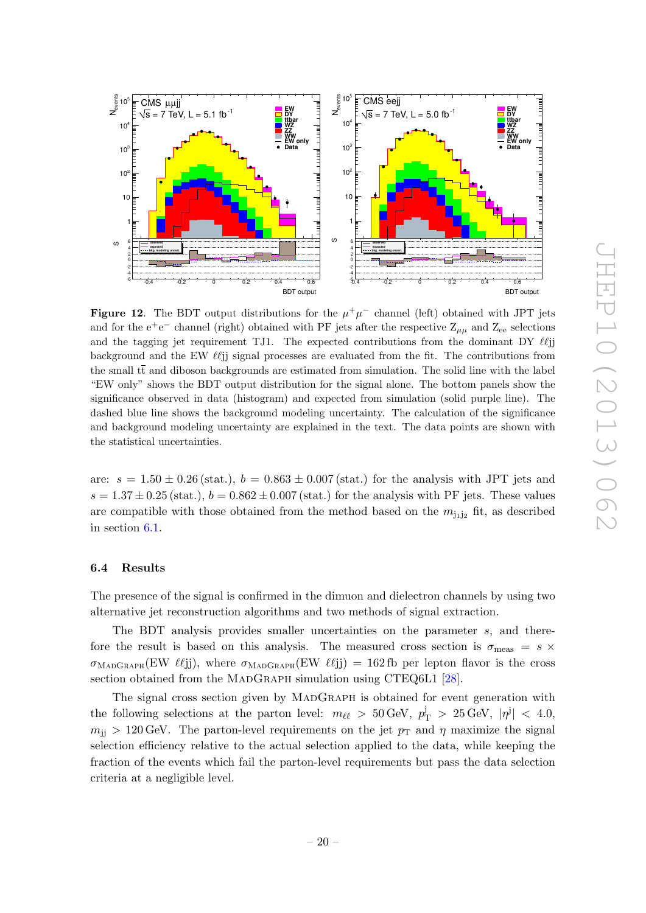

<span id="page-20-1"></span>Figure 12. The BDT output distributions for the  $\mu^+\mu^-$  channel (left) obtained with JPT jets and for the  $e^+e^-$  channel (right) obtained with PF jets after the respective  $Z_{\mu\mu}$  and  $Z_{ee}$  selections and the tagging jet requirement TJ1. The expected contributions from the dominant DY  $\ell_{ij}$ background and the EW  $\ell_{ij}$  signal processes are evaluated from the fit. The contributions from the small  $t\bar{t}$  and diboson backgrounds are estimated from simulation. The solid line with the label "EW only" shows the BDT output distribution for the signal alone. The bottom panels show the significance observed in data (histogram) and expected from simulation (solid purple line). The dashed blue line shows the background modeling uncertainty. The calculation of the significance and background modeling uncertainty are explained in the text. The data points are shown with the statistical uncertainties.

are:  $s = 1.50 \pm 0.26$  (stat.),  $b = 0.863 \pm 0.007$  (stat.) for the analysis with JPT jets and  $s = 1.37 \pm 0.25$  (stat.),  $b = 0.862 \pm 0.007$  (stat.) for the analysis with PF jets. These values are compatible with those obtained from the method based on the  $m_{1,12}$  fit, as described in section [6.1.](#page-13-1)

### <span id="page-20-0"></span>6.4 Results

The presence of the signal is confirmed in the dimuon and dielectron channels by using two alternative jet reconstruction algorithms and two methods of signal extraction.

The BDT analysis provides smaller uncertainties on the parameter s, and therefore the result is based on this analysis. The measured cross section is  $\sigma_{\text{meas}} = s \times$  $\sigma_{\text{MADGRAPH}}(EW \ell jj),$  where  $\sigma_{\text{MADGRAPH}}(EW \ell jj) = 162$  fb per lepton flavor is the cross section obtained from the MADGRAPH simulation using CTEQ6L1 [\[28\]](#page-24-14).

The signal cross section given by MADGRAPH is obtained for event generation with the following selections at the parton level:  $m_{\ell\ell} > 50 \,\text{GeV}, p_{\text{T}}^{\text{j}} > 25 \,\text{GeV}, |\eta^{\text{j}}| < 4.0,$  $m_{\rm ii} > 120 \,\text{GeV}$ . The parton-level requirements on the jet  $p_{\rm T}$  and  $\eta$  maximize the signal selection efficiency relative to the actual selection applied to the data, while keeping the fraction of the events which fail the parton-level requirements but pass the data selection criteria at a negligible level.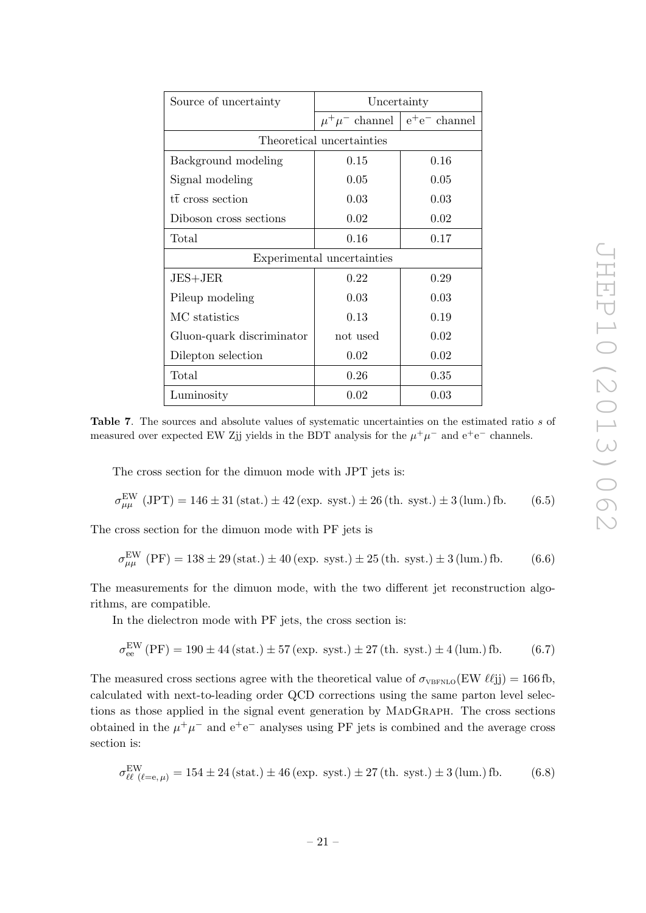| $ratio\ s\ of$<br>nels. |  |
|-------------------------|--|
|                         |  |
|                         |  |
| (6.5)                   |  |
|                         |  |

| Source of uncertainty      | Uncertainty               |                  |  |  |
|----------------------------|---------------------------|------------------|--|--|
|                            | $\mu^+\mu^-$ channel      | $e^+e^-$ channel |  |  |
|                            | Theoretical uncertainties |                  |  |  |
| Background modeling        | 0.15                      | 0.16             |  |  |
| Signal modeling            | 0.05                      | 0.05             |  |  |
| $t\bar{t}$ cross section   | 0.03                      | 0.03             |  |  |
| Diboson cross sections     | 0.02                      | 0.02             |  |  |
| Total                      | 0.16                      | 0.17             |  |  |
| Experimental uncertainties |                           |                  |  |  |
| $JES+JER$                  | 0.22                      | 0.29             |  |  |
| Pileup modeling            | 0.03                      | 0.03             |  |  |
| MC statistics              | 0.13                      | 0.19             |  |  |
| Gluon-quark discriminator  | not used                  | 0.02             |  |  |
| Dilepton selection         | 0.02                      | 0.02             |  |  |
| Total                      | 0.26                      | 0.35             |  |  |
| Luminosity                 | 0.02                      | 0.03             |  |  |

<span id="page-21-0"></span>Table 7. The sources and absolute values of systematic uncertainties on the estimated measured over expected EW Zjj yields in the BDT analysis for the  $\mu^+\mu^-$  and  $e^+e^-$  channels.

The cross section for the dimuon mode with JPT jets is:

$$
\sigma_{\mu\mu}^{\text{EW}} \text{ (JPT)} = 146 \pm 31 \text{ (stat.)} \pm 42 \text{ (exp. syst.)} \pm 26 \text{ (th. syst.)} \pm 3 \text{ (lum.)} \text{ fb.} \tag{6.5}
$$

The cross section for the dimuon mode with PF jets is

$$
\sigma_{\mu\mu}^{\text{EW}}\,\,(\text{PF}) = 138 \pm 29 \,\text{(stat.)} \pm 40 \,\text{(exp. syst.)} \pm 25 \,\text{(th. syst.)} \pm 3 \,\text{(lum.)} \,\text{fb.} \tag{6.6}
$$

The measurements for the dimuon mode, with the two different jet reconstruction algorithms, are compatible.

In the dielectron mode with PF jets, the cross section is:

$$
\sigma_{ee}^{EW} (PF) = 190 \pm 44 \, \text{(stat.)} \pm 57 \, \text{(exp. syst.)} \pm 27 \, \text{(th. syst.)} \pm 4 \, \text{(lum.)} \, \text{fb.} \tag{6.7}
$$

The measured cross sections agree with the theoretical value of  $\sigma_{\text{VBFNLO}}(EW \ell\ell jj) = 166 \text{ fb}$ , calculated with next-to-leading order QCD corrections using the same parton level selections as those applied in the signal event generation by MadGraph. The cross sections obtained in the  $\mu^+\mu^-$  and  $e^+e^-$  analyses using PF jets is combined and the average cross section is:

$$
\sigma_{\ell\ell\ (\ell = e,\,\mu)}^{\text{EW}} = 154 \pm 24 \, (\text{stat.}) \pm 46 \, (\text{exp. syst.}) \pm 27 \, (\text{th. syst.}) \pm 3 \, (\text{lum.}) \, \text{fb.} \tag{6.8}
$$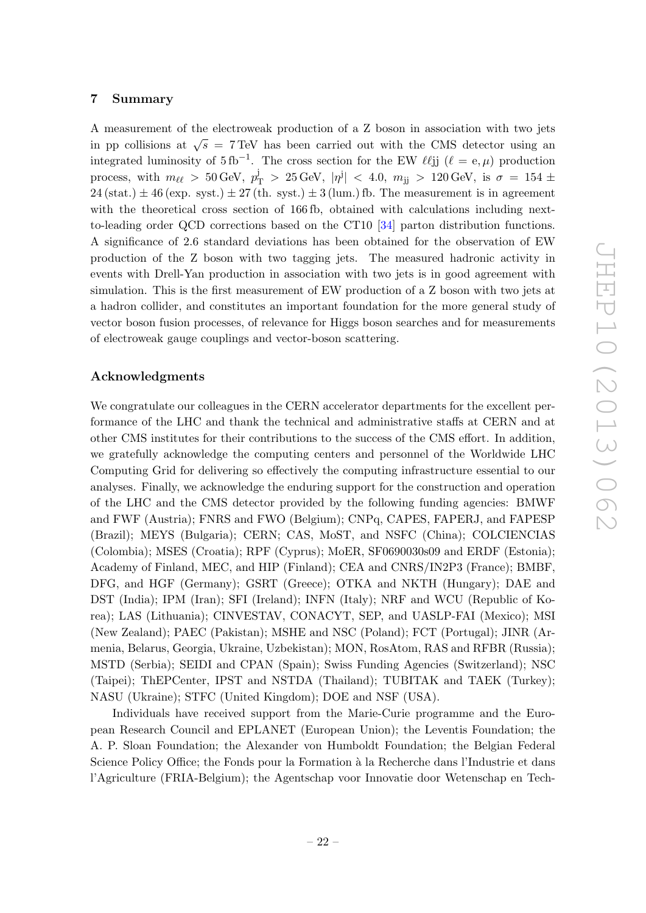# <span id="page-22-0"></span>7 Summary

A measurement of the electroweak production of a Z boson in association with two jets in pp collisions at  $\sqrt{s}$  = 7 TeV has been carried out with the CMS detector using an integrated luminosity of 5 fb<sup>-1</sup>. The cross section for the EW  $\ell\ell j$  ( $\ell = e, \mu$ ) production process, with  $m_{\ell\ell} > 50 \,\text{GeV}, p_{\rm T}^{\rm j} > 25 \,\text{GeV}, |\eta^{\rm j}| < 4.0, m_{\rm jj} > 120 \,\text{GeV}, \text{ is } \sigma = 154 \pm$  $24 \text{ (stat.)} \pm 46 \text{ (exp. syst.)} \pm 27 \text{ (th. syst.)} \pm 3 \text{ (lum.)}$  fb. The measurement is in agreement with the theoretical cross section of 166 fb, obtained with calculations including nextto-leading order QCD corrections based on the CT10 [\[34\]](#page-25-0) parton distribution functions. A significance of 2.6 standard deviations has been obtained for the observation of EW production of the Z boson with two tagging jets. The measured hadronic activity in events with Drell-Yan production in association with two jets is in good agreement with simulation. This is the first measurement of EW production of a Z boson with two jets at a hadron collider, and constitutes an important foundation for the more general study of vector boson fusion processes, of relevance for Higgs boson searches and for measurements of electroweak gauge couplings and vector-boson scattering.

### Acknowledgments

We congratulate our colleagues in the CERN accelerator departments for the excellent performance of the LHC and thank the technical and administrative staffs at CERN and at other CMS institutes for their contributions to the success of the CMS effort. In addition, we gratefully acknowledge the computing centers and personnel of the Worldwide LHC Computing Grid for delivering so effectively the computing infrastructure essential to our analyses. Finally, we acknowledge the enduring support for the construction and operation of the LHC and the CMS detector provided by the following funding agencies: BMWF and FWF (Austria); FNRS and FWO (Belgium); CNPq, CAPES, FAPERJ, and FAPESP (Brazil); MEYS (Bulgaria); CERN; CAS, MoST, and NSFC (China); COLCIENCIAS (Colombia); MSES (Croatia); RPF (Cyprus); MoER, SF0690030s09 and ERDF (Estonia); Academy of Finland, MEC, and HIP (Finland); CEA and CNRS/IN2P3 (France); BMBF, DFG, and HGF (Germany); GSRT (Greece); OTKA and NKTH (Hungary); DAE and DST (India); IPM (Iran); SFI (Ireland); INFN (Italy); NRF and WCU (Republic of Korea); LAS (Lithuania); CINVESTAV, CONACYT, SEP, and UASLP-FAI (Mexico); MSI (New Zealand); PAEC (Pakistan); MSHE and NSC (Poland); FCT (Portugal); JINR (Armenia, Belarus, Georgia, Ukraine, Uzbekistan); MON, RosAtom, RAS and RFBR (Russia); MSTD (Serbia); SEIDI and CPAN (Spain); Swiss Funding Agencies (Switzerland); NSC (Taipei); ThEPCenter, IPST and NSTDA (Thailand); TUBITAK and TAEK (Turkey); NASU (Ukraine); STFC (United Kingdom); DOE and NSF (USA).

Individuals have received support from the Marie-Curie programme and the European Research Council and EPLANET (European Union); the Leventis Foundation; the A. P. Sloan Foundation; the Alexander von Humboldt Foundation; the Belgian Federal Science Policy Office; the Fonds pour la Formation à la Recherche dans l'Industrie et dans l'Agriculture (FRIA-Belgium); the Agentschap voor Innovatie door Wetenschap en Tech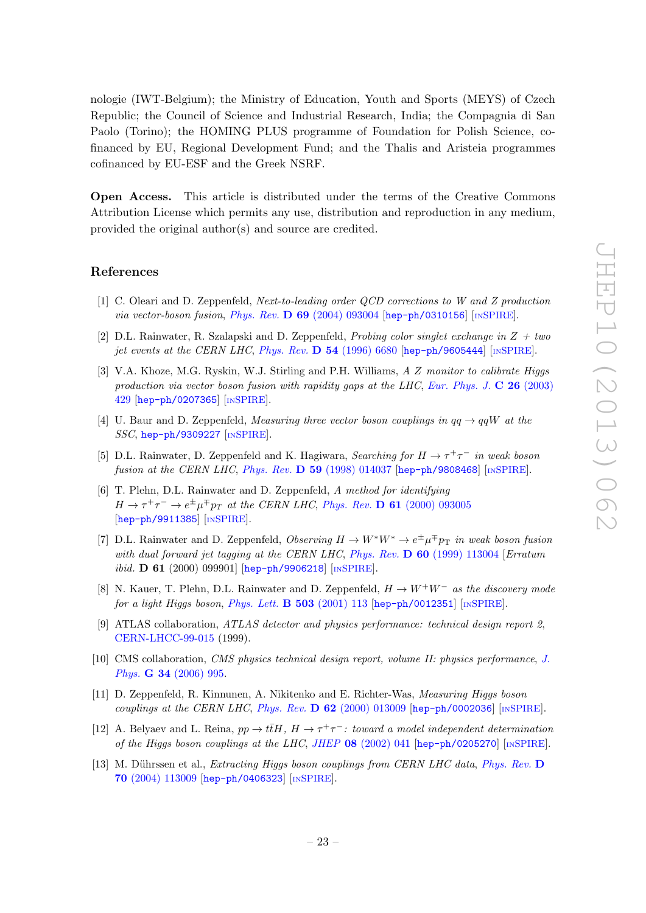nologie (IWT-Belgium); the Ministry of Education, Youth and Sports (MEYS) of Czech Republic; the Council of Science and Industrial Research, India; the Compagnia di San Paolo (Torino); the HOMING PLUS programme of Foundation for Polish Science, cofinanced by EU, Regional Development Fund; and the Thalis and Aristeia programmes cofinanced by EU-ESF and the Greek NSRF.

Open Access. This article is distributed under the terms of the Creative Commons Attribution License which permits any use, distribution and reproduction in any medium, provided the original author(s) and source are credited.

# References

- <span id="page-23-0"></span>[1] C. Oleari and D. Zeppenfeld, Next-to-leading order QCD corrections to W and Z production via vector-boson fusion, Phys. Rev.  $\bf{D}$  69 [\(2004\) 093004](http://dx.doi.org/10.1103/PhysRevD.69.093004) [[hep-ph/0310156](http://arxiv.org/abs/hep-ph/0310156)] [IN[SPIRE](http://inspirehep.net/search?p=find+EPRINT+hep-ph/0310156)].
- <span id="page-23-1"></span>[2] D.L. Rainwater, R. Szalapski and D. Zeppenfeld, Probing color singlet exchange in  $Z + two$ jet events at the CERN LHC, Phys. Rev. D 54 [\(1996\) 6680](http://dx.doi.org/10.1103/PhysRevD.54.6680) [[hep-ph/9605444](http://arxiv.org/abs/hep-ph/9605444)] [IN[SPIRE](http://inspirehep.net/search?p=find+EPRINT+hep-ph/9605444)].
- <span id="page-23-2"></span>[3] V.A. Khoze, M.G. Ryskin, W.J. Stirling and P.H. Williams, A Z monitor to calibrate Higgs production via vector boson fusion with rapidity gaps at the LHC, [Eur. Phys. J.](http://dx.doi.org/10.1140/epjc/s2002-01069-2)  $\bf{C}$  26 (2003) [429](http://dx.doi.org/10.1140/epjc/s2002-01069-2) [[hep-ph/0207365](http://arxiv.org/abs/hep-ph/0207365)] [IN[SPIRE](http://inspirehep.net/search?p=find+EPRINT+hep-ph/0207365)].
- <span id="page-23-3"></span>[4] U. Baur and D. Zeppenfeld, *Measuring three vector boson couplings in*  $qq \rightarrow qqW$  *at the*  $SSC$ , [hep-ph/9309227](http://arxiv.org/abs/hep-ph/9309227) [IN[SPIRE](http://inspirehep.net/search?p=find+EPRINT+hep-ph/9309227)].
- <span id="page-23-4"></span>[5] D.L. Rainwater, D. Zeppenfeld and K. Hagiwara, Searching for  $H \to \tau^+\tau^-$  in weak boson fusion at the CERN LHC, Phys. Rev.  $\bf{D}$  59 [\(1998\) 014037](http://dx.doi.org/10.1103/PhysRevD.59.014037) [[hep-ph/9808468](http://arxiv.org/abs/hep-ph/9808468)] [IN[SPIRE](http://inspirehep.net/search?p=find+EPRINT+hep-ph/9808468)].
- [6] T. Plehn, D.L. Rainwater and D. Zeppenfeld, A method for identifying  $H \rightarrow \tau^+\tau^- \rightarrow e^{\pm}\mu^{\mp}p_T$  at the CERN LHC, Phys. Rev. **D** 61 [\(2000\) 093005](http://dx.doi.org/10.1103/PhysRevD.61.093005) [[hep-ph/9911385](http://arxiv.org/abs/hep-ph/9911385)] [IN[SPIRE](http://inspirehep.net/search?p=find+EPRINT+hep-ph/9911385)].
- [7] D.L. Rainwater and D. Zeppenfeld, Observing  $H \to W^*W^* \to e^{\pm} \mu^{\mp} p_T$  in weak boson fusion with dual forward jet tagging at the CERN LHC, Phys. Rev.  $\bf{D}$  60 [\(1999\) 113004](http://dx.doi.org/10.1103/PhysRevD.61.099901) [Erratum ibid. **D 61** (2000) 099901] [[hep-ph/9906218](http://arxiv.org/abs/hep-ph/9906218)] [IN[SPIRE](http://inspirehep.net/search?p=find+EPRINT+hep-ph/9906218)].
- <span id="page-23-5"></span>[8] N. Kauer, T. Plehn, D.L. Rainwater and D. Zeppenfeld,  $H \to W^+W^-$  as the discovery mode for a light Higgs boson, [Phys. Lett.](http://dx.doi.org/10.1016/S0370-2693(01)00211-8)  $\bf{B}$  503 (2001) 113 [[hep-ph/0012351](http://arxiv.org/abs/hep-ph/0012351)] [IN[SPIRE](http://inspirehep.net/search?p=find+EPRINT+hep-ph/0012351)].
- <span id="page-23-6"></span>[9] ATLAS collaboration, ATLAS detector and physics performance: technical design report 2, [CERN-LHCC-99-015](http://cds.cern.ch/record/391177) (1999).
- <span id="page-23-7"></span>[10] CMS collaboration, CMS physics technical design report, volume II: physics performance, [J.](http://dx.doi.org/10.1088/0954-3899/34/6/S01) Phys. G 34 [\(2006\) 995.](http://dx.doi.org/10.1088/0954-3899/34/6/S01)
- <span id="page-23-8"></span>[11] D. Zeppenfeld, R. Kinnunen, A. Nikitenko and E. Richter-Was, Measuring Higgs boson couplings at the CERN LHC, Phys. Rev.  $\bf{D}$  62 [\(2000\) 013009](http://dx.doi.org/10.1103/PhysRevD.62.013009) [[hep-ph/0002036](http://arxiv.org/abs/hep-ph/0002036)] [IN[SPIRE](http://inspirehep.net/search?p=find+EPRINT+hep-ph/0002036)].
- [12] A. Belyaev and L. Reina,  $pp \to t\bar{t}H$ ,  $H \to \tau^+\tau^-$ : toward a model independent determination of the Higgs boson couplings at the LHC, JHEP  $\overline{OB}$  [\(2002\) 041](http://dx.doi.org/10.1088/1126-6708/2002/08/041) [[hep-ph/0205270](http://arxiv.org/abs/hep-ph/0205270)] [IN[SPIRE](http://inspirehep.net/search?p=find+EPRINT+hep-ph/0205270)].
- <span id="page-23-9"></span>[13] M. Dührssen et al., *Extracting Higgs boson couplings from CERN LHC data, [Phys. Rev.](http://dx.doi.org/10.1103/PhysRevD.70.113009)* D 70 [\(2004\) 113009](http://dx.doi.org/10.1103/PhysRevD.70.113009) [[hep-ph/0406323](http://arxiv.org/abs/hep-ph/0406323)] [IN[SPIRE](http://inspirehep.net/search?p=find+EPRINT+hep-ph/0406323)].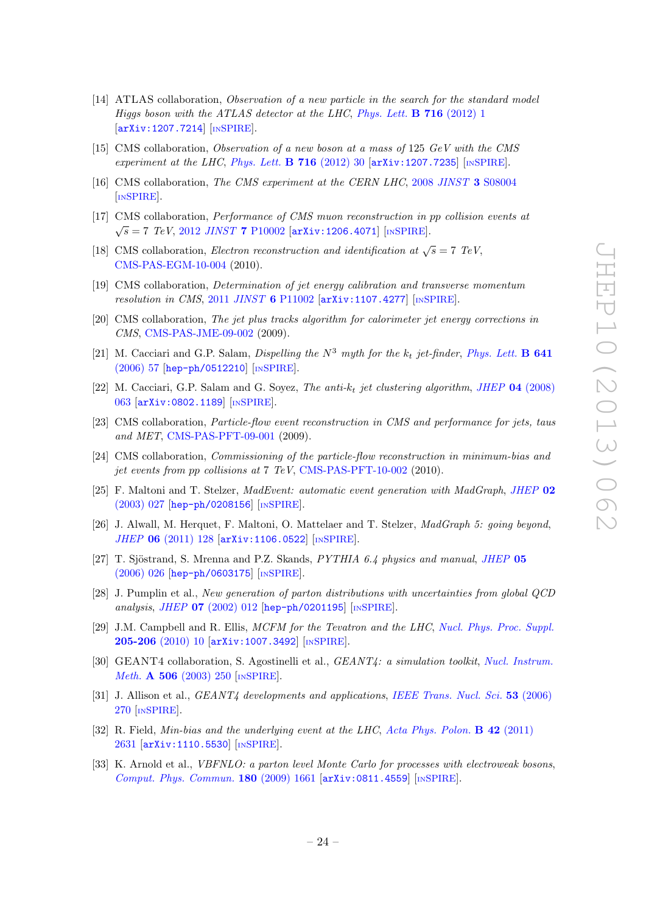- <span id="page-24-0"></span>[14] ATLAS collaboration, Observation of a new particle in the search for the standard model Higgs boson with the ATLAS detector at the LHC, [Phys. Lett.](http://dx.doi.org/10.1016/j.physletb.2012.08.020) B 716 (2012) 1 [[arXiv:1207.7214](http://arxiv.org/abs/1207.7214)] [IN[SPIRE](http://inspirehep.net/search?p=find+EPRINT+arXiv:1207.7214)].
- <span id="page-24-1"></span>[15] CMS collaboration, Observation of a new boson at a mass of 125 GeV with the CMS experiment at the LHC, [Phys. Lett.](http://dx.doi.org/10.1016/j.physletb.2012.08.021) **B 716** (2012) 30  $\left[$ [arXiv:1207.7235](http://arxiv.org/abs/1207.7235) $\right]$   $\left[$ IN[SPIRE](http://inspirehep.net/search?p=find+EPRINT+arXiv:1207.7235) $\right]$ .
- <span id="page-24-2"></span>[16] CMS collaboration, The CMS experiment at the CERN LHC, 2008 JINST 3 [S08004](http://dx.doi.org/10.1088/1748-0221/3/08/S08004) [IN[SPIRE](http://inspirehep.net/search?p=find+J+JINST,3,S08004)].
- <span id="page-24-3"></span>[17] CMS collaboration, Performance of CMS muon reconstruction in pp collision events at √  $\sqrt{s} = 7$  TeV, 2012 JINST 7 [P10002](http://dx.doi.org/10.1088/1748-0221/7/10/P10002) [[arXiv:1206.4071](http://arxiv.org/abs/1206.4071)] [IN[SPIRE](http://inspirehep.net/search?p=find+EPRINT+arXiv:1206.4071)].
- <span id="page-24-4"></span>[18] CMS collaboration, *Electron reconstruction and identification at*  $\sqrt{s} = 7$  TeV, [CMS-PAS-EGM-10-004](http://cds.cern.ch/record/1299116) (2010).
- <span id="page-24-5"></span>[19] CMS collaboration, Determination of jet energy calibration and transverse momentum resolution in CMS, 2011 JINST 6 [P11002](http://dx.doi.org/10.1088/1748-0221/6/11/P11002) [[arXiv:1107.4277](http://arxiv.org/abs/1107.4277)] [IN[SPIRE](http://inspirehep.net/search?p=find+EPRINT+arXiv:1107.4277)].
- <span id="page-24-6"></span>[20] CMS collaboration, The jet plus tracks algorithm for calorimeter jet energy corrections in CMS, [CMS-PAS-JME-09-002](http://cds.cern.ch/record/1190234) (2009).
- <span id="page-24-7"></span>[21] M. Cacciari and G.P. Salam, *Dispelling the*  $N^3$  myth for the  $k_t$  jet-finder, [Phys. Lett.](http://dx.doi.org/10.1016/j.physletb.2006.08.037) **B 641** [\(2006\) 57](http://dx.doi.org/10.1016/j.physletb.2006.08.037) [[hep-ph/0512210](http://arxiv.org/abs/hep-ph/0512210)] [IN[SPIRE](http://inspirehep.net/search?p=find+EPRINT+hep-ph/0512210)].
- <span id="page-24-8"></span>[22] M. Cacciari, G.P. Salam and G. Soyez, The anti- $k_t$  jet clustering algorithm, JHEP 04 [\(2008\)](http://dx.doi.org/10.1088/1126-6708/2008/04/063) [063](http://dx.doi.org/10.1088/1126-6708/2008/04/063) [[arXiv:0802.1189](http://arxiv.org/abs/0802.1189)] [IN[SPIRE](http://inspirehep.net/search?p=find+EPRINT+arXiv:0802.1189)].
- <span id="page-24-9"></span>[23] CMS collaboration, Particle-flow event reconstruction in CMS and performance for jets, taus and MET, [CMS-PAS-PFT-09-001](http://cds.cern.ch/record/1194487) (2009).
- <span id="page-24-10"></span>[24] CMS collaboration, Commissioning of the particle-flow reconstruction in minimum-bias and jet events from pp collisions at 7 TeV, [CMS-PAS-PFT-10-002](http://cds.cern.ch/record/1279341) (2010).
- <span id="page-24-11"></span>[25] F. Maltoni and T. Stelzer, MadEvent: automatic event generation with MadGraph, [JHEP](http://dx.doi.org/10.1088/1126-6708/2003/02/027) 02 [\(2003\) 027](http://dx.doi.org/10.1088/1126-6708/2003/02/027) [[hep-ph/0208156](http://arxiv.org/abs/hep-ph/0208156)] [IN[SPIRE](http://inspirehep.net/search?p=find+EPRINT+hep-ph/0208156)].
- <span id="page-24-12"></span>[26] J. Alwall, M. Herquet, F. Maltoni, O. Mattelaer and T. Stelzer, MadGraph 5: going beyond, JHEP 06 [\(2011\) 128](http://dx.doi.org/10.1007/JHEP06(2011)128) [[arXiv:1106.0522](http://arxiv.org/abs/1106.0522)] [IN[SPIRE](http://inspirehep.net/search?p=find+EPRINT+arXiv:1106.0522)].
- <span id="page-24-13"></span>[27] T. Sjöstrand, S. Mrenna and P.Z. Skands,  $PYTHIA$  6.4 physics and manual, [JHEP](http://dx.doi.org/10.1088/1126-6708/2006/05/026) 05 [\(2006\) 026](http://dx.doi.org/10.1088/1126-6708/2006/05/026) [[hep-ph/0603175](http://arxiv.org/abs/hep-ph/0603175)] [IN[SPIRE](http://inspirehep.net/search?p=find+EPRINT+hep-ph/0603175)].
- <span id="page-24-14"></span>[28] J. Pumplin et al., New generation of parton distributions with uncertainties from global QCD analysis, JHEP 07 [\(2002\) 012](http://dx.doi.org/10.1088/1126-6708/2002/07/012) [[hep-ph/0201195](http://arxiv.org/abs/hep-ph/0201195)] [IN[SPIRE](http://inspirehep.net/search?p=find+EPRINT+hep-ph/0201195)].
- <span id="page-24-15"></span>[29] J.M. Campbell and R. Ellis, MCFM for the Tevatron and the LHC, [Nucl. Phys. Proc. Suppl.](http://dx.doi.org/10.1016/j.nuclphysBPS.2010.08.011) 205-206 [\(2010\) 10](http://dx.doi.org/10.1016/j.nuclphysBPS.2010.08.011) [[arXiv:1007.3492](http://arxiv.org/abs/1007.3492)] [IN[SPIRE](http://inspirehep.net/search?p=find+EPRINT+arXiv:1007.3492)].
- <span id="page-24-16"></span>[30] GEANT4 collaboration, S. Agostinelli et al.,  $GEANT4$ : a simulation toolkit, [Nucl. Instrum.](http://dx.doi.org/10.1016/S0168-9002(03)01368-8) Meth. A 506 [\(2003\) 250](http://dx.doi.org/10.1016/S0168-9002(03)01368-8) [IN[SPIRE](http://inspirehep.net/search?p=find+J+Nucl.Instrum.Meth.,A506,250)].
- <span id="page-24-17"></span>[31] J. Allison et al., *GEANT4* developments and applications, *[IEEE Trans. Nucl. Sci.](http://dx.doi.org/10.1109/TNS.2006.869826)* 53 (2006) [270](http://dx.doi.org/10.1109/TNS.2006.869826) [IN[SPIRE](http://inspirehep.net/search?p=find+J+IETNA,53,270)].
- <span id="page-24-18"></span>[32] R. Field, Min-bias and the underlying event at the LHC, [Acta Phys. Polon.](http://dx.doi.org/10.5506/APhysPolB.42.2631) **B** 42 (2011) [2631](http://dx.doi.org/10.5506/APhysPolB.42.2631) [[arXiv:1110.5530](http://arxiv.org/abs/1110.5530)] [IN[SPIRE](http://inspirehep.net/search?p=find+EPRINT+arXiv:1110.5530)].
- <span id="page-24-19"></span>[33] K. Arnold et al., *VBFNLO: a parton level Monte Carlo for processes with electroweak bosons*, [Comput. Phys. Commun.](http://dx.doi.org/10.1016/j.cpc.2009.03.006) 180 (2009) 1661 [[arXiv:0811.4559](http://arxiv.org/abs/0811.4559)] [IN[SPIRE](http://inspirehep.net/search?p=find+EPRINT+arXiv:0811.4559)].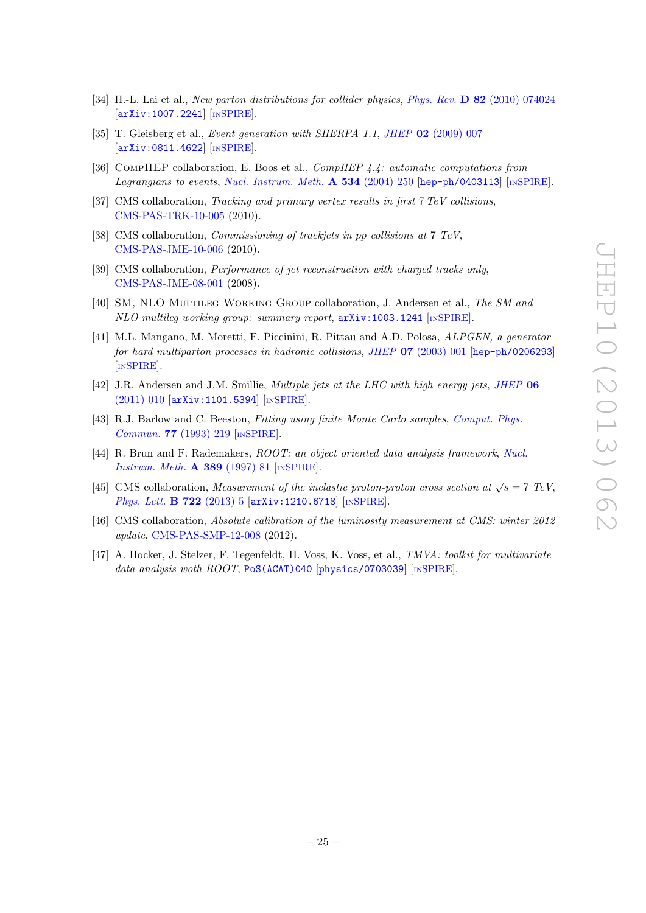- <span id="page-25-0"></span>[34] H.-L. Lai et al., New parton distributions for collider physics, Phys. Rev. D 82 [\(2010\) 074024](http://dx.doi.org/10.1103/PhysRevD.82.074024) [[arXiv:1007.2241](http://arxiv.org/abs/1007.2241)] [IN[SPIRE](http://inspirehep.net/search?p=find+EPRINT+arXiv:1007.2241)].
- <span id="page-25-1"></span>[35] T. Gleisberg et al., *Event generation with SHERPA 1.1*, *JHEP* 02 [\(2009\) 007](http://dx.doi.org/10.1088/1126-6708/2009/02/007) [[arXiv:0811.4622](http://arxiv.org/abs/0811.4622)] [IN[SPIRE](http://inspirehep.net/search?p=find+EPRINT+arXiv:0811.4622)].
- <span id="page-25-2"></span>[36] CompHEP collaboration, E. Boos et al., CompHEP 4.4: automatic computations from Lagrangians to events, [Nucl. Instrum. Meth.](http://dx.doi.org/10.1016/j.nima.2004.07.096)  $\bf{A}$  534 (2004) 250 [[hep-ph/0403113](http://arxiv.org/abs/hep-ph/0403113)] [IN[SPIRE](http://inspirehep.net/search?p=find+EPRINT+hep-ph/0403113)].
- <span id="page-25-3"></span>[37] CMS collaboration, *Tracking and primary vertex results in first*  $7 TeV$  collisions, [CMS-PAS-TRK-10-005](http://cds.cern.ch/record/1279383) (2010).
- <span id="page-25-4"></span>[38] CMS collaboration, Commissioning of trackjets in pp collisions at 7 TeV, [CMS-PAS-JME-10-006](http://cds.cern.ch/record/1275133) (2010).
- <span id="page-25-5"></span>[39] CMS collaboration, *Performance of jet reconstruction with charged tracks only*, [CMS-PAS-JME-08-001](http://cds.cern.ch/record/1198681) (2008).
- <span id="page-25-6"></span>[40] SM, NLO Multileg Working Group collaboration, J. Andersen et al., The SM and  $NLO$  multileg working group: summary report,  $arXiv:1003.1241$  [IN[SPIRE](http://inspirehep.net/search?p=find+EPRINT+arXiv:1003.1241)].
- <span id="page-25-7"></span>[41] M.L. Mangano, M. Moretti, F. Piccinini, R. Pittau and A.D. Polosa, ALPGEN, a generator for hard multiparton processes in hadronic collisions, JHEP 07 [\(2003\) 001](http://dx.doi.org/10.1088/1126-6708/2003/07/001) [[hep-ph/0206293](http://arxiv.org/abs/hep-ph/0206293)] [IN[SPIRE](http://inspirehep.net/search?p=find+EPRINT+hep-ph/0206293)].
- <span id="page-25-8"></span>[42] J.R. Andersen and J.M. Smillie, *Multiple jets at the LHC with high energy jets, [JHEP](http://dx.doi.org/10.1007/JHEP06(2011)010)* 06 [\(2011\) 010](http://dx.doi.org/10.1007/JHEP06(2011)010) [[arXiv:1101.5394](http://arxiv.org/abs/1101.5394)] [IN[SPIRE](http://inspirehep.net/search?p=find+EPRINT+arXiv:1101.5394)].
- <span id="page-25-9"></span>[43] R.J. Barlow and C. Beeston, Fitting using finite Monte Carlo samples, [Comput. Phys.](http://dx.doi.org/10.1016/0010-4655(93)90005-W) Commun. 77 [\(1993\) 219](http://dx.doi.org/10.1016/0010-4655(93)90005-W) [IN[SPIRE](http://inspirehep.net/search?p=find+J+Comput.Phys.Comm.,77,219)].
- <span id="page-25-10"></span>[44] R. Brun and F. Rademakers, ROOT: an object oriented data analysis framework, [Nucl.](http://dx.doi.org/10.1016/S0168-9002(97)00048-X) [Instrum. Meth.](http://dx.doi.org/10.1016/S0168-9002(97)00048-X) A 389 (1997) 81 [IN[SPIRE](http://inspirehep.net/search?p=find+J+Nucl.Instrum.Meth.,A389,81)].
- <span id="page-25-11"></span>[45] CMS collaboration, *Measurement of the inelastic proton-proton cross section at*  $\sqrt{s} = 7$  TeV, [Phys. Lett.](http://dx.doi.org/10.1016/j.physletb.2013.03.024) **B 722** (2013) 5 [[arXiv:1210.6718](http://arxiv.org/abs/1210.6718)] [IN[SPIRE](http://inspirehep.net/search?p=find+EPRINT+arXiv:1210.6718)].
- <span id="page-25-12"></span>[46] CMS collaboration, Absolute calibration of the luminosity measurement at CMS: winter 2012 update, [CMS-PAS-SMP-12-008](http://cds.cern.ch/record/1434360) (2012).
- <span id="page-25-13"></span>[47] A. Hocker, J. Stelzer, F. Tegenfeldt, H. Voss, K. Voss, et al., TMVA: toolkit for multivariate data analysis woth  $ROOT$ , [PoS\(ACAT\)040](http://pos.sissa.it/cgi-bin/reader/contribution.cgi?id=PoS(ACAT)040) [[physics/0703039](http://arxiv.org/abs/physics/0703039)] [IN[SPIRE](http://inspirehep.net/search?p=find+EPRINT+physics/0703039)].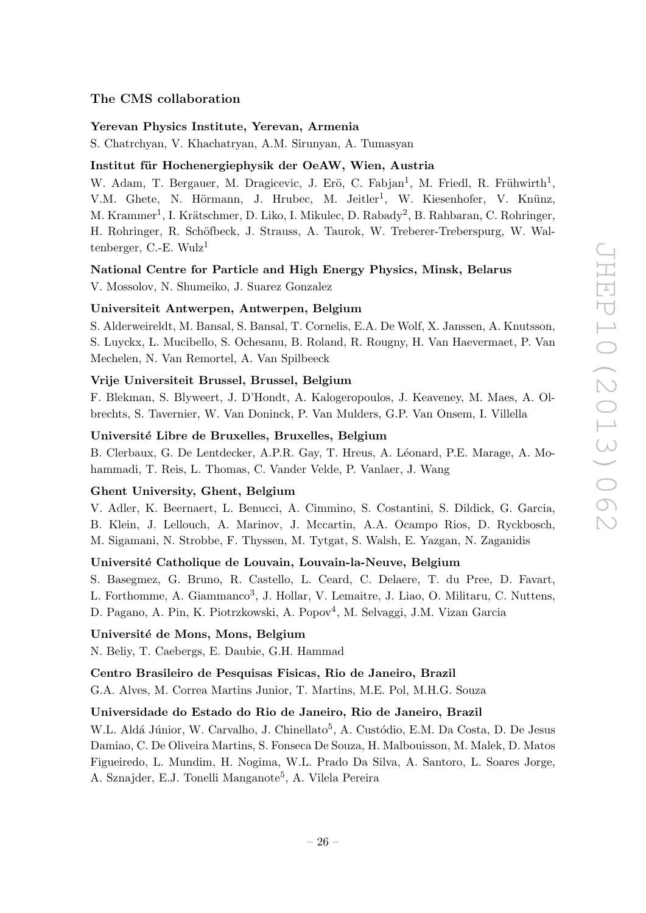# The CMS collaboration

#### <span id="page-26-0"></span>Yerevan Physics Institute, Yerevan, Armenia

S. Chatrchyan, V. Khachatryan, A.M. Sirunyan, A. Tumasyan

#### Institut für Hochenergiephysik der OeAW, Wien, Austria

W. Adam, T. Bergauer, M. Dragicevic, J. Erö, C. Fabjan<sup>1</sup>, M. Friedl, R. Frühwirth<sup>1</sup>, V.M. Ghete, N. Hörmann, J. Hrubec, M. Jeitler<sup>1</sup>, W. Kiesenhofer, V. Knünz, M. Krammer<sup>1</sup>, I. Krätschmer, D. Liko, I. Mikulec, D. Rabady<sup>2</sup>, B. Rahbaran, C. Rohringer, H. Rohringer, R. Schöfbeck, J. Strauss, A. Taurok, W. Treberer-Treberspurg, W. Waltenberger, C.-E. Wulz<sup>1</sup>

# National Centre for Particle and High Energy Physics, Minsk, Belarus

V. Mossolov, N. Shumeiko, J. Suarez Gonzalez

### Universiteit Antwerpen, Antwerpen, Belgium

S. Alderweireldt, M. Bansal, S. Bansal, T. Cornelis, E.A. De Wolf, X. Janssen, A. Knutsson, S. Luyckx, L. Mucibello, S. Ochesanu, B. Roland, R. Rougny, H. Van Haevermaet, P. Van Mechelen, N. Van Remortel, A. Van Spilbeeck

# Vrije Universiteit Brussel, Brussel, Belgium

F. Blekman, S. Blyweert, J. D'Hondt, A. Kalogeropoulos, J. Keaveney, M. Maes, A. Olbrechts, S. Tavernier, W. Van Doninck, P. Van Mulders, G.P. Van Onsem, I. Villella

# Université Libre de Bruxelles, Bruxelles, Belgium

B. Clerbaux, G. De Lentdecker, A.P.R. Gay, T. Hreus, A. Léonard, P.E. Marage, A. Mohammadi, T. Reis, L. Thomas, C. Vander Velde, P. Vanlaer, J. Wang

# Ghent University, Ghent, Belgium

V. Adler, K. Beernaert, L. Benucci, A. Cimmino, S. Costantini, S. Dildick, G. Garcia, B. Klein, J. Lellouch, A. Marinov, J. Mccartin, A.A. Ocampo Rios, D. Ryckbosch, M. Sigamani, N. Strobbe, F. Thyssen, M. Tytgat, S. Walsh, E. Yazgan, N. Zaganidis

# Université Catholique de Louvain, Louvain-la-Neuve, Belgium

S. Basegmez, G. Bruno, R. Castello, L. Ceard, C. Delaere, T. du Pree, D. Favart,

L. Forthomme, A. Giammanco<sup>3</sup>, J. Hollar, V. Lemaitre, J. Liao, O. Militaru, C. Nuttens,

D. Pagano, A. Pin, K. Piotrzkowski, A. Popov<sup>4</sup>, M. Selvaggi, J.M. Vizan Garcia

# Université de Mons, Mons, Belgium

N. Beliy, T. Caebergs, E. Daubie, G.H. Hammad

### Centro Brasileiro de Pesquisas Fisicas, Rio de Janeiro, Brazil

G.A. Alves, M. Correa Martins Junior, T. Martins, M.E. Pol, M.H.G. Souza

# Universidade do Estado do Rio de Janeiro, Rio de Janeiro, Brazil

W.L. Aldá Júnior, W. Carvalho, J. Chinellato<sup>5</sup>, A. Custódio, E.M. Da Costa, D. De Jesus Damiao, C. De Oliveira Martins, S. Fonseca De Souza, H. Malbouisson, M. Malek, D. Matos Figueiredo, L. Mundim, H. Nogima, W.L. Prado Da Silva, A. Santoro, L. Soares Jorge, A. Sznajder, E.J. Tonelli Manganote<sup>5</sup>, A. Vilela Pereira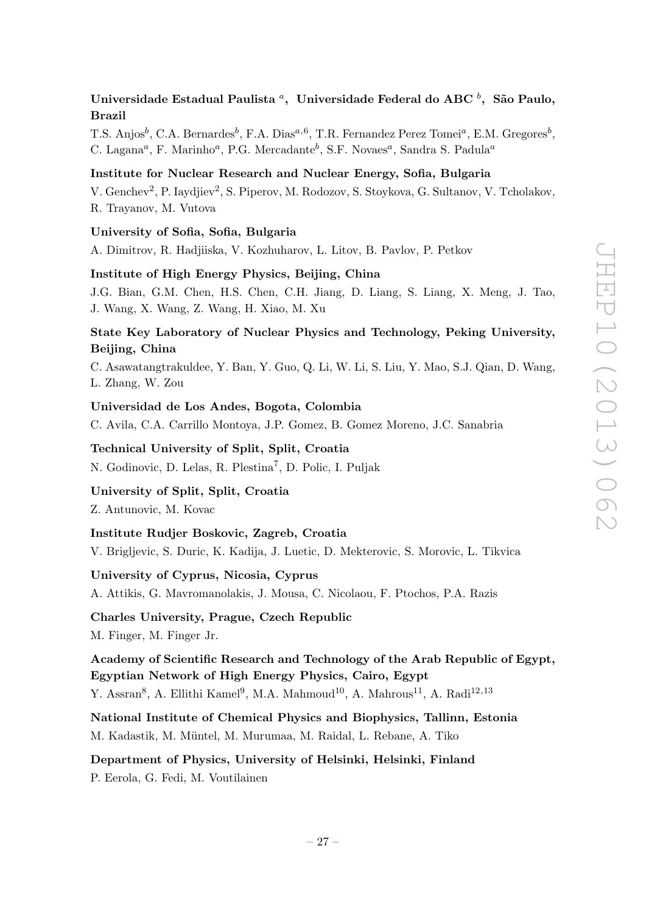# Universidade Estadual Paulista  $^a,\,$  Universidade Federal do ABC  $^b,\,$  São Paulo, Brazil

T.S. Anjos<sup>b</sup>, C.A. Bernardes<sup>b</sup>, F.A. Dias<sup>a, 6</sup>, T.R. Fernandez Perez Tomei<sup>a</sup>, E.M. Gregores<sup>b</sup>, C. Lagana<sup>a</sup>, F. Marinho<sup>a</sup>, P.G. Mercadante<sup>b</sup>, S.F. Novaes<sup>a</sup>, Sandra S. Padula<sup>a</sup>

# Institute for Nuclear Research and Nuclear Energy, Sofia, Bulgaria

V. Genchev<sup>2</sup>, P. Iaydjiev<sup>2</sup>, S. Piperov, M. Rodozov, S. Stoykova, G. Sultanov, V. Tcholakov, R. Trayanov, M. Vutova

# University of Sofia, Sofia, Bulgaria

A. Dimitrov, R. Hadjiiska, V. Kozhuharov, L. Litov, B. Pavlov, P. Petkov

# Institute of High Energy Physics, Beijing, China

J.G. Bian, G.M. Chen, H.S. Chen, C.H. Jiang, D. Liang, S. Liang, X. Meng, J. Tao, J. Wang, X. Wang, Z. Wang, H. Xiao, M. Xu

# State Key Laboratory of Nuclear Physics and Technology, Peking University, Beijing, China

C. Asawatangtrakuldee, Y. Ban, Y. Guo, Q. Li, W. Li, S. Liu, Y. Mao, S.J. Qian, D. Wang, L. Zhang, W. Zou

# Universidad de Los Andes, Bogota, Colombia

C. Avila, C.A. Carrillo Montoya, J.P. Gomez, B. Gomez Moreno, J.C. Sanabria

# Technical University of Split, Split, Croatia

N. Godinovic, D. Lelas, R. Plestina<sup>7</sup>, D. Polic, I. Puljak

# University of Split, Split, Croatia

Z. Antunovic, M. Kovac

# Institute Rudjer Boskovic, Zagreb, Croatia

V. Brigljevic, S. Duric, K. Kadija, J. Luetic, D. Mekterovic, S. Morovic, L. Tikvica

# University of Cyprus, Nicosia, Cyprus

A. Attikis, G. Mavromanolakis, J. Mousa, C. Nicolaou, F. Ptochos, P.A. Razis

### Charles University, Prague, Czech Republic

M. Finger, M. Finger Jr.

# Academy of Scientific Research and Technology of the Arab Republic of Egypt, Egyptian Network of High Energy Physics, Cairo, Egypt

Y. Assran<sup>8</sup>, A. Ellithi Kamel<sup>9</sup>, M.A. Mahmoud<sup>10</sup>, A. Mahrous<sup>11</sup>, A. Radi<sup>12,13</sup>

National Institute of Chemical Physics and Biophysics, Tallinn, Estonia M. Kadastik, M. Müntel, M. Murumaa, M. Raidal, L. Rebane, A. Tiko

#### Department of Physics, University of Helsinki, Helsinki, Finland

P. Eerola, G. Fedi, M. Voutilainen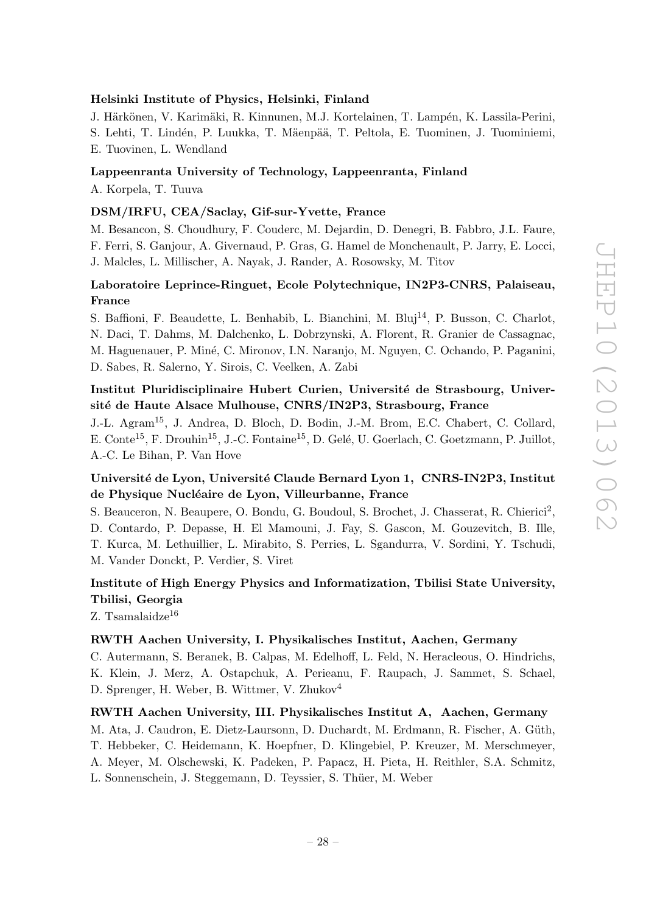### Helsinki Institute of Physics, Helsinki, Finland

J. Härkönen, V. Karimäki, R. Kinnunen, M.J. Kortelainen, T. Lampén, K. Lassila-Perini,

S. Lehti, T. Lindén, P. Luukka, T. Mäenpää, T. Peltola, E. Tuominen, J. Tuominiemi, E. Tuovinen, L. Wendland

### Lappeenranta University of Technology, Lappeenranta, Finland

A. Korpela, T. Tuuva

# DSM/IRFU, CEA/Saclay, Gif-sur-Yvette, France

M. Besancon, S. Choudhury, F. Couderc, M. Dejardin, D. Denegri, B. Fabbro, J.L. Faure, F. Ferri, S. Ganjour, A. Givernaud, P. Gras, G. Hamel de Monchenault, P. Jarry, E. Locci, J. Malcles, L. Millischer, A. Nayak, J. Rander, A. Rosowsky, M. Titov

# Laboratoire Leprince-Ringuet, Ecole Polytechnique, IN2P3-CNRS, Palaiseau, France

S. Baffioni, F. Beaudette, L. Benhabib, L. Bianchini, M. Bluj14, P. Busson, C. Charlot, N. Daci, T. Dahms, M. Dalchenko, L. Dobrzynski, A. Florent, R. Granier de Cassagnac, M. Haguenauer, P. Miné, C. Mironov, I.N. Naranjo, M. Nguyen, C. Ochando, P. Paganini, D. Sabes, R. Salerno, Y. Sirois, C. Veelken, A. Zabi

# Institut Pluridisciplinaire Hubert Curien, Université de Strasbourg, Université de Haute Alsace Mulhouse, CNRS/IN2P3, Strasbourg, France

J.-L. Agram15, J. Andrea, D. Bloch, D. Bodin, J.-M. Brom, E.C. Chabert, C. Collard, E. Conte<sup>15</sup>, F. Drouhin<sup>15</sup>, J.-C. Fontaine<sup>15</sup>, D. Gelé, U. Goerlach, C. Goetzmann, P. Juillot, A.-C. Le Bihan, P. Van Hove

# Université de Lyon, Université Claude Bernard Lyon 1, CNRS-IN2P3, Institut de Physique Nucléaire de Lyon, Villeurbanne, France

S. Beauceron, N. Beaupere, O. Bondu, G. Boudoul, S. Brochet, J. Chasserat, R. Chierici<sup>2</sup>, D. Contardo, P. Depasse, H. El Mamouni, J. Fay, S. Gascon, M. Gouzevitch, B. Ille, T. Kurca, M. Lethuillier, L. Mirabito, S. Perries, L. Sgandurra, V. Sordini, Y. Tschudi, M. Vander Donckt, P. Verdier, S. Viret

# Institute of High Energy Physics and Informatization, Tbilisi State University, Tbilisi, Georgia

Z. Tsamalaidze<sup>16</sup>

# RWTH Aachen University, I. Physikalisches Institut, Aachen, Germany

C. Autermann, S. Beranek, B. Calpas, M. Edelhoff, L. Feld, N. Heracleous, O. Hindrichs, K. Klein, J. Merz, A. Ostapchuk, A. Perieanu, F. Raupach, J. Sammet, S. Schael, D. Sprenger, H. Weber, B. Wittmer, V. Zhukov<sup>4</sup>

# RWTH Aachen University, III. Physikalisches Institut A, Aachen, Germany

M. Ata, J. Caudron, E. Dietz-Laursonn, D. Duchardt, M. Erdmann, R. Fischer, A. Güth, T. Hebbeker, C. Heidemann, K. Hoepfner, D. Klingebiel, P. Kreuzer, M. Merschmeyer, A. Meyer, M. Olschewski, K. Padeken, P. Papacz, H. Pieta, H. Reithler, S.A. Schmitz, L. Sonnenschein, J. Steggemann, D. Teyssier, S. Thüer, M. Weber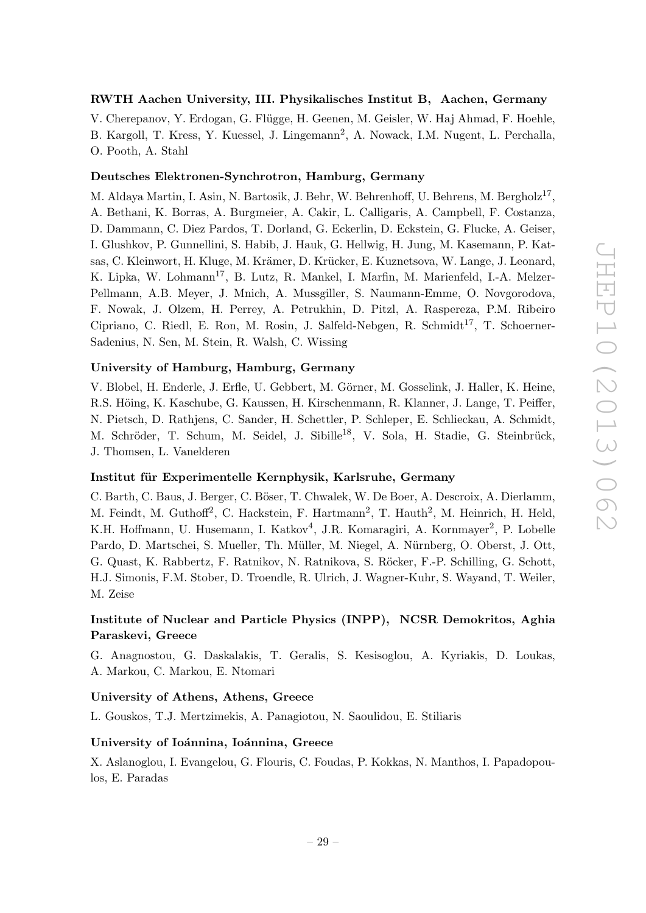### RWTH Aachen University, III. Physikalisches Institut B, Aachen, Germany

V. Cherepanov, Y. Erdogan, G. Flügge, H. Geenen, M. Geisler, W. Haj Ahmad, F. Hoehle, B. Kargoll, T. Kress, Y. Kuessel, J. Lingemann<sup>2</sup>, A. Nowack, I.M. Nugent, L. Perchalla, O. Pooth, A. Stahl

# Deutsches Elektronen-Synchrotron, Hamburg, Germany

M. Aldaya Martin, I. Asin, N. Bartosik, J. Behr, W. Behrenhoff, U. Behrens, M. Bergholz<sup>17</sup>, A. Bethani, K. Borras, A. Burgmeier, A. Cakir, L. Calligaris, A. Campbell, F. Costanza, D. Dammann, C. Diez Pardos, T. Dorland, G. Eckerlin, D. Eckstein, G. Flucke, A. Geiser, I. Glushkov, P. Gunnellini, S. Habib, J. Hauk, G. Hellwig, H. Jung, M. Kasemann, P. Katsas, C. Kleinwort, H. Kluge, M. Krämer, D. Krücker, E. Kuznetsova, W. Lange, J. Leonard, K. Lipka, W. Lohmann<sup>17</sup>, B. Lutz, R. Mankel, I. Marfin, M. Marienfeld, I.-A. Melzer-Pellmann, A.B. Meyer, J. Mnich, A. Mussgiller, S. Naumann-Emme, O. Novgorodova, F. Nowak, J. Olzem, H. Perrey, A. Petrukhin, D. Pitzl, A. Raspereza, P.M. Ribeiro Cipriano, C. Riedl, E. Ron, M. Rosin, J. Salfeld-Nebgen, R. Schmidt<sup>17</sup>, T. Schoerner-Sadenius, N. Sen, M. Stein, R. Walsh, C. Wissing

#### University of Hamburg, Hamburg, Germany

V. Blobel, H. Enderle, J. Erfle, U. Gebbert, M. Görner, M. Gosselink, J. Haller, K. Heine, R.S. Höing, K. Kaschube, G. Kaussen, H. Kirschenmann, R. Klanner, J. Lange, T. Peiffer, N. Pietsch, D. Rathjens, C. Sander, H. Schettler, P. Schleper, E. Schlieckau, A. Schmidt, M. Schröder, T. Schum, M. Seidel, J. Sibille<sup>18</sup>, V. Sola, H. Stadie, G. Steinbrück, J. Thomsen, L. Vanelderen

### Institut für Experimentelle Kernphysik, Karlsruhe, Germany

C. Barth, C. Baus, J. Berger, C. Böser, T. Chwalek, W. De Boer, A. Descroix, A. Dierlamm, M. Feindt, M. Guthoff<sup>2</sup>, C. Hackstein, F. Hartmann<sup>2</sup>, T. Hauth<sup>2</sup>, M. Heinrich, H. Held, K.H. Hoffmann, U. Husemann, I. Katkov<sup>4</sup>, J.R. Komaragiri, A. Kornmayer<sup>2</sup>, P. Lobelle Pardo, D. Martschei, S. Mueller, Th. Müller, M. Niegel, A. Nürnberg, O. Oberst, J. Ott, G. Quast, K. Rabbertz, F. Ratnikov, N. Ratnikova, S. Röcker, F.-P. Schilling, G. Schott, H.J. Simonis, F.M. Stober, D. Troendle, R. Ulrich, J. Wagner-Kuhr, S. Wayand, T. Weiler, M. Zeise

# Institute of Nuclear and Particle Physics (INPP), NCSR Demokritos, Aghia Paraskevi, Greece

G. Anagnostou, G. Daskalakis, T. Geralis, S. Kesisoglou, A. Kyriakis, D. Loukas, A. Markou, C. Markou, E. Ntomari

### University of Athens, Athens, Greece

L. Gouskos, T.J. Mertzimekis, A. Panagiotou, N. Saoulidou, E. Stiliaris

### University of Ioánnina, Ioánnina, Greece

X. Aslanoglou, I. Evangelou, G. Flouris, C. Foudas, P. Kokkas, N. Manthos, I. Papadopoulos, E. Paradas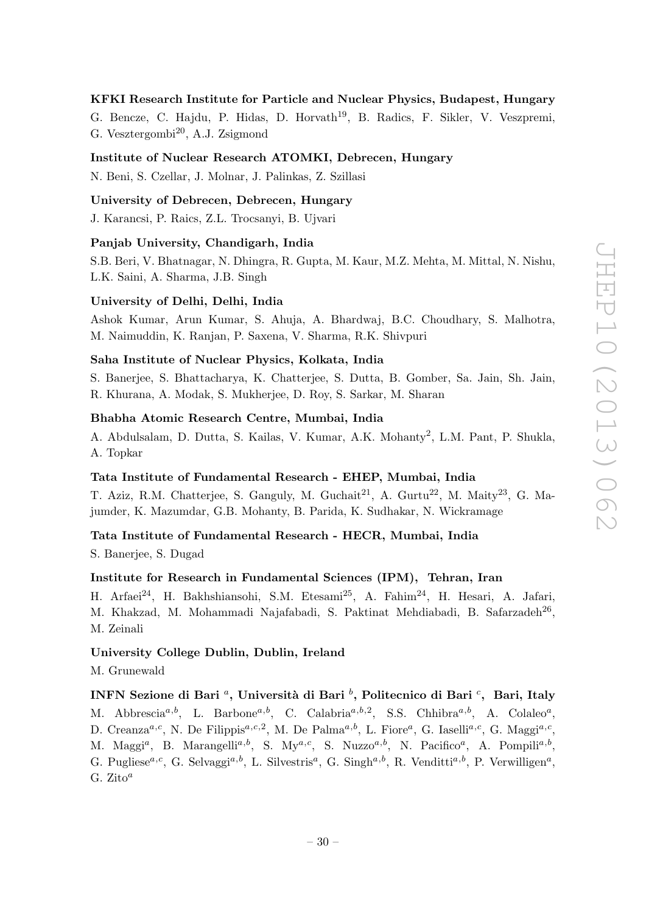# KFKI Research Institute for Particle and Nuclear Physics, Budapest, Hungary

G. Bencze, C. Hajdu, P. Hidas, D. Horvath<sup>19</sup>, B. Radics, F. Sikler, V. Veszpremi, G. Vesztergombi<sup>20</sup>, A.J. Zsigmond

#### Institute of Nuclear Research ATOMKI, Debrecen, Hungary

N. Beni, S. Czellar, J. Molnar, J. Palinkas, Z. Szillasi

# University of Debrecen, Debrecen, Hungary

J. Karancsi, P. Raics, Z.L. Trocsanyi, B. Ujvari

# Panjab University, Chandigarh, India

S.B. Beri, V. Bhatnagar, N. Dhingra, R. Gupta, M. Kaur, M.Z. Mehta, M. Mittal, N. Nishu, L.K. Saini, A. Sharma, J.B. Singh

### University of Delhi, Delhi, India

Ashok Kumar, Arun Kumar, S. Ahuja, A. Bhardwaj, B.C. Choudhary, S. Malhotra, M. Naimuddin, K. Ranjan, P. Saxena, V. Sharma, R.K. Shivpuri

### Saha Institute of Nuclear Physics, Kolkata, India

S. Banerjee, S. Bhattacharya, K. Chatterjee, S. Dutta, B. Gomber, Sa. Jain, Sh. Jain, R. Khurana, A. Modak, S. Mukherjee, D. Roy, S. Sarkar, M. Sharan

#### Bhabha Atomic Research Centre, Mumbai, India

A. Abdulsalam, D. Dutta, S. Kailas, V. Kumar, A.K. Mohanty<sup>2</sup>, L.M. Pant, P. Shukla, A. Topkar

# Tata Institute of Fundamental Research - EHEP, Mumbai, India

T. Aziz, R.M. Chatterjee, S. Ganguly, M. Guchait<sup>21</sup>, A. Gurtu<sup>22</sup>, M. Maity<sup>23</sup>, G. Majumder, K. Mazumdar, G.B. Mohanty, B. Parida, K. Sudhakar, N. Wickramage

### Tata Institute of Fundamental Research - HECR, Mumbai, India

S. Banerjee, S. Dugad

# Institute for Research in Fundamental Sciences (IPM), Tehran, Iran

H. Arfaei<sup>24</sup>, H. Bakhshiansohi, S.M. Etesami<sup>25</sup>, A. Fahim<sup>24</sup>, H. Hesari, A. Jafari, M. Khakzad, M. Mohammadi Najafabadi, S. Paktinat Mehdiabadi, B. Safarzadeh<sup>26</sup>, M. Zeinali

# University College Dublin, Dublin, Ireland

M. Grunewald

INFN Sezione di Bari <sup>a</sup>, Università di Bari  $^b$ , Politecnico di Bari  $^c$ , Bari, Italy M. Abbrescia<sup>a,b</sup>, L. Barbone<sup>a,b</sup>, C. Calabria<sup>a,b,2</sup>, S.S. Chhibra<sup>a,b</sup>, A. Colaleo<sup>a</sup>, D. Creanza<sup>a,c</sup>, N. De Filippis<sup>a,c,2</sup>, M. De Palma<sup>a,b</sup>, L. Fiore<sup>a</sup>, G. Iaselli<sup>a,c</sup>, G. Maggi<sup>a,c</sup>, M. Maggi<sup>a</sup>, B. Marangelli<sup>a,b</sup>, S. My<sup>a,c</sup>, S. Nuzzo<sup>a,b</sup>, N. Pacifico<sup>a</sup>, A. Pompili<sup>a,b</sup>, G. Pugliese<sup>a, c</sup>, G. Selvaggi<sup>a, b</sup>, L. Silvestris<sup>a</sup>, G. Singh<sup>a, b</sup>, R. Venditti<sup>a, b</sup>, P. Verwilligen<sup>a</sup>, G.  $Zito^a$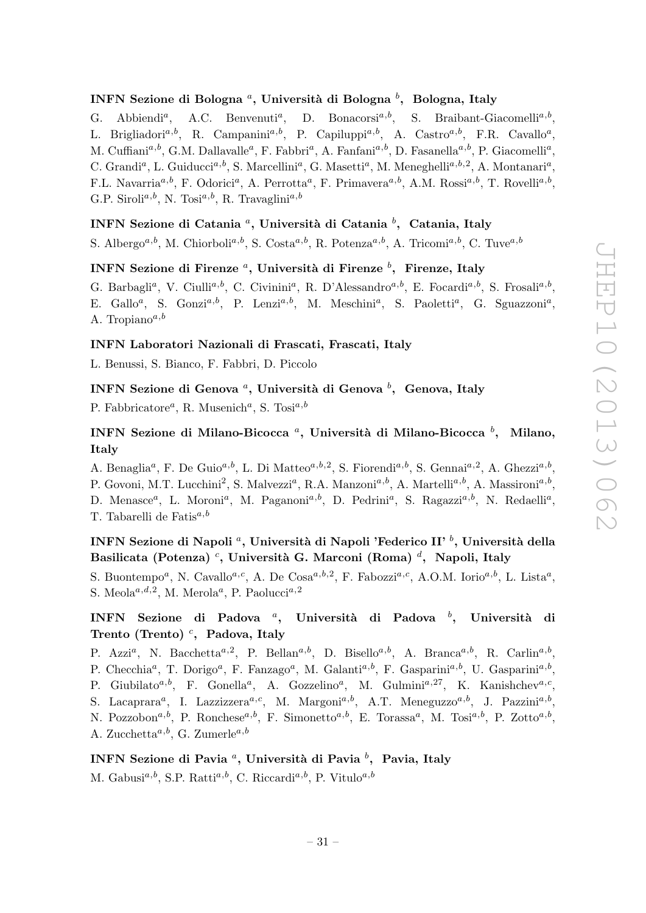# INFN Sezione di Bologna <sup>a</sup>, Università di Bologna  $^b$ , Bologna, Italy

G. Abbiendi<sup>a</sup>, A.C. Benvenuti<sup>a</sup>, D. Bonacorsi<sup>a,b</sup>, S. Braibant-Giacomelli<sup>a,b</sup>, L. Brigliadori<sup>a,b</sup>, R. Campanini<sup>a,b</sup>, P. Capiluppi<sup>a,b</sup>, A. Castro<sup>a,b</sup>, F.R. Cavallo<sup>a</sup>, M. Cuffiani<sup>a,b</sup>, G.M. Dallavalle<sup>a</sup>, F. Fabbri<sup>a</sup>, A. Fanfani<sup>a,b</sup>, D. Fasanella<sup>a,b</sup>, P. Giacomelli<sup>a</sup>, C. Grandi<sup>a</sup>, L. Guiducci<sup>a, b</sup>, S. Marcellini<sup>a</sup>, G. Masetti<sup>a</sup>, M. Meneghelli<sup>a, b, 2</sup>, A. Montanari<sup>a</sup>, F.L. Navarria<sup>a,b</sup>, F. Odorici<sup>a</sup>, A. Perrotta<sup>a</sup>, F. Primavera<sup>a,b</sup>, A.M. Rossi<sup>a,b</sup>, T. Rovelli<sup>a,b</sup>, G.P. Siroli<sup>a,b</sup>, N. Tosi<sup>a,b</sup>, R. Travaglini<sup>a,b</sup>

# INFN Sezione di Catania <sup>a</sup>, Università di Catania  $^b$ , Catania, Italy

S. Albergo<sup>a,b</sup>, M. Chiorboli<sup>a,b</sup>, S. Costa<sup>a,b</sup>, R. Potenza<sup>a,b</sup>, A. Tricomi<sup>a,b</sup>, C. Tuve<sup>a,b</sup>

# INFN Sezione di Firenze  $^a,$  Università di Firenze  $^b, \,$  Firenze, Italy

G. Barbagli<sup>a</sup>, V. Ciulli<sup>a,b</sup>, C. Civinini<sup>a</sup>, R. D'Alessandro<sup>a,b</sup>, E. Focardi<sup>a,b</sup>, S. Frosali<sup>a,b</sup>, E. Gallo<sup>a</sup>, S. Gonzi<sup>a,b</sup>, P. Lenzi<sup>a,b</sup>, M. Meschini<sup>a</sup>, S. Paoletti<sup>a</sup>, G. Sguazzoni<sup>a</sup>, A. Tropiano $a,b$ 

# INFN Laboratori Nazionali di Frascati, Frascati, Italy

L. Benussi, S. Bianco, F. Fabbri, D. Piccolo

INFN Sezione di Genova  $^a,$  Università di Genova  $^b, \,$  Genova, Italy

P. Fabbricatore<sup>a</sup>, R. Musenich<sup>a</sup>, S. Tosi<sup>a,b</sup>

# INFN Sezione di Milano-Bicocca <sup>a</sup>, Università di Milano-Bicocca <sup>b</sup>, Milano, Italy

A. Benaglia<sup>a</sup>, F. De Guio<sup>a,b</sup>, L. Di Matteo<sup>a,b,2</sup>, S. Fiorendi<sup>a,b</sup>, S. Gennai<sup>a,2</sup>, A. Ghezzi<sup>a,b</sup>, P. Govoni, M.T. Lucchini<sup>2</sup>, S. Malvezzi<sup>a</sup>, R.A. Manzoni<sup>a,b</sup>, A. Martelli<sup>a,b</sup>, A. Massironi<sup>a,b</sup>, D. Menasce<sup>a</sup>, L. Moroni<sup>a</sup>, M. Paganoni<sup>a,b</sup>, D. Pedrini<sup>a</sup>, S. Ragazzi<sup>a,b</sup>, N. Redaelli<sup>a</sup>, T. Tabarelli de Fatis $a,b$ 

# INFN Sezione di Napoli <sup>a</sup>, Università di Napoli 'Federico II'  $^b,$  Università della Basilicata (Potenza)  $^c$ , Università G. Marconi (Roma)  $^d$ , Napoli, Italy

S. Buontempo<sup>a</sup>, N. Cavallo<sup>a,c</sup>, A. De Cosa<sup>a,b,2</sup>, F. Fabozzi<sup>a,c</sup>, A.O.M. Iorio<sup>a,b</sup>, L. Lista<sup>a</sup>, S. Meola<sup> $a,d,2$ </sup>, M. Merola<sup> $a$ </sup>, P. Paolucci<sup> $a,2$ </sup>

# INFN Sezione di Padova <sup>a</sup>, Università di Padova <sup>b</sup>, Università di  **(Trento)<sup>c</sup>, Padova, Italy**

P. Azzi<sup>a</sup>, N. Bacchetta<sup>a, 2</sup>, P. Bellan<sup>a, b</sup>, D. Bisello<sup>a, b</sup>, A. Branca<sup>a, b</sup>, R. Carlin<sup>a, b</sup>, P. Checchia<sup>a</sup>, T. Dorigo<sup>a</sup>, F. Fanzago<sup>a</sup>, M. Galanti<sup>a,b</sup>, F. Gasparini<sup>a,b</sup>, U. Gasparini<sup>a,b</sup>, P. Giubilato<sup>a,b</sup>, F. Gonella<sup>a</sup>, A. Gozzelino<sup>a</sup>, M. Gulmini<sup>a,27</sup>, K. Kanishchev<sup>a,c</sup>, S. Lacaprara<sup>a</sup>, I. Lazzizzera<sup>a,c</sup>, M. Margoni<sup>a,b</sup>, A.T. Meneguzzo<sup>a,b</sup>, J. Pazzini<sup>a,b</sup>, N. Pozzobon<sup>a,b</sup>, P. Ronchese<sup>a,b</sup>, F. Simonetto<sup>a,b</sup>, E. Torassa<sup>a</sup>, M. Tosi<sup>a,b</sup>, P. Zotto<sup>a,b</sup>, A. Zucchetta<sup>a,b</sup>, G. Zumerle<sup>a,b</sup>

# INFN Sezione di Pavia  $^a,$  Università di Pavia  $^b, \, \,$  Pavia, Italy

M. Gabusi<sup>a,b</sup>, S.P. Ratti<sup>a,b</sup>, C. Riccardi<sup>a,b</sup>, P. Vitulo<sup>a,b</sup>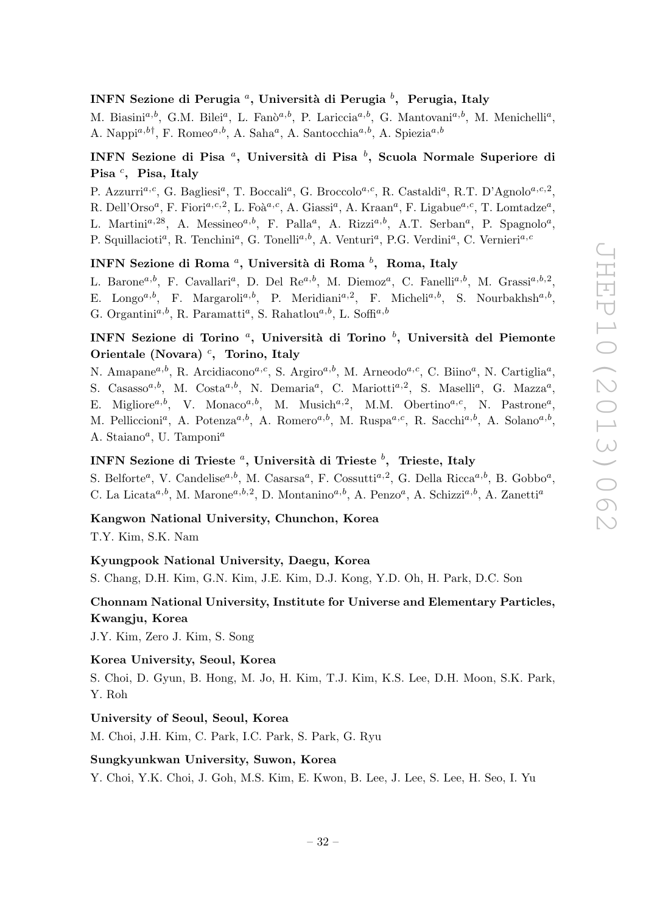# INFN Sezione di Perugia  $^a,$  Università di Perugia  $^b, \,$  Perugia, Italy

M. Biasini<sup>a,b</sup>, G.M. Bilei<sup>a</sup>, L. Fanò<sup>a,b</sup>, P. Lariccia<sup>a,b</sup>, G. Mantovani<sup>a,b</sup>, M. Menichelli<sup>a</sup>, A. Nappi $a,b^{\dagger}$ , F. Romeo $a,b$ , A. Saha $a$ , A. Santocchia $a,b$ , A. Spiezia $a,b$ 

# INFN Sezione di Pisa <sup>a</sup>, Università di Pisa <sup>b</sup>, Scuola Normale Superiore di Pisa<sup>c</sup>, Pisa, Italy

P. Azzurri<sup>a,c</sup>, G. Bagliesi<sup>a</sup>, T. Boccali<sup>a</sup>, G. Broccolo<sup>a,c</sup>, R. Castaldi<sup>a</sup>, R.T. D'Agnolo<sup>a,c,2</sup>, R. Dell'Orso<sup>a</sup>, F. Fiori<sup>a,c,2</sup>, L. Foà<sup>a,c</sup>, A. Giassi<sup>a</sup>, A. Kraan<sup>a</sup>, F. Ligabue<sup>a,c</sup>, T. Lomtadze<sup>a</sup>, L. Martini<sup>a,28</sup>, A. Messineo<sup>a,b</sup>, F. Palla<sup>a</sup>, A. Rizzi<sup>a,b</sup>, A.T. Serban<sup>a</sup>, P. Spagnolo<sup>a</sup>, P. Squillacioti<sup>a</sup>, R. Tenchini<sup>a</sup>, G. Tonelli<sup>a,b</sup>, A. Venturi<sup>a</sup>, P.G. Verdini<sup>a</sup>, C. Vernieri<sup>a,c</sup>

# INFN Sezione di Roma  $^a,$  Università di Roma  $^b, \, \,$  Roma, Italy

L. Barone<sup>a,b</sup>, F. Cavallari<sup>a</sup>, D. Del Re<sup>a,b</sup>, M. Diemoz<sup>a</sup>, C. Fanelli<sup>a,b</sup>, M. Grassi<sup>a,b,2</sup>, E. Longo<sup>a,b</sup>, F. Margaroli<sup>a,b</sup>, P. Meridiani<sup>a,2</sup>, F. Micheli<sup>a,b</sup>, S. Nourbakhsh<sup>a,b</sup>, G. Organtini<sup>a,b</sup>, R. Paramatti<sup>a</sup>, S. Rahatlou<sup>a,b</sup>, L. Soffi<sup>a,b</sup>

# INFN Sezione di Torino <sup>a</sup>, Università di Torino <sup>b</sup>, Università del Piemonte Orientale (Novara)<sup>c</sup>, Torino, Italy

N. Amapane<sup>a,b</sup>, R. Arcidiacono<sup>a,c</sup>, S. Argiro<sup>a,b</sup>, M. Arneodo<sup>a,c</sup>, C. Biino<sup>a</sup>, N. Cartiglia<sup>a</sup>, S. Casasso<sup>a,b</sup>, M. Costa<sup>a,b</sup>, N. Demaria<sup>a</sup>, C. Mariotti<sup>a,2</sup>, S. Maselli<sup>a</sup>, G. Mazza<sup>a</sup>, E. Migliore<sup>a,b</sup>, V. Monaco<sup>a,b</sup>, M. Musich<sup>a,2</sup>, M.M. Obertino<sup>a,c</sup>, N. Pastrone<sup>a</sup>, M. Pelliccioni<sup>a</sup>, A. Potenza<sup>a,b</sup>, A. Romero<sup>a,b</sup>, M. Ruspa<sup>a,c</sup>, R. Sacchi<sup>a,b</sup>, A. Solano<sup>a,b</sup>, A. Staiano<sup>a</sup>, U. Tamponi<sup>a</sup>

# INFN Sezione di Trieste <sup>a</sup>, Università di Trieste  $^b$ , Trieste, Italy

S. Belforte<sup>a</sup>, V. Candelise<sup>a,b</sup>, M. Casarsa<sup>a</sup>, F. Cossutti<sup>a,2</sup>, G. Della Ricca<sup>a,b</sup>, B. Gobbo<sup>a</sup>, C. La Licata<sup>a,b</sup>, M. Marone<sup>a,b,2</sup>, D. Montanino<sup>a,b</sup>, A. Penzo<sup>a</sup>, A. Schizzi<sup>a,b</sup>, A. Zanetti<sup>a</sup>

### Kangwon National University, Chunchon, Korea

T.Y. Kim, S.K. Nam

### Kyungpook National University, Daegu, Korea

S. Chang, D.H. Kim, G.N. Kim, J.E. Kim, D.J. Kong, Y.D. Oh, H. Park, D.C. Son

# Chonnam National University, Institute for Universe and Elementary Particles, Kwangju, Korea

J.Y. Kim, Zero J. Kim, S. Song

# Korea University, Seoul, Korea

S. Choi, D. Gyun, B. Hong, M. Jo, H. Kim, T.J. Kim, K.S. Lee, D.H. Moon, S.K. Park, Y. Roh

# University of Seoul, Seoul, Korea

M. Choi, J.H. Kim, C. Park, I.C. Park, S. Park, G. Ryu

### Sungkyunkwan University, Suwon, Korea

Y. Choi, Y.K. Choi, J. Goh, M.S. Kim, E. Kwon, B. Lee, J. Lee, S. Lee, H. Seo, I. Yu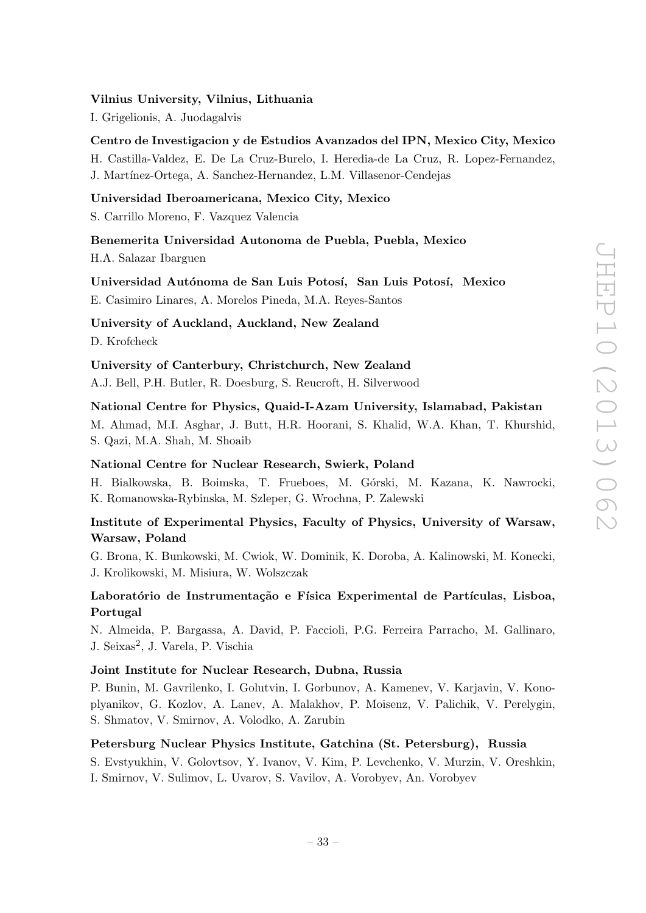### Vilnius University, Vilnius, Lithuania

I. Grigelionis, A. Juodagalvis

# Centro de Investigacion y de Estudios Avanzados del IPN, Mexico City, Mexico

H. Castilla-Valdez, E. De La Cruz-Burelo, I. Heredia-de La Cruz, R. Lopez-Fernandez, J. Mart´ınez-Ortega, A. Sanchez-Hernandez, L.M. Villasenor-Cendejas

# Universidad Iberoamericana, Mexico City, Mexico

S. Carrillo Moreno, F. Vazquez Valencia

#### Benemerita Universidad Autonoma de Puebla, Puebla, Mexico

H.A. Salazar Ibarguen

#### Universidad Autónoma de San Luis Potosí, San Luis Potosí, Mexico

E. Casimiro Linares, A. Morelos Pineda, M.A. Reyes-Santos

### University of Auckland, Auckland, New Zealand

D. Krofcheck

University of Canterbury, Christchurch, New Zealand

A.J. Bell, P.H. Butler, R. Doesburg, S. Reucroft, H. Silverwood

#### National Centre for Physics, Quaid-I-Azam University, Islamabad, Pakistan

M. Ahmad, M.I. Asghar, J. Butt, H.R. Hoorani, S. Khalid, W.A. Khan, T. Khurshid, S. Qazi, M.A. Shah, M. Shoaib

#### National Centre for Nuclear Research, Swierk, Poland

H. Bialkowska, B. Boimska, T. Frueboes, M. G´orski, M. Kazana, K. Nawrocki, K. Romanowska-Rybinska, M. Szleper, G. Wrochna, P. Zalewski

# Institute of Experimental Physics, Faculty of Physics, University of Warsaw, Warsaw, Poland

G. Brona, K. Bunkowski, M. Cwiok, W. Dominik, K. Doroba, A. Kalinowski, M. Konecki, J. Krolikowski, M. Misiura, W. Wolszczak

# Laboratório de Instrumentação e Física Experimental de Partículas, Lisboa, Portugal

N. Almeida, P. Bargassa, A. David, P. Faccioli, P.G. Ferreira Parracho, M. Gallinaro, J. Seixas<sup>2</sup>, J. Varela, P. Vischia

# Joint Institute for Nuclear Research, Dubna, Russia

P. Bunin, M. Gavrilenko, I. Golutvin, I. Gorbunov, A. Kamenev, V. Karjavin, V. Konoplyanikov, G. Kozlov, A. Lanev, A. Malakhov, P. Moisenz, V. Palichik, V. Perelygin, S. Shmatov, V. Smirnov, A. Volodko, A. Zarubin

# Petersburg Nuclear Physics Institute, Gatchina (St. Petersburg), Russia

S. Evstyukhin, V. Golovtsov, Y. Ivanov, V. Kim, P. Levchenko, V. Murzin, V. Oreshkin, I. Smirnov, V. Sulimov, L. Uvarov, S. Vavilov, A. Vorobyev, An. Vorobyev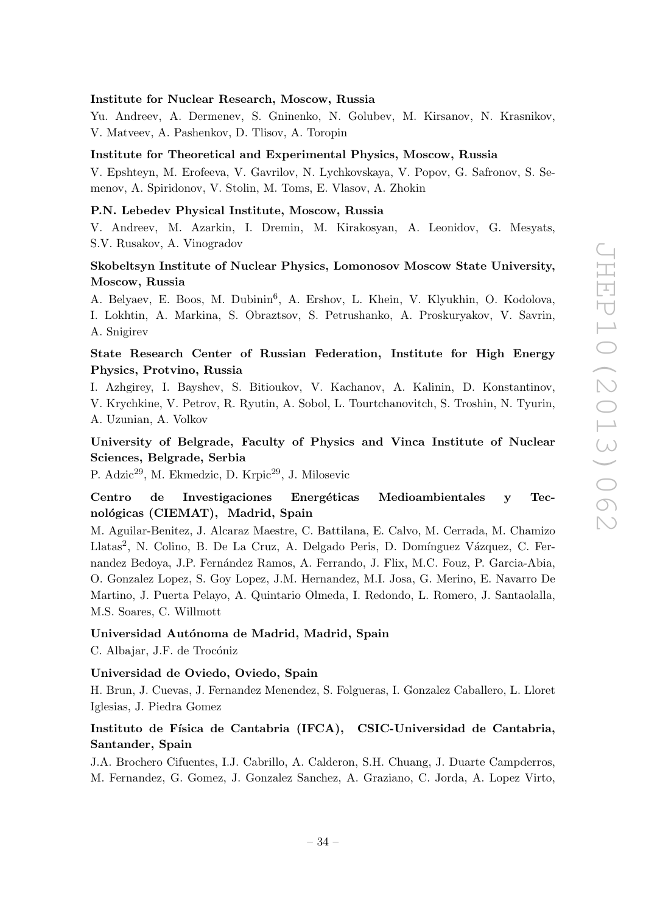#### Institute for Nuclear Research, Moscow, Russia

Yu. Andreev, A. Dermenev, S. Gninenko, N. Golubev, M. Kirsanov, N. Krasnikov, V. Matveev, A. Pashenkov, D. Tlisov, A. Toropin

#### Institute for Theoretical and Experimental Physics, Moscow, Russia

V. Epshteyn, M. Erofeeva, V. Gavrilov, N. Lychkovskaya, V. Popov, G. Safronov, S. Semenov, A. Spiridonov, V. Stolin, M. Toms, E. Vlasov, A. Zhokin

# P.N. Lebedev Physical Institute, Moscow, Russia

V. Andreev, M. Azarkin, I. Dremin, M. Kirakosyan, A. Leonidov, G. Mesyats, S.V. Rusakov, A. Vinogradov

# Skobeltsyn Institute of Nuclear Physics, Lomonosov Moscow State University, Moscow, Russia

A. Belyaev, E. Boos, M. Dubinin<sup>6</sup>, A. Ershov, L. Khein, V. Klyukhin, O. Kodolova, I. Lokhtin, A. Markina, S. Obraztsov, S. Petrushanko, A. Proskuryakov, V. Savrin, A. Snigirev

# State Research Center of Russian Federation, Institute for High Energy Physics, Protvino, Russia

I. Azhgirey, I. Bayshev, S. Bitioukov, V. Kachanov, A. Kalinin, D. Konstantinov, V. Krychkine, V. Petrov, R. Ryutin, A. Sobol, L. Tourtchanovitch, S. Troshin, N. Tyurin, A. Uzunian, A. Volkov

# University of Belgrade, Faculty of Physics and Vinca Institute of Nuclear Sciences, Belgrade, Serbia

P. Adzic<sup>29</sup>, M. Ekmedzic, D. Krpic<sup>29</sup>, J. Milosevic

# Centro de Investigaciones Energéticas Medioambientales y Tecnológicas (CIEMAT), Madrid, Spain

M. Aguilar-Benitez, J. Alcaraz Maestre, C. Battilana, E. Calvo, M. Cerrada, M. Chamizo Llatas<sup>2</sup>, N. Colino, B. De La Cruz, A. Delgado Peris, D. Domínguez Vázquez, C. Fernandez Bedoya, J.P. Fernández Ramos, A. Ferrando, J. Flix, M.C. Fouz, P. Garcia-Abia, O. Gonzalez Lopez, S. Goy Lopez, J.M. Hernandez, M.I. Josa, G. Merino, E. Navarro De Martino, J. Puerta Pelayo, A. Quintario Olmeda, I. Redondo, L. Romero, J. Santaolalla, M.S. Soares, C. Willmott

### Universidad Autónoma de Madrid, Madrid, Spain

C. Albajar, J.F. de Trocóniz

# Universidad de Oviedo, Oviedo, Spain

H. Brun, J. Cuevas, J. Fernandez Menendez, S. Folgueras, I. Gonzalez Caballero, L. Lloret Iglesias, J. Piedra Gomez

# Instituto de Física de Cantabria (IFCA), CSIC-Universidad de Cantabria, Santander, Spain

J.A. Brochero Cifuentes, I.J. Cabrillo, A. Calderon, S.H. Chuang, J. Duarte Campderros, M. Fernandez, G. Gomez, J. Gonzalez Sanchez, A. Graziano, C. Jorda, A. Lopez Virto,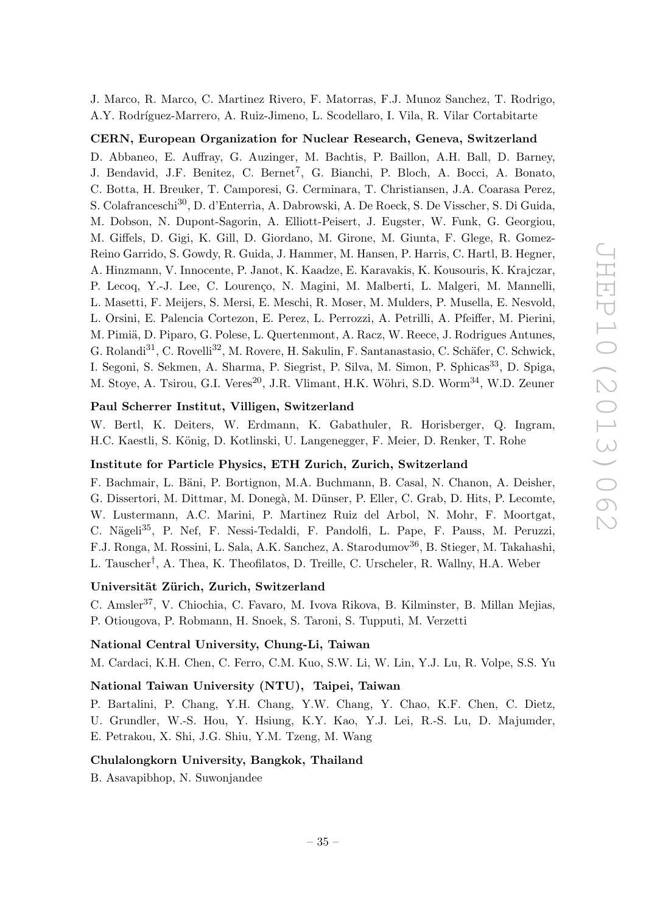J. Marco, R. Marco, C. Martinez Rivero, F. Matorras, F.J. Munoz Sanchez, T. Rodrigo, A.Y. Rodríguez-Marrero, A. Ruiz-Jimeno, L. Scodellaro, I. Vila, R. Vilar Cortabitarte

#### CERN, European Organization for Nuclear Research, Geneva, Switzerland

D. Abbaneo, E. Auffray, G. Auzinger, M. Bachtis, P. Baillon, A.H. Ball, D. Barney, J. Bendavid, J.F. Benitez, C. Bernet<sup>7</sup>, G. Bianchi, P. Bloch, A. Bocci, A. Bonato, C. Botta, H. Breuker, T. Camporesi, G. Cerminara, T. Christiansen, J.A. Coarasa Perez, S. Colafranceschi30, D. d'Enterria, A. Dabrowski, A. De Roeck, S. De Visscher, S. Di Guida, M. Dobson, N. Dupont-Sagorin, A. Elliott-Peisert, J. Eugster, W. Funk, G. Georgiou, M. Giffels, D. Gigi, K. Gill, D. Giordano, M. Girone, M. Giunta, F. Glege, R. Gomez-Reino Garrido, S. Gowdy, R. Guida, J. Hammer, M. Hansen, P. Harris, C. Hartl, B. Hegner, A. Hinzmann, V. Innocente, P. Janot, K. Kaadze, E. Karavakis, K. Kousouris, K. Krajczar, P. Lecoq, Y.-J. Lee, C. Lourenço, N. Magini, M. Malberti, L. Malgeri, M. Mannelli, L. Masetti, F. Meijers, S. Mersi, E. Meschi, R. Moser, M. Mulders, P. Musella, E. Nesvold, L. Orsini, E. Palencia Cortezon, E. Perez, L. Perrozzi, A. Petrilli, A. Pfeiffer, M. Pierini, M. Pimiä, D. Piparo, G. Polese, L. Quertenmont, A. Racz, W. Reece, J. Rodrigues Antunes, G. Rolandi<sup>31</sup>, C. Rovelli<sup>32</sup>, M. Rovere, H. Sakulin, F. Santanastasio, C. Schäfer, C. Schwick, I. Segoni, S. Sekmen, A. Sharma, P. Siegrist, P. Silva, M. Simon, P. Sphicas<sup>33</sup>, D. Spiga, M. Stoye, A. Tsirou, G.I. Veres<sup>20</sup>, J.R. Vlimant, H.K. Wöhri, S.D. Worm<sup>34</sup>, W.D. Zeuner

### Paul Scherrer Institut, Villigen, Switzerland

W. Bertl, K. Deiters, W. Erdmann, K. Gabathuler, R. Horisberger, Q. Ingram, H.C. Kaestli, S. König, D. Kotlinski, U. Langenegger, F. Meier, D. Renker, T. Rohe

#### Institute for Particle Physics, ETH Zurich, Zurich, Switzerland

F. Bachmair, L. Bäni, P. Bortignon, M.A. Buchmann, B. Casal, N. Chanon, A. Deisher, G. Dissertori, M. Dittmar, M. Donegà, M. Dünser, P. Eller, C. Grab, D. Hits, P. Lecomte, W. Lustermann, A.C. Marini, P. Martinez Ruiz del Arbol, N. Mohr, F. Moortgat, C. Nägeli<sup>35</sup>, P. Nef, F. Nessi-Tedaldi, F. Pandolfi, L. Pape, F. Pauss, M. Peruzzi, F.J. Ronga, M. Rossini, L. Sala, A.K. Sanchez, A. Starodumov<sup>36</sup>, B. Stieger, M. Takahashi, L. Tauscher† , A. Thea, K. Theofilatos, D. Treille, C. Urscheler, R. Wallny, H.A. Weber

# Universität Zürich, Zurich, Switzerland

C. Amsler<sup>37</sup>, V. Chiochia, C. Favaro, M. Ivova Rikova, B. Kilminster, B. Millan Mejias, P. Otiougova, P. Robmann, H. Snoek, S. Taroni, S. Tupputi, M. Verzetti

# National Central University, Chung-Li, Taiwan

M. Cardaci, K.H. Chen, C. Ferro, C.M. Kuo, S.W. Li, W. Lin, Y.J. Lu, R. Volpe, S.S. Yu

# National Taiwan University (NTU), Taipei, Taiwan

P. Bartalini, P. Chang, Y.H. Chang, Y.W. Chang, Y. Chao, K.F. Chen, C. Dietz, U. Grundler, W.-S. Hou, Y. Hsiung, K.Y. Kao, Y.J. Lei, R.-S. Lu, D. Majumder, E. Petrakou, X. Shi, J.G. Shiu, Y.M. Tzeng, M. Wang

Chulalongkorn University, Bangkok, Thailand

B. Asavapibhop, N. Suwonjandee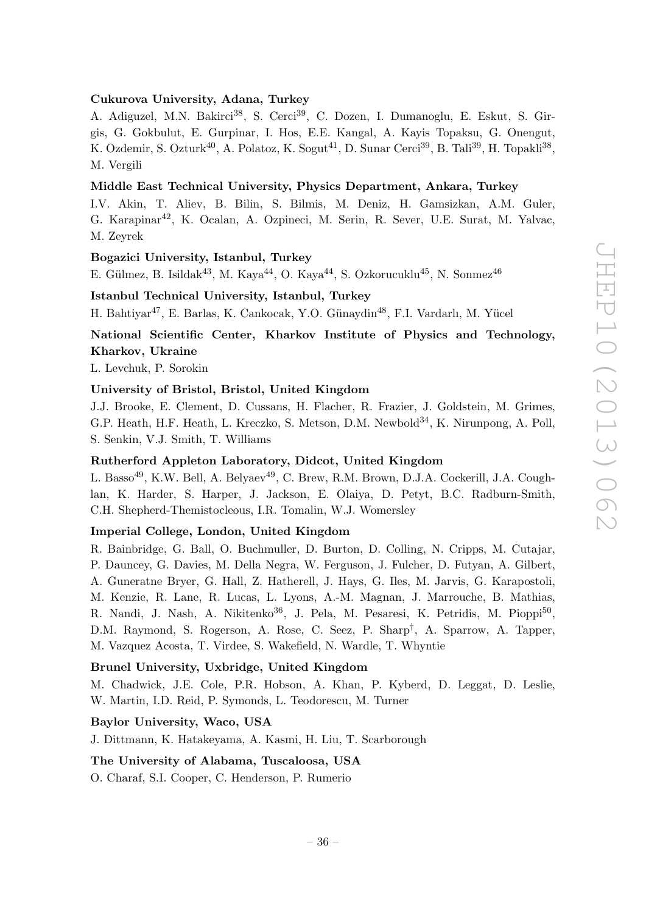# Cukurova University, Adana, Turkey

A. Adiguzel, M.N. Bakirci<sup>38</sup>, S. Cerci<sup>39</sup>, C. Dozen, I. Dumanoglu, E. Eskut, S. Girgis, G. Gokbulut, E. Gurpinar, I. Hos, E.E. Kangal, A. Kayis Topaksu, G. Onengut, K. Ozdemir, S. Ozturk<sup>40</sup>, A. Polatoz, K. Sogut<sup>41</sup>, D. Sunar Cerci<sup>39</sup>, B. Tali<sup>39</sup>, H. Topakli<sup>38</sup>, M. Vergili

### Middle East Technical University, Physics Department, Ankara, Turkey

I.V. Akin, T. Aliev, B. Bilin, S. Bilmis, M. Deniz, H. Gamsizkan, A.M. Guler, G. Karapinar42, K. Ocalan, A. Ozpineci, M. Serin, R. Sever, U.E. Surat, M. Yalvac, M. Zeyrek

# Bogazici University, Istanbul, Turkey

E. Gülmez, B. Isildak<sup>43</sup>, M. Kaya<sup>44</sup>, O. Kaya<sup>44</sup>, S. Ozkorucuklu<sup>45</sup>, N. Sonmez<sup>46</sup>

# Istanbul Technical University, Istanbul, Turkey

H. Bahtiyar<sup>47</sup>, E. Barlas, K. Cankocak, Y.O. Günaydin<sup>48</sup>, F.I. Vardarlı, M. Yücel

# National Scientific Center, Kharkov Institute of Physics and Technology, Kharkov, Ukraine

L. Levchuk, P. Sorokin

# University of Bristol, Bristol, United Kingdom

J.J. Brooke, E. Clement, D. Cussans, H. Flacher, R. Frazier, J. Goldstein, M. Grimes, G.P. Heath, H.F. Heath, L. Kreczko, S. Metson, D.M. Newbold<sup>34</sup>, K. Nirunpong, A. Poll, S. Senkin, V.J. Smith, T. Williams

# Rutherford Appleton Laboratory, Didcot, United Kingdom

L. Basso<sup>49</sup>, K.W. Bell, A. Belyaev<sup>49</sup>, C. Brew, R.M. Brown, D.J.A. Cockerill, J.A. Coughlan, K. Harder, S. Harper, J. Jackson, E. Olaiya, D. Petyt, B.C. Radburn-Smith, C.H. Shepherd-Themistocleous, I.R. Tomalin, W.J. Womersley

# Imperial College, London, United Kingdom

R. Bainbridge, G. Ball, O. Buchmuller, D. Burton, D. Colling, N. Cripps, M. Cutajar, P. Dauncey, G. Davies, M. Della Negra, W. Ferguson, J. Fulcher, D. Futyan, A. Gilbert, A. Guneratne Bryer, G. Hall, Z. Hatherell, J. Hays, G. Iles, M. Jarvis, G. Karapostoli, M. Kenzie, R. Lane, R. Lucas, L. Lyons, A.-M. Magnan, J. Marrouche, B. Mathias, R. Nandi, J. Nash, A. Nikitenko<sup>36</sup>, J. Pela, M. Pesaresi, K. Petridis, M. Pioppi<sup>50</sup>, D.M. Raymond, S. Rogerson, A. Rose, C. Seez, P. Sharp† , A. Sparrow, A. Tapper, M. Vazquez Acosta, T. Virdee, S. Wakefield, N. Wardle, T. Whyntie

### Brunel University, Uxbridge, United Kingdom

M. Chadwick, J.E. Cole, P.R. Hobson, A. Khan, P. Kyberd, D. Leggat, D. Leslie, W. Martin, I.D. Reid, P. Symonds, L. Teodorescu, M. Turner

# Baylor University, Waco, USA

J. Dittmann, K. Hatakeyama, A. Kasmi, H. Liu, T. Scarborough

# The University of Alabama, Tuscaloosa, USA

O. Charaf, S.I. Cooper, C. Henderson, P. Rumerio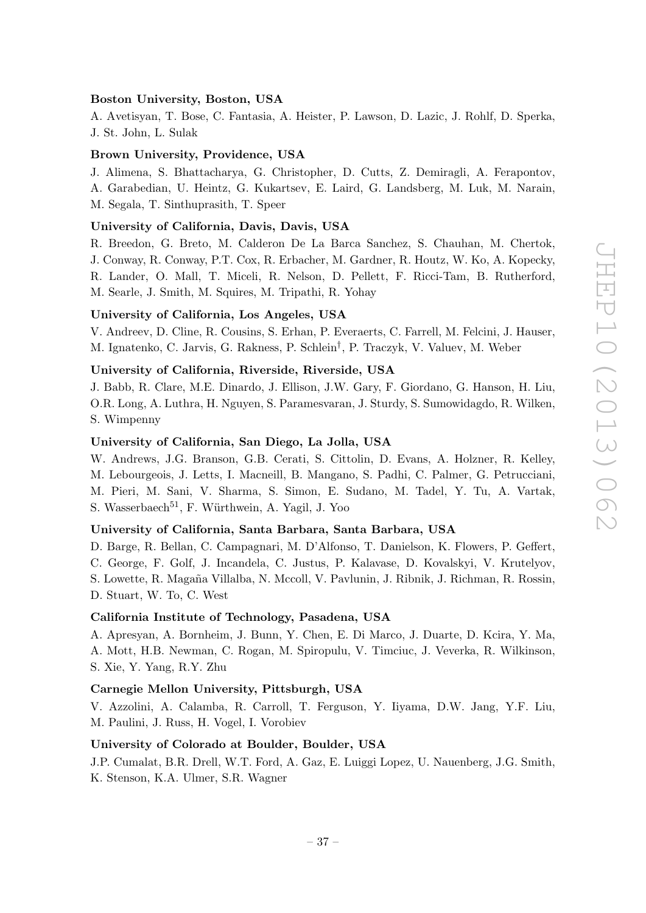### Boston University, Boston, USA

A. Avetisyan, T. Bose, C. Fantasia, A. Heister, P. Lawson, D. Lazic, J. Rohlf, D. Sperka, J. St. John, L. Sulak

#### Brown University, Providence, USA

J. Alimena, S. Bhattacharya, G. Christopher, D. Cutts, Z. Demiragli, A. Ferapontov, A. Garabedian, U. Heintz, G. Kukartsev, E. Laird, G. Landsberg, M. Luk, M. Narain, M. Segala, T. Sinthuprasith, T. Speer

# University of California, Davis, Davis, USA

R. Breedon, G. Breto, M. Calderon De La Barca Sanchez, S. Chauhan, M. Chertok, J. Conway, R. Conway, P.T. Cox, R. Erbacher, M. Gardner, R. Houtz, W. Ko, A. Kopecky, R. Lander, O. Mall, T. Miceli, R. Nelson, D. Pellett, F. Ricci-Tam, B. Rutherford, M. Searle, J. Smith, M. Squires, M. Tripathi, R. Yohay

# University of California, Los Angeles, USA

V. Andreev, D. Cline, R. Cousins, S. Erhan, P. Everaerts, C. Farrell, M. Felcini, J. Hauser, M. Ignatenko, C. Jarvis, G. Rakness, P. Schlein† , P. Traczyk, V. Valuev, M. Weber

# University of California, Riverside, Riverside, USA

J. Babb, R. Clare, M.E. Dinardo, J. Ellison, J.W. Gary, F. Giordano, G. Hanson, H. Liu, O.R. Long, A. Luthra, H. Nguyen, S. Paramesvaran, J. Sturdy, S. Sumowidagdo, R. Wilken, S. Wimpenny

# University of California, San Diego, La Jolla, USA

W. Andrews, J.G. Branson, G.B. Cerati, S. Cittolin, D. Evans, A. Holzner, R. Kelley, M. Lebourgeois, J. Letts, I. Macneill, B. Mangano, S. Padhi, C. Palmer, G. Petrucciani, M. Pieri, M. Sani, V. Sharma, S. Simon, E. Sudano, M. Tadel, Y. Tu, A. Vartak, S. Wasserbaech<sup>51</sup>, F. Würthwein, A. Yagil, J. Yoo

# University of California, Santa Barbara, Santa Barbara, USA

D. Barge, R. Bellan, C. Campagnari, M. D'Alfonso, T. Danielson, K. Flowers, P. Geffert, C. George, F. Golf, J. Incandela, C. Justus, P. Kalavase, D. Kovalskyi, V. Krutelyov, S. Lowette, R. Magaña Villalba, N. Mccoll, V. Pavlunin, J. Ribnik, J. Richman, R. Rossin, D. Stuart, W. To, C. West

### California Institute of Technology, Pasadena, USA

A. Apresyan, A. Bornheim, J. Bunn, Y. Chen, E. Di Marco, J. Duarte, D. Kcira, Y. Ma, A. Mott, H.B. Newman, C. Rogan, M. Spiropulu, V. Timciuc, J. Veverka, R. Wilkinson, S. Xie, Y. Yang, R.Y. Zhu

# Carnegie Mellon University, Pittsburgh, USA

V. Azzolini, A. Calamba, R. Carroll, T. Ferguson, Y. Iiyama, D.W. Jang, Y.F. Liu, M. Paulini, J. Russ, H. Vogel, I. Vorobiev

# University of Colorado at Boulder, Boulder, USA

J.P. Cumalat, B.R. Drell, W.T. Ford, A. Gaz, E. Luiggi Lopez, U. Nauenberg, J.G. Smith, K. Stenson, K.A. Ulmer, S.R. Wagner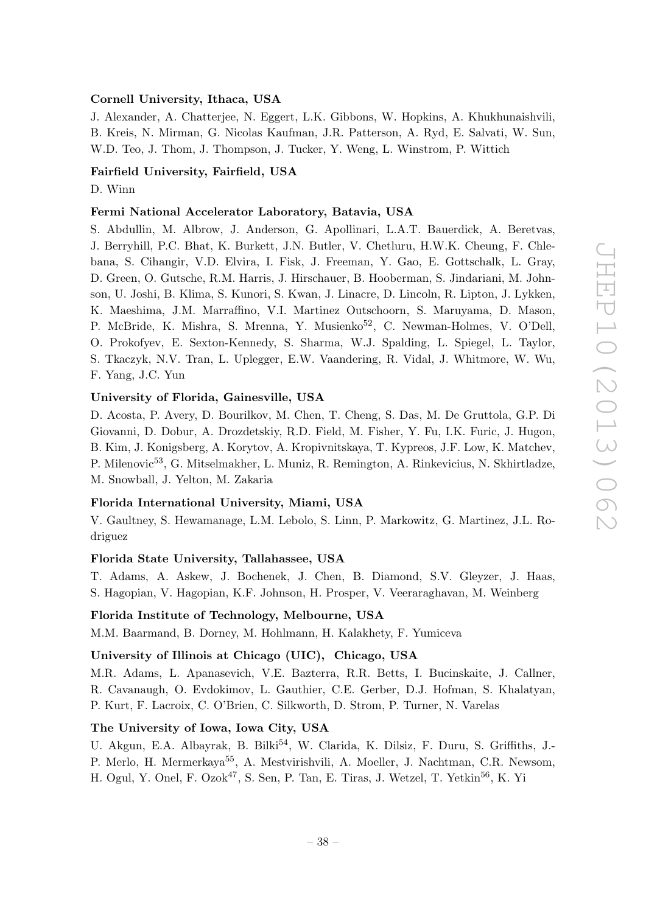### Cornell University, Ithaca, USA

J. Alexander, A. Chatterjee, N. Eggert, L.K. Gibbons, W. Hopkins, A. Khukhunaishvili, B. Kreis, N. Mirman, G. Nicolas Kaufman, J.R. Patterson, A. Ryd, E. Salvati, W. Sun, W.D. Teo, J. Thom, J. Thompson, J. Tucker, Y. Weng, L. Winstrom, P. Wittich

# Fairfield University, Fairfield, USA

D. Winn

#### Fermi National Accelerator Laboratory, Batavia, USA

S. Abdullin, M. Albrow, J. Anderson, G. Apollinari, L.A.T. Bauerdick, A. Beretvas, J. Berryhill, P.C. Bhat, K. Burkett, J.N. Butler, V. Chetluru, H.W.K. Cheung, F. Chlebana, S. Cihangir, V.D. Elvira, I. Fisk, J. Freeman, Y. Gao, E. Gottschalk, L. Gray, D. Green, O. Gutsche, R.M. Harris, J. Hirschauer, B. Hooberman, S. Jindariani, M. Johnson, U. Joshi, B. Klima, S. Kunori, S. Kwan, J. Linacre, D. Lincoln, R. Lipton, J. Lykken, K. Maeshima, J.M. Marraffino, V.I. Martinez Outschoorn, S. Maruyama, D. Mason, P. McBride, K. Mishra, S. Mrenna, Y. Musienko<sup>52</sup>, C. Newman-Holmes, V. O'Dell, O. Prokofyev, E. Sexton-Kennedy, S. Sharma, W.J. Spalding, L. Spiegel, L. Taylor, S. Tkaczyk, N.V. Tran, L. Uplegger, E.W. Vaandering, R. Vidal, J. Whitmore, W. Wu, F. Yang, J.C. Yun

# University of Florida, Gainesville, USA

D. Acosta, P. Avery, D. Bourilkov, M. Chen, T. Cheng, S. Das, M. De Gruttola, G.P. Di Giovanni, D. Dobur, A. Drozdetskiy, R.D. Field, M. Fisher, Y. Fu, I.K. Furic, J. Hugon, B. Kim, J. Konigsberg, A. Korytov, A. Kropivnitskaya, T. Kypreos, J.F. Low, K. Matchev, P. Milenovic53, G. Mitselmakher, L. Muniz, R. Remington, A. Rinkevicius, N. Skhirtladze, M. Snowball, J. Yelton, M. Zakaria

# Florida International University, Miami, USA

V. Gaultney, S. Hewamanage, L.M. Lebolo, S. Linn, P. Markowitz, G. Martinez, J.L. Rodriguez

#### Florida State University, Tallahassee, USA

T. Adams, A. Askew, J. Bochenek, J. Chen, B. Diamond, S.V. Gleyzer, J. Haas, S. Hagopian, V. Hagopian, K.F. Johnson, H. Prosper, V. Veeraraghavan, M. Weinberg

### Florida Institute of Technology, Melbourne, USA

M.M. Baarmand, B. Dorney, M. Hohlmann, H. Kalakhety, F. Yumiceva

#### University of Illinois at Chicago (UIC), Chicago, USA

M.R. Adams, L. Apanasevich, V.E. Bazterra, R.R. Betts, I. Bucinskaite, J. Callner, R. Cavanaugh, O. Evdokimov, L. Gauthier, C.E. Gerber, D.J. Hofman, S. Khalatyan, P. Kurt, F. Lacroix, C. O'Brien, C. Silkworth, D. Strom, P. Turner, N. Varelas

# The University of Iowa, Iowa City, USA

U. Akgun, E.A. Albayrak, B. Bilki<sup>54</sup>, W. Clarida, K. Dilsiz, F. Duru, S. Griffiths, J.-P. Merlo, H. Mermerkaya<sup>55</sup>, A. Mestvirishvili, A. Moeller, J. Nachtman, C.R. Newsom, H. Ogul, Y. Onel, F. Ozok<sup>47</sup>, S. Sen, P. Tan, E. Tiras, J. Wetzel, T. Yetkin<sup>56</sup>, K. Yi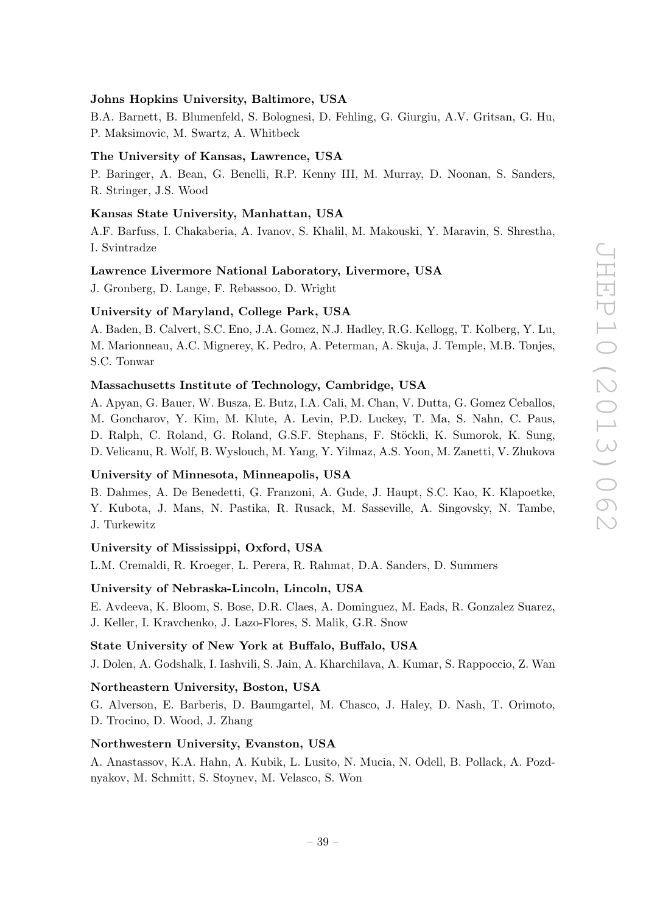# Johns Hopkins University, Baltimore, USA

B.A. Barnett, B. Blumenfeld, S. Bolognesi, D. Fehling, G. Giurgiu, A.V. Gritsan, G. Hu, P. Maksimovic, M. Swartz, A. Whitbeck

#### The University of Kansas, Lawrence, USA

P. Baringer, A. Bean, G. Benelli, R.P. Kenny III, M. Murray, D. Noonan, S. Sanders, R. Stringer, J.S. Wood

# Kansas State University, Manhattan, USA

A.F. Barfuss, I. Chakaberia, A. Ivanov, S. Khalil, M. Makouski, Y. Maravin, S. Shrestha, I. Svintradze

# Lawrence Livermore National Laboratory, Livermore, USA

J. Gronberg, D. Lange, F. Rebassoo, D. Wright

### University of Maryland, College Park, USA

A. Baden, B. Calvert, S.C. Eno, J.A. Gomez, N.J. Hadley, R.G. Kellogg, T. Kolberg, Y. Lu, M. Marionneau, A.C. Mignerey, K. Pedro, A. Peterman, A. Skuja, J. Temple, M.B. Tonjes, S.C. Tonwar

# Massachusetts Institute of Technology, Cambridge, USA

A. Apyan, G. Bauer, W. Busza, E. Butz, I.A. Cali, M. Chan, V. Dutta, G. Gomez Ceballos, M. Goncharov, Y. Kim, M. Klute, A. Levin, P.D. Luckey, T. Ma, S. Nahn, C. Paus, D. Ralph, C. Roland, G. Roland, G.S.F. Stephans, F. Stöckli, K. Sumorok, K. Sung, D. Velicanu, R. Wolf, B. Wyslouch, M. Yang, Y. Yilmaz, A.S. Yoon, M. Zanetti, V. Zhukova

# University of Minnesota, Minneapolis, USA

B. Dahmes, A. De Benedetti, G. Franzoni, A. Gude, J. Haupt, S.C. Kao, K. Klapoetke, Y. Kubota, J. Mans, N. Pastika, R. Rusack, M. Sasseville, A. Singovsky, N. Tambe, J. Turkewitz

# University of Mississippi, Oxford, USA

L.M. Cremaldi, R. Kroeger, L. Perera, R. Rahmat, D.A. Sanders, D. Summers

# University of Nebraska-Lincoln, Lincoln, USA

E. Avdeeva, K. Bloom, S. Bose, D.R. Claes, A. Dominguez, M. Eads, R. Gonzalez Suarez, J. Keller, I. Kravchenko, J. Lazo-Flores, S. Malik, G.R. Snow

# State University of New York at Buffalo, Buffalo, USA

J. Dolen, A. Godshalk, I. Iashvili, S. Jain, A. Kharchilava, A. Kumar, S. Rappoccio, Z. Wan

### Northeastern University, Boston, USA

G. Alverson, E. Barberis, D. Baumgartel, M. Chasco, J. Haley, D. Nash, T. Orimoto, D. Trocino, D. Wood, J. Zhang

#### Northwestern University, Evanston, USA

A. Anastassov, K.A. Hahn, A. Kubik, L. Lusito, N. Mucia, N. Odell, B. Pollack, A. Pozdnyakov, M. Schmitt, S. Stoynev, M. Velasco, S. Won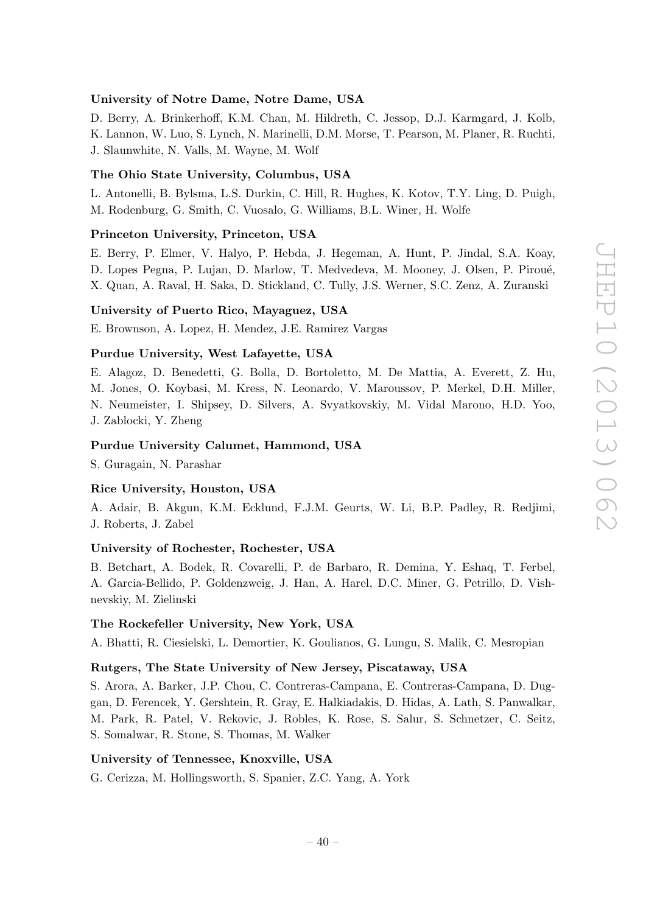# University of Notre Dame, Notre Dame, USA

D. Berry, A. Brinkerhoff, K.M. Chan, M. Hildreth, C. Jessop, D.J. Karmgard, J. Kolb, K. Lannon, W. Luo, S. Lynch, N. Marinelli, D.M. Morse, T. Pearson, M. Planer, R. Ruchti, J. Slaunwhite, N. Valls, M. Wayne, M. Wolf

### The Ohio State University, Columbus, USA

L. Antonelli, B. Bylsma, L.S. Durkin, C. Hill, R. Hughes, K. Kotov, T.Y. Ling, D. Puigh, M. Rodenburg, G. Smith, C. Vuosalo, G. Williams, B.L. Winer, H. Wolfe

# Princeton University, Princeton, USA

E. Berry, P. Elmer, V. Halyo, P. Hebda, J. Hegeman, A. Hunt, P. Jindal, S.A. Koay, D. Lopes Pegna, P. Lujan, D. Marlow, T. Medvedeva, M. Mooney, J. Olsen, P. Piroué, X. Quan, A. Raval, H. Saka, D. Stickland, C. Tully, J.S. Werner, S.C. Zenz, A. Zuranski

#### University of Puerto Rico, Mayaguez, USA

E. Brownson, A. Lopez, H. Mendez, J.E. Ramirez Vargas

# Purdue University, West Lafayette, USA

E. Alagoz, D. Benedetti, G. Bolla, D. Bortoletto, M. De Mattia, A. Everett, Z. Hu, M. Jones, O. Koybasi, M. Kress, N. Leonardo, V. Maroussov, P. Merkel, D.H. Miller, N. Neumeister, I. Shipsey, D. Silvers, A. Svyatkovskiy, M. Vidal Marono, H.D. Yoo, J. Zablocki, Y. Zheng

### Purdue University Calumet, Hammond, USA

S. Guragain, N. Parashar

#### Rice University, Houston, USA

A. Adair, B. Akgun, K.M. Ecklund, F.J.M. Geurts, W. Li, B.P. Padley, R. Redjimi, J. Roberts, J. Zabel

#### University of Rochester, Rochester, USA

B. Betchart, A. Bodek, R. Covarelli, P. de Barbaro, R. Demina, Y. Eshaq, T. Ferbel, A. Garcia-Bellido, P. Goldenzweig, J. Han, A. Harel, D.C. Miner, G. Petrillo, D. Vishnevskiy, M. Zielinski

### The Rockefeller University, New York, USA

A. Bhatti, R. Ciesielski, L. Demortier, K. Goulianos, G. Lungu, S. Malik, C. Mesropian

#### Rutgers, The State University of New Jersey, Piscataway, USA

S. Arora, A. Barker, J.P. Chou, C. Contreras-Campana, E. Contreras-Campana, D. Duggan, D. Ferencek, Y. Gershtein, R. Gray, E. Halkiadakis, D. Hidas, A. Lath, S. Panwalkar, M. Park, R. Patel, V. Rekovic, J. Robles, K. Rose, S. Salur, S. Schnetzer, C. Seitz, S. Somalwar, R. Stone, S. Thomas, M. Walker

### University of Tennessee, Knoxville, USA

G. Cerizza, M. Hollingsworth, S. Spanier, Z.C. Yang, A. York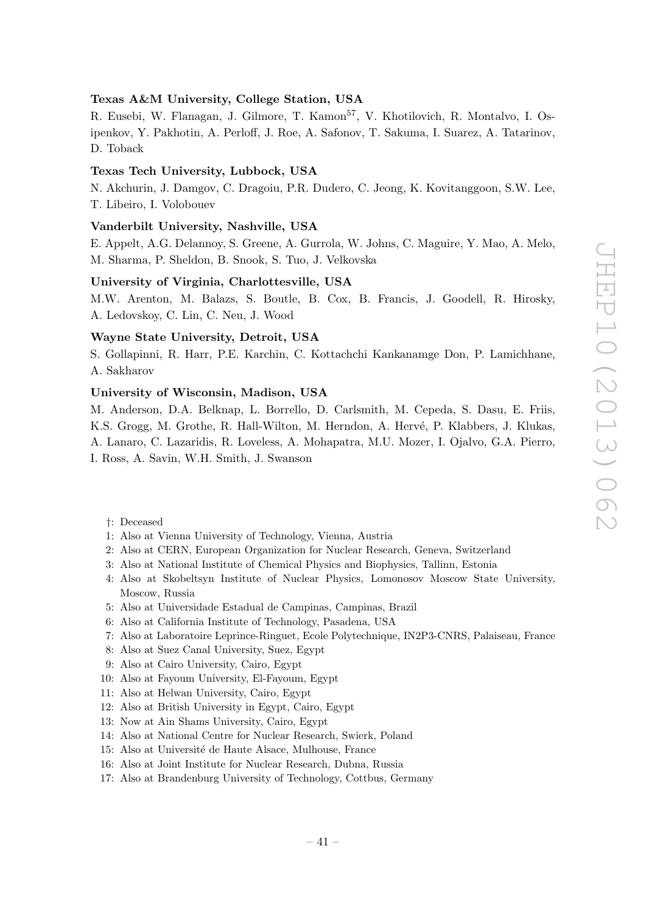# Texas A&M University, College Station, USA

R. Eusebi, W. Flanagan, J. Gilmore, T. Kamon<sup>57</sup>, V. Khotilovich, R. Montalvo, I. Osipenkov, Y. Pakhotin, A. Perloff, J. Roe, A. Safonov, T. Sakuma, I. Suarez, A. Tatarinov, D. Toback

# Texas Tech University, Lubbock, USA

N. Akchurin, J. Damgov, C. Dragoiu, P.R. Dudero, C. Jeong, K. Kovitanggoon, S.W. Lee, T. Libeiro, I. Volobouev

### Vanderbilt University, Nashville, USA

E. Appelt, A.G. Delannoy, S. Greene, A. Gurrola, W. Johns, C. Maguire, Y. Mao, A. Melo, M. Sharma, P. Sheldon, B. Snook, S. Tuo, J. Velkovska

### University of Virginia, Charlottesville, USA

M.W. Arenton, M. Balazs, S. Boutle, B. Cox, B. Francis, J. Goodell, R. Hirosky, A. Ledovskoy, C. Lin, C. Neu, J. Wood

# Wayne State University, Detroit, USA

S. Gollapinni, R. Harr, P.E. Karchin, C. Kottachchi Kankanamge Don, P. Lamichhane, A. Sakharov

### University of Wisconsin, Madison, USA

M. Anderson, D.A. Belknap, L. Borrello, D. Carlsmith, M. Cepeda, S. Dasu, E. Friis, K.S. Grogg, M. Grothe, R. Hall-Wilton, M. Herndon, A. Hervé, P. Klabbers, J. Klukas, A. Lanaro, C. Lazaridis, R. Loveless, A. Mohapatra, M.U. Mozer, I. Ojalvo, G.A. Pierro, I. Ross, A. Savin, W.H. Smith, J. Swanson

- †: Deceased
- 1: Also at Vienna University of Technology, Vienna, Austria
- 2: Also at CERN, European Organization for Nuclear Research, Geneva, Switzerland
- 3: Also at National Institute of Chemical Physics and Biophysics, Tallinn, Estonia
- 4: Also at Skobeltsyn Institute of Nuclear Physics, Lomonosov Moscow State University, Moscow, Russia
- 5: Also at Universidade Estadual de Campinas, Campinas, Brazil
- 6: Also at California Institute of Technology, Pasadena, USA
- 7: Also at Laboratoire Leprince-Ringuet, Ecole Polytechnique, IN2P3-CNRS, Palaiseau, France
- 8: Also at Suez Canal University, Suez, Egypt
- 9: Also at Cairo University, Cairo, Egypt
- 10: Also at Fayoum University, El-Fayoum, Egypt
- 11: Also at Helwan University, Cairo, Egypt
- 12: Also at British University in Egypt, Cairo, Egypt
- 13: Now at Ain Shams University, Cairo, Egypt
- 14: Also at National Centre for Nuclear Research, Swierk, Poland
- 15: Also at Université de Haute Alsace, Mulhouse, France
- 16: Also at Joint Institute for Nuclear Research, Dubna, Russia
- 17: Also at Brandenburg University of Technology, Cottbus, Germany